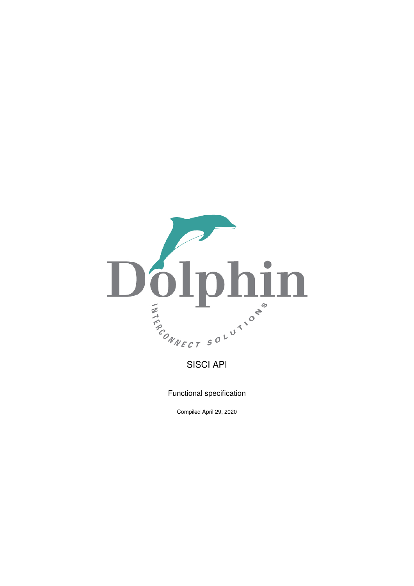

Functional specification

Compiled April 29, 2020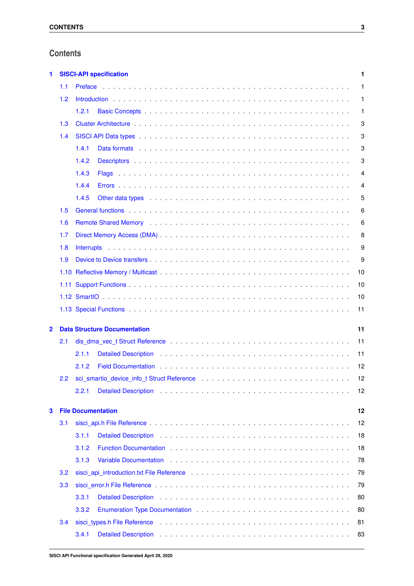# **Contents**

| 1            |      | <b>SISCI-API specification</b><br>1 |                                                                                                                                                                                                                                |    |  |  |  |  |  |  |                |
|--------------|------|-------------------------------------|--------------------------------------------------------------------------------------------------------------------------------------------------------------------------------------------------------------------------------|----|--|--|--|--|--|--|----------------|
|              | 1.1  | Preface                             |                                                                                                                                                                                                                                |    |  |  |  |  |  |  | 1              |
|              | 1.2  |                                     |                                                                                                                                                                                                                                |    |  |  |  |  |  |  | $\mathbf{1}$   |
|              |      | 1.2.1                               |                                                                                                                                                                                                                                |    |  |  |  |  |  |  | 1              |
|              | 1.3  |                                     |                                                                                                                                                                                                                                |    |  |  |  |  |  |  | 3              |
|              | 1.4  |                                     |                                                                                                                                                                                                                                |    |  |  |  |  |  |  | 3              |
|              |      | 1.4.1                               |                                                                                                                                                                                                                                |    |  |  |  |  |  |  | 3              |
|              |      | 1.4.2                               |                                                                                                                                                                                                                                |    |  |  |  |  |  |  | 3              |
|              |      | 1.4.3                               |                                                                                                                                                                                                                                |    |  |  |  |  |  |  | $\overline{4}$ |
|              |      | 1.4.4                               |                                                                                                                                                                                                                                |    |  |  |  |  |  |  | 4              |
|              |      | 1.4.5                               | Other data types enterprise to the contract of the contract of the contract of the contract of the contract of the contract of the contract of the contract of the contract of the contract of the contract of the contract of |    |  |  |  |  |  |  | 5              |
|              | 1.5  |                                     |                                                                                                                                                                                                                                |    |  |  |  |  |  |  | 6              |
|              | 1.6  |                                     |                                                                                                                                                                                                                                |    |  |  |  |  |  |  | 6              |
|              | 1.7  |                                     |                                                                                                                                                                                                                                |    |  |  |  |  |  |  | 8              |
|              | 1.8  |                                     |                                                                                                                                                                                                                                |    |  |  |  |  |  |  | 9              |
|              | 1.9  |                                     |                                                                                                                                                                                                                                |    |  |  |  |  |  |  | 9              |
|              |      |                                     |                                                                                                                                                                                                                                |    |  |  |  |  |  |  | 10             |
|              | 1.11 |                                     |                                                                                                                                                                                                                                |    |  |  |  |  |  |  | 10             |
|              |      |                                     |                                                                                                                                                                                                                                |    |  |  |  |  |  |  | 10             |
|              |      |                                     |                                                                                                                                                                                                                                |    |  |  |  |  |  |  | 11             |
| $\mathbf{2}$ |      | <b>Data Structure Documentation</b> |                                                                                                                                                                                                                                |    |  |  |  |  |  |  | 11             |
|              | 2.1  |                                     |                                                                                                                                                                                                                                |    |  |  |  |  |  |  | 11             |
|              |      | 2.1.1                               |                                                                                                                                                                                                                                |    |  |  |  |  |  |  | 11             |
|              |      | 2.1.2                               | Field Documentation enterpreters and the service of the service of the service of the service of the service of the service of the service of the service of the service of the service of the service of the service of the s |    |  |  |  |  |  |  | 12             |
|              | 2.2  |                                     |                                                                                                                                                                                                                                |    |  |  |  |  |  |  | 12             |
|              |      | 2.2.1                               |                                                                                                                                                                                                                                |    |  |  |  |  |  |  | 12             |
| 3            |      | <b>File Documentation</b>           |                                                                                                                                                                                                                                |    |  |  |  |  |  |  | 12             |
|              | 3.1  |                                     |                                                                                                                                                                                                                                | 12 |  |  |  |  |  |  |                |
|              |      | 3.1.1                               |                                                                                                                                                                                                                                |    |  |  |  |  |  |  | 18             |
|              |      | 3.1.2                               |                                                                                                                                                                                                                                |    |  |  |  |  |  |  | 18             |
|              |      | 3.1.3                               | Variable Documentation enterstated by the contract of the contract of the contract of the contract of the contract of the contract of the contract of the contract of the contract of the contract of the contract of the cont |    |  |  |  |  |  |  | 78             |
|              | 3.2  |                                     |                                                                                                                                                                                                                                |    |  |  |  |  |  |  | 79             |
|              | 3.3  |                                     |                                                                                                                                                                                                                                |    |  |  |  |  |  |  | 79             |
|              |      | 3.3.1                               |                                                                                                                                                                                                                                |    |  |  |  |  |  |  | 80             |
|              |      | 3.3.2                               |                                                                                                                                                                                                                                |    |  |  |  |  |  |  | 80             |
|              | 3.4  |                                     |                                                                                                                                                                                                                                |    |  |  |  |  |  |  | 81             |
|              |      | 3.4.1                               |                                                                                                                                                                                                                                |    |  |  |  |  |  |  | 83             |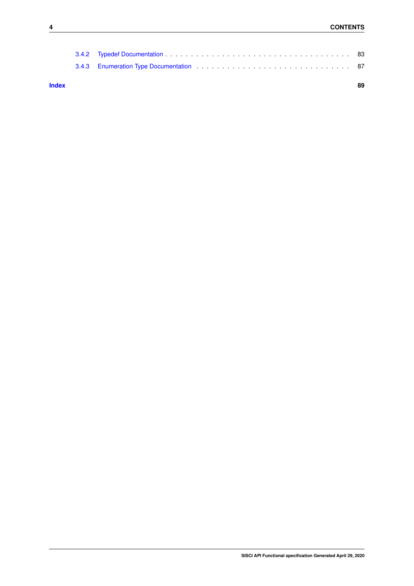| 3.4.3 Enumeration Type Documentation enterstanding to the set of the state of the state of the state of the state of the state of the state of the state of the state of the state of the state of the state of the state of t |  |
|--------------------------------------------------------------------------------------------------------------------------------------------------------------------------------------------------------------------------------|--|
|                                                                                                                                                                                                                                |  |

#### **[Index](#page-92-0) 89**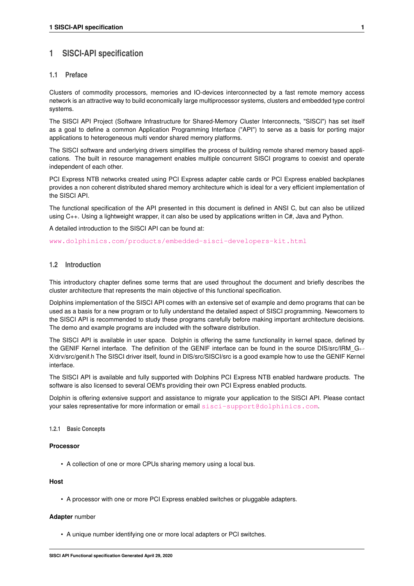# <span id="page-4-0"></span>**1 SISCI-API specification**

## <span id="page-4-1"></span>**1.1 Preface**

Clusters of commodity processors, memories and IO-devices interconnected by a fast remote memory access network is an attractive way to build economically large multiprocessor systems, clusters and embedded type control systems.

The SISCI API Project (Software Infrastructure for Shared-Memory Cluster Interconnects, "SISCI") has set itself as a goal to define a common Application Programming Interface ("API") to serve as a basis for porting major applications to heterogeneous multi vendor shared memory platforms.

The SISCI software and underlying drivers simplifies the process of building remote shared memory based applications. The built in resource management enables multiple concurrent SISCI programs to coexist and operate independent of each other.

PCI Express NTB networks created using PCI Express adapter cable cards or PCI Express enabled backplanes provides a non coherent distributed shared memory architecture which is ideal for a very efficient implementation of the SISCI API.

The functional specification of the API presented in this document is defined in ANSI C, but can also be utilized using C++. Using a lightweight wrapper, it can also be used by applications written in C#, Java and Python.

A detailed introduction to the SISCI API can be found at:

[www.dolphinics.com/products/embedded-sisci-developers-kit.html](http://www.dolphinics.com/products/embedded-sisci-developers-kit.html)

## <span id="page-4-2"></span>**1.2 Introduction**

This introductory chapter defines some terms that are used throughout the document and briefly describes the cluster architecture that represents the main objective of this functional specification.

Dolphins implementation of the SISCI API comes with an extensive set of example and demo programs that can be used as a basis for a new program or to fully understand the detailed aspect of SISCI programming. Newcomers to the SISCI API is recommended to study these programs carefully before making important architecture decisions. The demo and example programs are included with the software distribution.

The SISCI API is available in user space. Dolphin is offering the same functionality in kernel space, defined by the GENIF Kernel interface. The definition of the GENIF interface can be found in the source DIS/src/IRM\_G← X/drv/src/genif.h The SISCI driver itself, found in DIS/src/SISCI/src is a good example how to use the GENIF Kernel interface.

The SISCI API is available and fully supported with Dolphins PCI Express NTB enabled hardware products. The software is also licensed to several OEM's providing their own PCI Express enabled products.

Dolphin is offering extensive support and assistance to migrate your application to the SISCI API. Please contact your sales representative for more information or email [sisci-support@dolphinics.com](mailto:sisci-support@dolphinics.com).

## <span id="page-4-3"></span>**1.2.1 Basic Concepts**

## **Processor**

• A collection of one or more CPUs sharing memory using a local bus.

## **Host**

• A processor with one or more PCI Express enabled switches or pluggable adapters.

## **Adapter** number

• A unique number identifying one or more local adapters or PCI switches.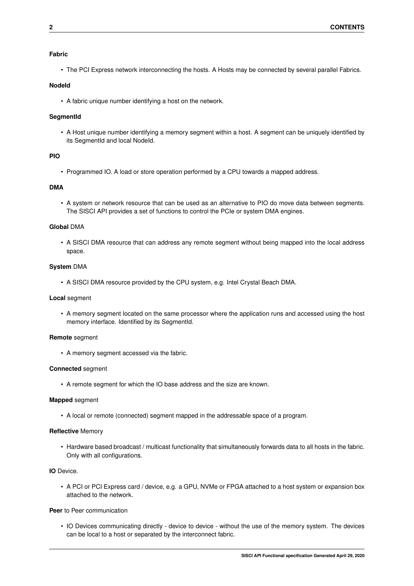## **Fabric**

• The PCI Express network interconnecting the hosts. A Hosts may be connected by several parallel Fabrics.

## **NodeId**

• A fabric unique number identifying a host on the network.

## **SegmentId**

• A Host unique number identifying a memory segment within a host. A segment can be uniquely identified by its SegmentId and local NodeId.

## **PIO**

• Programmed IO. A load or store operation performed by a CPU towards a mapped address.

## **DMA**

• A system or network resource that can be used as an alternative to PIO do move data between segments. The SISCI API provides a set of functions to control the PCIe or system DMA engines.

## **Global** DMA

• A SISCI DMA resource that can address any remote segment without being mapped into the local address space.

## **System** DMA

• A SISCI DMA resource provided by the CPU system, e.g. Intel Crystal Beach DMA.

## **Local** segment

• A memory segment located on the same processor where the application runs and accessed using the host memory interface. Identified by its SegmentId.

## **Remote** segment

• A memory segment accessed via the fabric.

## **Connected** segment

• A remote segment for which the IO base address and the size are known.

## **Mapped** segment

• A local or remote (connected) segment mapped in the addressable space of a program.

## **Reflective** Memory

• Hardware based broadcast / multicast functionality that simultaneously forwards data to all hosts in the fabric. Only with all configurations.

## **IO** Device.

• A PCI or PCI Express card / device, e.g. a GPU, NVMe or FPGA attached to a host system or expansion box attached to the network.

## **Peer** to Peer communication

• IO Devices communicating directly - device to device - without the use of the memory system. The devices can be local to a host or separated by the interconnect fabric.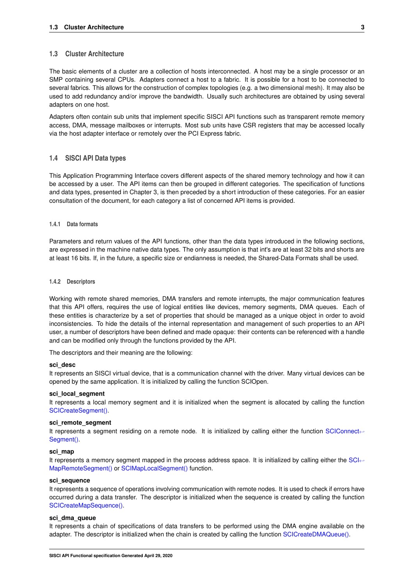## <span id="page-6-0"></span>**1.3 Cluster Architecture**

The basic elements of a cluster are a collection of hosts interconnected. A host may be a single processor or an SMP containing several CPUs. Adapters connect a host to a fabric. It is possible for a host to be connected to several fabrics. This allows for the construction of complex topologies (e.g. a two dimensional mesh). It may also be used to add redundancy and/or improve the bandwidth. Usually such architectures are obtained by using several adapters on one host.

Adapters often contain sub units that implement specific SISCI API functions such as transparent remote memory access, DMA, message mailboxes or interrupts. Most sub units have CSR registers that may be accessed locally via the host adapter interface or remotely over the PCI Express fabric.

## <span id="page-6-1"></span>**1.4 SISCI API Data types**

This Application Programming Interface covers different aspects of the shared memory technology and how it can be accessed by a user. The API items can then be grouped in different categories. The specification of functions and data types, presented in Chapter 3, is then preceded by a short introduction of these categories. For an easier consultation of the document, for each category a list of concerned API items is provided.

### <span id="page-6-2"></span>**1.4.1 Data formats**

Parameters and return values of the API functions, other than the data types introduced in the following sections, are expressed in the machine native data types. The only assumption is that int's are at least 32 bits and shorts are at least 16 bits. If, in the future, a specific size or endianness is needed, the Shared-Data Formats shall be used.

#### <span id="page-6-3"></span>**1.4.2 Descriptors**

Working with remote shared memories, DMA transfers and remote interrupts, the major communication features that this API offers, requires the use of logical entities like devices, memory segments, DMA queues. Each of these entities is characterize by a set of properties that should be managed as a unique object in order to avoid inconsistencies. To hide the details of the internal representation and management of such properties to an API user, a number of descriptors have been defined and made opaque: their contents can be referenced with a handle and can be modified only through the functions provided by the API.

The descriptors and their meaning are the following:

### **sci\_desc**

It represents an SISCI virtual device, that is a communication channel with the driver. Many virtual devices can be opened by the same application. It is initialized by calling the function SCIOpen.

#### **sci\_local\_segment**

It represents a local memory segment and it is initialized when the segment is allocated by calling the function [SCICreateSegment\(\).](#page-29-0)

### **sci\_remote\_segment**

It represents a segment residing on a remote node. It is initialized by calling either the function [SCIConnect](#page-23-0)← [Segment\(\).](#page-23-0)

#### **sci\_map**

It represents a memory segment mapped in the process address space. It is initialized by calling either the [SCI](#page-27-0)← [MapRemoteSegment\(\)](#page-27-0) or [SCIMapLocalSegment\(\)](#page-28-0) function.

#### **sci\_sequence**

It represents a sequence of operations involving communication with remote nodes. It is used to check if errors have occurred during a data transfer. The descriptor is initialized when the sequence is created by calling the function [SCICreateMapSequence\(\).](#page-35-0)

### **sci\_dma\_queue**

It represents a chain of specifications of data transfers to be performed using the DMA engine available on the adapter. The descriptor is initialized when the chain is created by calling the function [SCICreateDMAQueue\(\).](#page-44-0)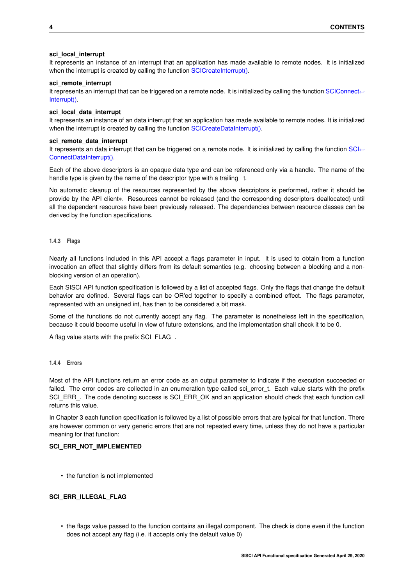### **sci\_local\_interrupt**

It represents an instance of an interrupt that an application has made available to remote nodes. It is initialized when the interrupt is created by calling the function [SCICreateInterrupt\(\).](#page-46-0)

### **sci\_remote\_interrupt**

It represents an interrupt that can be triggered on a remote node. It is initialized by calling the function [SCIConnect](#page-48-0)← [Interrupt\(\).](#page-48-0)

### **sci\_local\_data\_interrupt**

It represents an instance of an data interrupt that an application has made available to remote nodes. It is initialized when the interrupt is created by calling the function [SCICreateDataInterrupt\(\).](#page-50-0)

## **sci\_remote\_data\_interrupt**

It represents an data interrupt that can be triggered on a remote node. It is initialized by calling the function [SCI](#page-52-0)← [ConnectDataInterrupt\(\).](#page-52-0)

Each of the above descriptors is an opaque data type and can be referenced only via a handle. The name of the handle type is given by the name of the descriptor type with a trailing t.

No automatic cleanup of the resources represented by the above descriptors is performed, rather it should be provide by the API client∗. Resources cannot be released (and the corresponding descriptors deallocated) until all the dependent resources have been previously released. The dependencies between resource classes can be derived by the function specifications.

<span id="page-7-0"></span>**1.4.3 Flags**

Nearly all functions included in this API accept a flags parameter in input. It is used to obtain from a function invocation an effect that slightly differs from its default semantics (e.g. choosing between a blocking and a nonblocking version of an operation).

Each SISCI API function specification is followed by a list of accepted flags. Only the flags that change the default behavior are defined. Several flags can be OR'ed together to specify a combined effect. The flags parameter, represented with an unsigned int, has then to be considered a bit mask.

Some of the functions do not currently accept any flag. The parameter is nonetheless left in the specification, because it could become useful in view of future extensions, and the implementation shall check it to be 0.

A flag value starts with the prefix SCI\_FLAG\_.

## <span id="page-7-1"></span>**1.4.4 Errors**

Most of the API functions return an error code as an output parameter to indicate if the execution succeeded or failed. The error codes are collected in an enumeration type called sci error t. Each value starts with the prefix SCI\_ERR\_. The code denoting success is SCI\_ERR\_OK and an application should check that each function call returns this value.

In Chapter 3 each function specification is followed by a list of possible errors that are typical for that function. There are however common or very generic errors that are not repeated every time, unless they do not have a particular meaning for that function:

## SCI ERR\_NOT\_IMPLEMENTED

• the function is not implemented

## **SCI\_ERR\_ILLEGAL\_FLAG**

• the flags value passed to the function contains an illegal component. The check is done even if the function does not accept any flag (i.e. it accepts only the default value 0)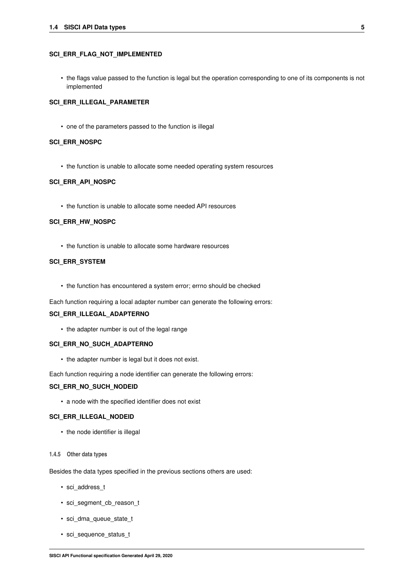#### **1.4 SISCI API Data types 5**

### **SCI\_ERR\_FLAG\_NOT\_IMPLEMENTED**

• the flags value passed to the function is legal but the operation corresponding to one of its components is not implemented

## **SCI\_ERR\_ILLEGAL\_PARAMETER**

• one of the parameters passed to the function is illegal

### **SCI\_ERR\_NOSPC**

• the function is unable to allocate some needed operating system resources

## **SCI\_ERR\_API\_NOSPC**

• the function is unable to allocate some needed API resources

#### **SCI\_ERR\_HW\_NOSPC**

• the function is unable to allocate some hardware resources

## **SCI\_ERR\_SYSTEM**

• the function has encountered a system error; errno should be checked

Each function requiring a local adapter number can generate the following errors:

### **SCI\_ERR\_ILLEGAL\_ADAPTERNO**

• the adapter number is out of the legal range

### **SCI\_ERR\_NO\_SUCH\_ADAPTERNO**

• the adapter number is legal but it does not exist.

Each function requiring a node identifier can generate the following errors:

## SCI ERR\_NO\_SUCH\_NODEID

• a node with the specified identifier does not exist

### **SCI\_ERR\_ILLEGAL\_NODEID**

• the node identifier is illegal

#### <span id="page-8-0"></span>**1.4.5 Other data types**

Besides the data types specified in the previous sections others are used:

- sci\_address\_t
- sci\_segment\_cb\_reason\_t
- sci\_dma\_queue\_state\_t
- sci\_sequence\_status\_t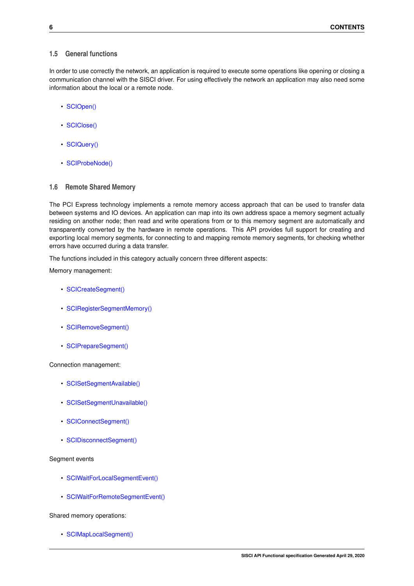## <span id="page-9-0"></span>**1.5 General functions**

In order to use correctly the network, an application is required to execute some operations like opening or closing a communication channel with the SISCI driver. For using effectively the network an application may also need some information about the local or a remote node.

- [SCIOpen\(\)](#page-22-0)
- [SCIClose\(\)](#page-22-1)
- [SCIQuery\(\)](#page-39-0)
- [SCIProbeNode\(\)](#page-38-0)

## <span id="page-9-1"></span>**1.6 Remote Shared Memory**

The PCI Express technology implements a remote memory access approach that can be used to transfer data between systems and IO devices. An application can map into its own address space a memory segment actually residing on another node; then read and write operations from or to this memory segment are automatically and transparently converted by the hardware in remote operations. This API provides full support for creating and exporting local memory segments, for connecting to and mapping remote memory segments, for checking whether errors have occurred during a data transfer.

The functions included in this category actually concern three different aspects:

Memory management:

- [SCICreateSegment\(\)](#page-29-0)
- [SCIRegisterSegmentMemory\(\)](#page-56-0)
- [SCIRemoveSegment\(\)](#page-32-0)
- [SCIPrepareSegment\(\)](#page-32-1)

Connection management:

- [SCISetSegmentAvailable\(\)](#page-34-0)
- [SCISetSegmentUnavailable\(\)](#page-34-1)
- [SCIConnectSegment\(\)](#page-23-0)
- [SCIDisconnectSegment\(\)](#page-24-0)

## Segment events

- [SCIWaitForLocalSegmentEvent\(\)](#page-31-0)
- [SCIWaitForRemoteSegmentEvent\(\)](#page-26-0)

Shared memory operations:

• [SCIMapLocalSegment\(\)](#page-28-0)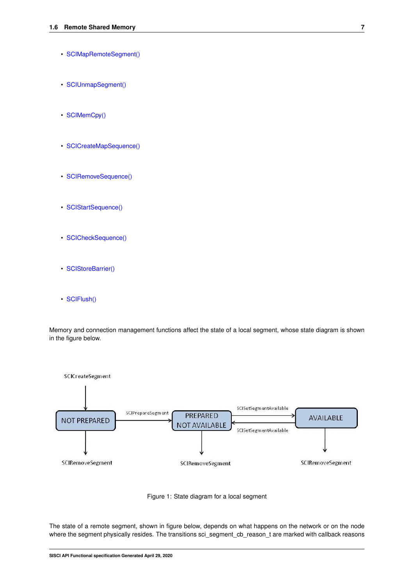- [SCIMapRemoteSegment\(\)](#page-27-0)
- [SCIUnmapSegment\(\)](#page-29-1)
- [SCIMemCpy\(\)](#page-55-0)
- [SCICreateMapSequence\(\)](#page-35-0)
- [SCIRemoveSequence\(\)](#page-35-1)
- [SCIStartSequence\(\)](#page-36-0)
- [SCICheckSequence\(\)](#page-36-1)
- [SCIStoreBarrier\(\)](#page-37-0)
- [SCIFlush\(\)](#page-58-0)

<span id="page-10-0"></span>Memory and connection management functions affect the state of a local segment, whose state diagram is shown in the figure below.





The state of a remote segment, shown in figure below, depends on what happens on the network or on the node where the segment physically resides. The transitions sci\_segment\_cb\_reason\_t are marked with callback reasons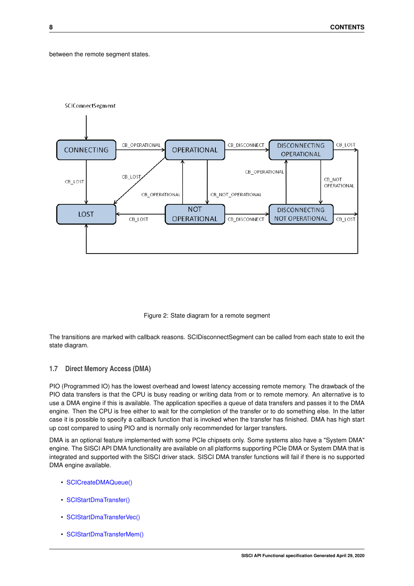## <span id="page-11-1"></span>between the remote segment states.



Figure 2: State diagram for a remote segment

The transitions are marked with callback reasons. SCIDisconnectSegment can be called from each state to exit the state diagram.

## <span id="page-11-0"></span>**1.7 Direct Memory Access (DMA)**

PIO (Programmed IO) has the lowest overhead and lowest latency accessing remote memory. The drawback of the PIO data transfers is that the CPU is busy reading or writing data from or to remote memory. An alternative is to use a DMA engine if this is available. The application specifies a queue of data transfers and passes it to the DMA engine. Then the CPU is free either to wait for the completion of the transfer or to do something else. In the latter case it is possible to specify a callback function that is invoked when the transfer has finished. DMA has high start up cost compared to using PIO and is normally only recommended for larger transfers.

DMA is an optional feature implemented with some PCIe chipsets only. Some systems also have a "System DMA" engine. The SISCI API DMA functionality are available on all platforms supporting PCIe DMA or System DMA that is integrated and supported with the SISCI driver stack. SISCI DMA transfer functions will fail if there is no supported DMA engine available.

- [SCICreateDMAQueue\(\)](#page-44-0)
- [SCIStartDmaTransfer\(\)](#page-59-0)
- [SCIStartDmaTransferVec\(\)](#page-62-0)
- [SCIStartDmaTransferMem\(\)](#page-60-0)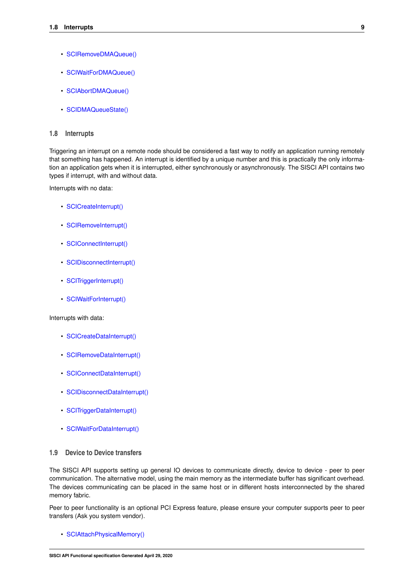- [SCIRemoveDMAQueue\(\)](#page-44-1)
- [SCIWaitForDMAQueue\(\)](#page-46-1)
- [SCIAbortDMAQueue\(\)](#page-45-0)
- [SCIDMAQueueState\(\)](#page-45-1)

## <span id="page-12-0"></span>**1.8 Interrupts**

Triggering an interrupt on a remote node should be considered a fast way to notify an application running remotely that something has happened. An interrupt is identified by a unique number and this is practically the only information an application gets when it is interrupted, either synchronously or asynchronously. The SISCI API contains two types if interrupt, with and without data.

Interrupts with no data:

- [SCICreateInterrupt\(\)](#page-46-0)
- [SCIRemoveInterrupt\(\)](#page-47-0)
- [SCIConnectInterrupt\(\)](#page-48-0)
- [SCIDisconnectInterrupt\(\)](#page-49-0)
- [SCITriggerInterrupt\(\)](#page-50-1)
- [SCIWaitForInterrupt\(\)](#page-48-1)

Interrupts with data:

- [SCICreateDataInterrupt\(\)](#page-50-0)
- [SCIRemoveDataInterrupt\(\)](#page-51-0)
- [SCIConnectDataInterrupt\(\)](#page-52-0)
- [SCIDisconnectDataInterrupt\(\)](#page-53-0)
- [SCITriggerDataInterrupt\(\)](#page-54-0)
- [SCIWaitForDataInterrupt\(\)](#page-52-1)

## <span id="page-12-1"></span>**1.9 Device to Device transfers**

The SISCI API supports setting up general IO devices to communicate directly, device to device - peer to peer communication. The alternative model, using the main memory as the intermediate buffer has significant overhead. The devices communicating can be placed in the same host or in different hosts interconnected by the shared memory fabric.

Peer to peer functionality is an optional PCI Express feature, please ensure your computer supports peer to peer transfers (Ask you system vendor).

• [SCIAttachPhysicalMemory\(\)](#page-38-1)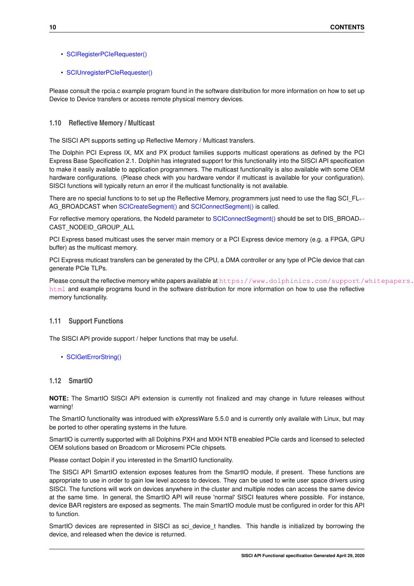- [SCIRegisterPCIeRequester\(\)](#page-69-0)
- [SCIUnregisterPCIeRequester\(\)](#page-70-0)

Please consult the rpcia.c example program found in the software distribution for more information on how to set up Device to Device transfers or access remote physical memory devices.

## <span id="page-13-0"></span>**1.10 Reflective Memory / Multicast**

The SISCI API supports setting up Reflective Memory / Multicast transfers.

The Dolphin PCI Express IX, MX and PX product families supports multicast operations as defined by the PCI Express Base Specification 2.1. Dolphin has integrated support for this functionality into the SISCI API specification to make it easily available to application programmers. The multicast functionality is also available with some OEM hardware configurations. (Please check with you hardware vendor if multicast is available for your configuration). SISCI functions will typically return an error if the multicast functionality is not available.

There are no special functions to to set up the Reflective Memory, programmers just need to use the flag SCI\_FL← AG\_BROADCAST when [SCICreateSegment\(\)](#page-29-0) and [SCIConnectSegment\(\)](#page-23-0) is called.

For reflective memory operations, the NodeId parameter to [SCIConnectSegment\(\)](#page-23-0) should be set to DIS\_BROAD← CAST\_NODEID\_GROUP\_ALL

PCI Express based multicast uses the server main memory or a PCI Express device memory (e.g. a FPGA, GPU buffer) as the multicast memory.

PCI Express muticast transfers can be generated by the CPU, a DMA controller or any type of PCIe device that can generate PCIe TLPs.

Please consult the reflective memory white papers available at [https://www.dolphinics.com/support/w](https://www.dolphinics.com/support/whitepapers.html)hitepapers. [html](https://www.dolphinics.com/support/whitepapers.html) and example programs found in the software distribution for more information on how to use the reflective memory functionality.

## <span id="page-13-1"></span>**1.11 Support Functions**

The SISCI API provide support / helper functions that may be useful.

• [SCIGetErrorString\(\)](#page-43-0)

## <span id="page-13-2"></span>**1.12 SmartIO**

**NOTE:** The SmartIO SISCI API extension is currently not finalized and may change in future releases without warning!

The SmartIO functionality was introdued with eXpressWare 5.5.0 and is currently only availale with Linux, but may be ported to other operating systems in the future.

SmartIO is currently supported with all Dolphins PXH and MXH NTB eneabled PCIe cards and licensed to selected OEM solutions based on Broadcom or Microsemi PCIe chipsets.

Please contact Dolpin if you interested in the SmartIO functionality.

The SISCI API SmartIO extension exposes features from the SmartIO module, if present. These functions are appropriate to use in order to gain low level access to devices. They can be used to write user space drivers using SISCI. The functions will work on devices anywhere in the cluster and multiple nodes can access the same device at the same time. In general, the SmartIO API will reuse 'normal' SISCI features where possible. For instance, device BAR registers are exposed as segments. The main SmartIO module must be configured in order for this API to function.

SmartIO devices are represented in SISCI as sci\_device\_t handles. This handle is initialized by borrowing the device, and released when the device is returned.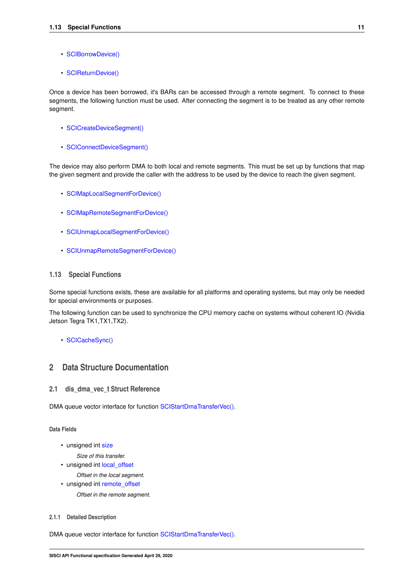- [SCIBorrowDevice\(\)](#page-71-0)
- [SCIReturnDevice\(\)](#page-72-0)

Once a device has been borrowed, it's BARs can be accessed through a remote segment. To connect to these segments, the following function must be used. After connecting the segment is to be treated as any other remote segment.

- [SCICreateDeviceSegment\(\)](#page-75-0)
- [SCIConnectDeviceSegment\(\)](#page-73-0)

The device may also perform DMA to both local and remote segments. This must be set up by functions that map the given segment and provide the caller with the address to be used by the device to reach the given segment.

- [SCIMapLocalSegmentForDevice\(\)](#page-77-0)
- [SCIMapRemoteSegmentForDevice\(\)](#page-79-0)
- [SCIUnmapLocalSegmentForDevice\(\)](#page-78-0)
- [SCIUnmapRemoteSegmentForDevice\(\)](#page-80-0)

### <span id="page-14-0"></span>**1.13 Special Functions**

Some special functions exists, these are available for all platforms and operating systems, but may only be needed for special environments or purposes.

The following function can be used to synchronize the CPU memory cache on systems without coherent IO (Nvidia Jetson Tegra TK1,TX1,TX2).

• [SCICacheSync\(\)](#page-68-0)

## <span id="page-14-1"></span>**2 Data Structure Documentation**

## <span id="page-14-2"></span>2.1 dis dma vec t Struct Reference

DMA queue vector interface for function [SCIStartDmaTransferVec\(\).](#page-62-0)

**Data Fields**

• unsigned int [size](#page-15-5)

*Size of this transfer.*

- unsigned int local offset
	- *Offset in the local segment.*
- unsigned int remote offset
	- *Offset in the remote segment.*

### <span id="page-14-3"></span>**2.1.1 Detailed Description**

DMA queue vector interface for function [SCIStartDmaTransferVec\(\).](#page-62-0)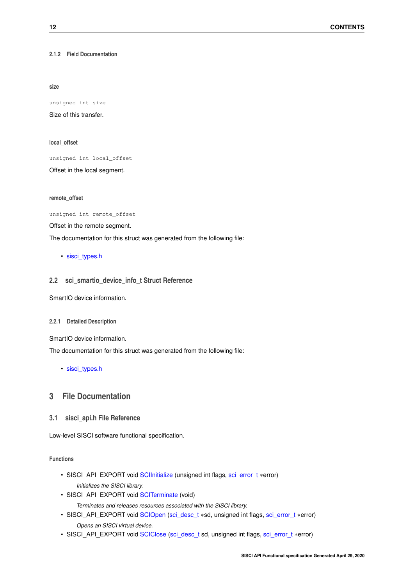<span id="page-15-5"></span><span id="page-15-0"></span>**2.1.2 Field Documentation**

**size**

unsigned int size

<span id="page-15-6"></span>Size of this transfer.

**local\_offset**

unsigned int local\_offset

<span id="page-15-7"></span>Offset in the local segment.

**remote\_offset**

unsigned int remote\_offset

Offset in the remote segment.

The documentation for this struct was generated from the following file:

• [sisci\\_types.h](#page-84-1)

## <span id="page-15-8"></span><span id="page-15-1"></span>**2.2 sci\_smartio\_device\_info\_t Struct Reference**

SmartIO device information.

#### <span id="page-15-2"></span>**2.2.1 Detailed Description**

SmartIO device information.

The documentation for this struct was generated from the following file:

• [sisci\\_types.h](#page-84-1)

## <span id="page-15-3"></span>**3 File Documentation**

<span id="page-15-4"></span>**3.1 sisci\_api.h File Reference**

Low-level SISCI software functional specification.

**Functions**

- SISCI\_API\_EXPORT void [SCIInitialize](#page-21-2) (unsigned int flags, [sci\\_error\\_t](#page-83-2) ∗error) *Initializes the SISCI library.*
- SISCI\_API\_EXPORT void [SCITerminate](#page-21-3) (void) *Terminates and releases resources associated with the SISCI library.*
- SISCI\_API\_EXPORT void [SCIOpen](#page-22-0) [\(sci\\_desc\\_t](#page-86-2) ∗sd, unsigned int flags, [sci\\_error\\_t](#page-83-2) ∗error) *Opens an SISCI virtual device.*
- SISCI\_API\_EXPORT void [SCIClose](#page-22-1) [\(sci\\_desc\\_t](#page-86-2) sd, unsigned int flags, [sci\\_error\\_t](#page-83-2) ∗error)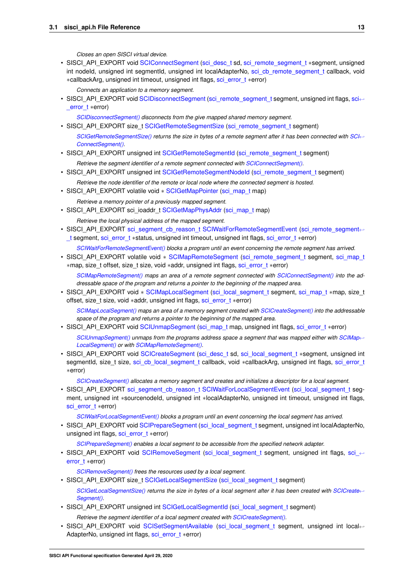*Closes an open SISCI virtual device.*

- SISCI\_API\_EXPORT void [SCIConnectSegment](#page-23-0) [\(sci\\_desc\\_t](#page-86-2) sd, [sci\\_remote\\_segment\\_t](#page-86-3) ∗segment, unsigned int nodeId, unsigned int segmentId, unsigned int localAdapterNo, [sci\\_cb\\_remote\\_segment\\_t](#page-88-0) callback, void ∗callbackArg, unsigned int timeout, unsigned int flags, [sci\\_error\\_t](#page-83-2) ∗error)
	- *Connects an application to a memory segment.*
- SISCI\_API\_EXPORT void [SCIDisconnectSegment](#page-24-0) [\(sci\\_remote\\_segment\\_t](#page-86-3) segment, unsigned int flags, [sci](#page-83-2)← error t ∗error)

*[SCIDisconnectSegment\(\)](#page-24-0) disconnects from the give mapped shared memory segment.*

- SISCI\_API\_EXPORT size\_t [SCIGetRemoteSegmentSize](#page-25-0) [\(sci\\_remote\\_segment\\_t](#page-86-3) segment) *[SCIGetRemoteSegmentSize\(\)](#page-25-0)* returns the size in bytes of a remote segment after it has been connected with [SCI](#page-23-0)←-*[ConnectSegment\(\).](#page-23-0)*
- SISCI\_API\_EXPORT unsigned int [SCIGetRemoteSegmentId](#page-25-1) [\(sci\\_remote\\_segment\\_t](#page-86-3) segment)

*Retrieve the segment identifier of a remote segment connected with [SCIConnectSegment\(\).](#page-23-0)*

- SISCI\_API\_EXPORT unsigned int [SCIGetRemoteSegmentNodeId](#page-25-2) [\(sci\\_remote\\_segment\\_t](#page-86-3) segment)
	- *Retrieve the node identifier of the remote or local node where the connected segment is hosted.*
- SISCI API EXPORT volatile void ∗ [SCIGetMapPointer](#page-26-1) [\(sci\\_map\\_t](#page-86-4) map) *Retrieve a memory pointer of a previously mapped segment.*
- SISCI\_API\_EXPORT sci\_ioaddr\_t [SCIGetMapPhysAddr](#page-26-2) [\(sci\\_map\\_t](#page-86-4) map) *Retrieve the local physical address of the mapped segment.*
- SISCI\_API\_EXPORT [sci\\_segment\\_cb\\_reason\\_t](#page-90-1) [SCIWaitForRemoteSegmentEvent](#page-26-0) [\(sci\\_remote\\_segment](#page-86-3)← t segment, sci\_error[\\_t](#page-86-3) ∗status, unsigned int timeout, unsigned int flags, [sci\\_error\\_t](#page-83-2) ∗error)

*[SCIWaitForRemoteSegmentEvent\(\)](#page-26-0) blocks a program until an event concerning the remote segment has arrived.*

• SISCI\_API\_EXPORT volatile void ∗ [SCIMapRemoteSegment](#page-27-0) [\(sci\\_remote\\_segment\\_t](#page-86-3) segment, [sci\\_map\\_t](#page-86-4) ∗map, size\_t offset, size\_t size, void ∗addr, unsigned int flags, [sci\\_error\\_t](#page-83-2) ∗error)

*[SCIMapRemoteSegment\(\)](#page-27-0) maps an area of a remote segment connected with [SCIConnectSegment\(\)](#page-23-0) into the addressable space of the program and returns a pointer to the beginning of the mapped area.*

• SISCI\_API\_EXPORT void ∗ [SCIMapLocalSegment](#page-28-0) [\(sci\\_local\\_segment\\_t](#page-86-5) segment, [sci\\_map\\_t](#page-86-4) ∗map, size\_t offset, size\_t size, void ∗addr, unsigned int flags, [sci\\_error\\_t](#page-83-2) ∗error)

*[SCIMapLocalSegment\(\)](#page-28-0) maps an area of a memory segment created with [SCICreateSegment\(\)](#page-29-0) into the addressable space of the program and returns a pointer to the beginning of the mapped area.*

- SISCI\_API\_EXPORT void [SCIUnmapSegment](#page-29-1) [\(sci\\_map\\_t](#page-86-4) map, unsigned int flags, [sci\\_error\\_t](#page-83-2) ∗error)
	- *[SCIUnmapSegment\(\)](#page-29-1) unmaps from the programs address space a segment that was mapped either with [SCIMap](#page-28-0)*← *[LocalSegment\(\)](#page-28-0) or with [SCIMapRemoteSegment\(\).](#page-27-0)*
- SISCI\_API\_EXPORT void [SCICreateSegment](#page-29-0) [\(sci\\_desc\\_t](#page-86-2) sd, [sci\\_local\\_segment\\_t](#page-86-5) ∗segment, unsigned int segmentId, size\_t size, [sci\\_cb\\_local\\_segment\\_t](#page-87-0) callback, void ∗callbackArg, unsigned int flags, [sci\\_error\\_t](#page-83-2) ∗error)

*[SCICreateSegment\(\)](#page-29-0) allocates a memory segment and creates and initializes a descriptor for a local segment.*

• SISCI\_API\_EXPORT [sci\\_segment\\_cb\\_reason\\_t](#page-90-1) [SCIWaitForLocalSegmentEvent](#page-31-0) [\(sci\\_local\\_segment\\_t](#page-86-5) segment, unsigned int ∗sourcenodeId, unsigned int ∗localAdapterNo, unsigned int timeout, unsigned int flags, [sci\\_error\\_t](#page-83-2) ∗error)

*[SCIWaitForLocalSegmentEvent\(\)](#page-31-0) blocks a program until an event concerning the local segment has arrived.*

• SISCI API\_EXPORT void [SCIPrepareSegment](#page-32-1) [\(sci\\_local\\_segment\\_t](#page-86-5) segment, unsigned int localAdapterNo, unsigned int flags, [sci\\_error\\_t](#page-83-2) ∗error)

*[SCIPrepareSegment\(\)](#page-32-1) enables a local segment to be accessible from the specified network adapter.*

• SISCI\_API\_EXPORT void [SCIRemoveSegment](#page-32-0) [\(sci\\_local\\_segment\\_t](#page-86-5) segment, unsigned int flags, sci ← error t ∗error)

*[SCIRemoveSegment\(\)](#page-32-0) frees the resources used by a local segment.*

- SISCI\_API\_EXPORT size\_t [SCIGetLocalSegmentSize](#page-33-0) [\(sci\\_local\\_segment\\_t](#page-86-5) segment) *[SCIGetLocalSegmentSize\(\)](#page-33-0)* returns the size in bytes of a local segment after it has been created with [SCICreate](#page-29-0)← *[Segment\(\).](#page-29-0)*
- SISCI\_API\_EXPORT unsigned int [SCIGetLocalSegmentId](#page-33-1) [\(sci\\_local\\_segment\\_t](#page-86-5) segment)

*Retrieve the segment identifier of a local segment created with [SCICreateSegment\(\).](#page-29-0)*

• SISCI\_API\_EXPORT void [SCISetSegmentAvailable](#page-34-0) [\(sci\\_local\\_segment\\_t](#page-86-5) segment, unsigned int local←- AdapterNo, unsigned int flags, sci\_error t ∗error)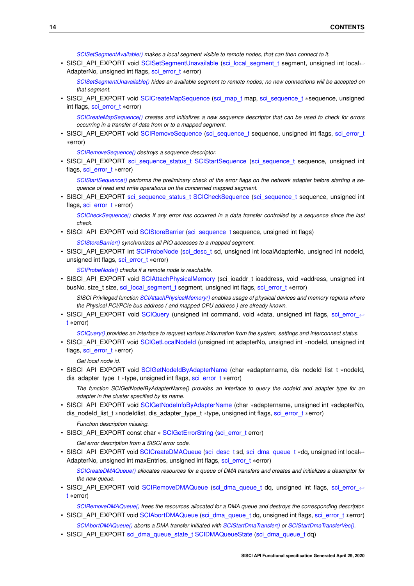*[SCISetSegmentAvailable\(\)](#page-34-0) makes a local segment visible to remote nodes, that can then connect to it.*

• SISCI\_API\_EXPORT void [SCISetSegmentUnavailable](#page-34-1) [\(sci\\_local\\_segment\\_t](#page-86-5) segment, unsigned int local←-AdapterNo, unsigned int flags, [sci\\_error\\_t](#page-83-2) ∗error)

*[SCISetSegmentUnavailable\(\)](#page-34-1) hides an available segment to remote nodes; no new connections will be accepted on that segment.*

• SISCI\_API\_EXPORT void [SCICreateMapSequence](#page-35-0) [\(sci\\_map\\_t](#page-86-4) map, [sci\\_sequence\\_t](#page-86-6) ∗sequence, unsigned int flags, [sci\\_error\\_t](#page-83-2) ∗error)

*[SCICreateMapSequence\(\)](#page-35-0) creates and initializes a new sequence descriptor that can be used to check for errors occurring in a transfer of data from or to a mapped segment.*

• SISCI\_API\_EXPORT void [SCIRemoveSequence](#page-35-1) [\(sci\\_sequence\\_t](#page-86-6) sequence, unsigned int flags, [sci\\_error\\_t](#page-83-2) ∗error)

*[SCIRemoveSequence\(\)](#page-35-1) destroys a sequence descriptor.*

• SISCI\_API\_EXPORT [sci\\_sequence\\_status\\_t](#page-91-0) [SCIStartSequence](#page-36-0) [\(sci\\_sequence\\_t](#page-86-6) sequence, unsigned int flags, [sci\\_error\\_t](#page-83-2) ∗error)

*[SCIStartSequence\(\)](#page-36-0) performs the preliminary check of the error flags on the network adapter before starting a sequence of read and write operations on the concerned mapped segment.*

• SISCI\_API\_EXPORT [sci\\_sequence\\_status\\_t](#page-91-0) [SCICheckSequence](#page-36-1) [\(sci\\_sequence\\_t](#page-86-6) sequence, unsigned int flags, [sci\\_error\\_t](#page-83-2) ∗error)

*[SCICheckSequence\(\)](#page-36-1) checks if any error has occurred in a data transfer controlled by a sequence since the last check.*

• SISCI\_API\_EXPORT void [SCIStoreBarrier](#page-37-0) [\(sci\\_sequence\\_t](#page-86-6) sequence, unsigned int flags)

*[SCIStoreBarrier\(\)](#page-37-0) synchronizes all PIO accesses to a mapped segment.*

• SISCI\_API\_EXPORT int [SCIProbeNode](#page-38-0) [\(sci\\_desc\\_t](#page-86-2) sd, unsigned int localAdapterNo, unsigned int nodeId, unsigned int flags, [sci\\_error\\_t](#page-83-2) ∗error)

*[SCIProbeNode\(\)](#page-38-0) checks if a remote node is reachable.*

• SISCI\_API\_EXPORT void [SCIAttachPhysicalMemory](#page-38-1) (sci\_ioaddr\_t ioaddress, void ∗address, unsigned int busNo, size\_t size, [sci\\_local\\_segment\\_t](#page-86-5) segment, unsigned int flags, [sci\\_error\\_t](#page-83-2) ∗error)

*SISCI Privileged function [SCIAttachPhysicalMemory\(\)](#page-38-1) enables usage of physical devices and memory regions where the Physical PCI/PCIe bus address ( and mapped CPU address ) are already known.*

• SISCI\_API\_EXPORT void [SCIQuery](#page-39-0) (unsigned int command, void \*data, unsigned int flags, [sci\\_error\\_](#page-83-2)← [t](#page-83-2) ∗error)

*[SCIQuery\(\)](#page-39-0) provides an interface to request various information from the system, settings and interconnect status.*

• SISCI\_API\_EXPORT void [SCIGetLocalNodeId](#page-42-0) (unsigned int adapterNo, unsigned int ∗nodeId, unsigned int flags, [sci\\_error\\_t](#page-83-2) ∗error)

*Get local node id.*

• SISCI\_API\_EXPORT void [SCIGetNodeIdByAdapterName](#page-42-1) (char \*adaptername, dis\_nodeId\_list\_t \*nodeId, dis\_adapter\_type\_t ∗type, unsigned int flags, [sci\\_error\\_t](#page-83-2) ∗error)

*The function SCIGetNodeIByAdapterName() provides an interface to query the nodeId and adapter type for an adapter in the cluster specified by its name.*

• SISCI\_API\_EXPORT void [SCIGetNodeInfoByAdapterName](#page-43-1) (char ∗adaptername, unsigned int ∗adapterNo, dis\_nodeId\_list\_t ∗nodeIdlist, dis\_adapter\_type\_t ∗type, unsigned int flags, [sci\\_error\\_t](#page-83-2) ∗error)

*Function description missing.*

• SISCI\_API\_EXPORT const char ∗ [SCIGetErrorString](#page-43-0) [\(sci\\_error\\_t](#page-83-2) error)

*Get error description from a SISCI error code.*

• SISCI\_API\_EXPORT void [SCICreateDMAQueue](#page-44-0) [\(sci\\_desc\\_t](#page-86-2) sd, [sci\\_dma\\_queue\\_t](#page-86-7) ∗dq, unsigned int local←AdapterNo, unsigned int maxEntries, unsigned int flags, [sci\\_error\\_t](#page-83-2) ∗error)

*[SCICreateDMAQueue\(\)](#page-44-0) allocates resources for a queue of DMA transfers and creates and initializes a descriptor for the new queue.*

• SISCI API\_EXPORT void [SCIRemoveDMAQueue](#page-44-1) [\(sci\\_dma\\_queue\\_t](#page-86-7) dq, unsigned int flags, sci\_error ← [t](#page-83-2) ∗error)

*[SCIRemoveDMAQueue\(\)](#page-44-1) frees the resources allocated for a DMA queue and destroys the corresponding descriptor.* • SISCI\_API\_EXPORT void [SCIAbortDMAQueue](#page-45-0) [\(sci\\_dma\\_queue\\_t](#page-86-7) dq, unsigned int flags, [sci\\_error\\_t](#page-83-2) ∗error)

- *[SCIAbortDMAQueue\(\)](#page-45-0) aborts a DMA transfer initiated with [SCIStartDmaTransfer\(\)](#page-59-0) or [SCIStartDmaTransferVec\(\).](#page-62-0)*
- SISCI\_API\_EXPORT [sci\\_dma\\_queue\\_state\\_t](#page-91-1) [SCIDMAQueueState](#page-45-1) [\(sci\\_dma\\_queue\\_t](#page-86-7) dq)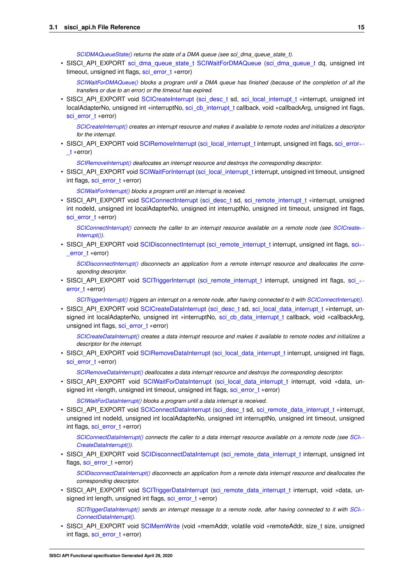*[SCIDMAQueueState\(\)](#page-45-1) returns the state of a DMA queue (see sci\_dma\_queue\_state\_t).*

• SISCI\_API\_EXPORT [sci\\_dma\\_queue\\_state\\_t](#page-91-1) [SCIWaitForDMAQueue](#page-46-1) [\(sci\\_dma\\_queue\\_t](#page-86-7) dq, unsigned int timeout, unsigned int flags, [sci\\_error\\_t](#page-83-2) ∗error)

*[SCIWaitForDMAQueue\(\)](#page-46-1) blocks a program until a DMA queue has finished (because of the completion of all the transfers or due to an error) or the timeout has expired.*

• SISCI\_API\_EXPORT void [SCICreateInterrupt](#page-46-0) [\(sci\\_desc\\_t](#page-86-2) sd, [sci\\_local\\_interrupt\\_t](#page-87-1) ∗interrupt, unsigned int localAdapterNo, unsigned int ∗interruptNo, [sci\\_cb\\_interrupt\\_t](#page-89-0) callback, void ∗callbackArg, unsigned int flags, [sci\\_error\\_t](#page-83-2) ∗error)

*[SCICreateInterrupt\(\)](#page-46-0) creates an interrupt resource and makes it available to remote nodes and initializes a descriptor for the interrupt.*

• SISCI\_API\_EXPORT void [SCIRemoveInterrupt](#page-47-0) [\(sci\\_local\\_interrupt\\_t](#page-87-1) interrupt, unsigned int flags, [sci\\_error](#page-83-2)←-[\\_t](#page-83-2) ∗error)

*[SCIRemoveInterrupt\(\)](#page-47-0) deallocates an interrupt resource and destroys the corresponding descriptor.*

• SISCI\_API\_EXPORT void [SCIWaitForInterrupt](#page-48-1) [\(sci\\_local\\_interrupt\\_t](#page-87-1) interrupt, unsigned int timeout, unsigned int flags, [sci\\_error\\_t](#page-83-2) ∗error)

*[SCIWaitForInterrupt\(\)](#page-48-1) blocks a program until an interrupt is received.*

• SISCI\_API\_EXPORT void [SCIConnectInterrupt](#page-48-0) [\(sci\\_desc\\_t](#page-86-2) sd, [sci\\_remote\\_interrupt\\_t](#page-87-2) ∗interrupt, unsigned int nodeId, unsigned int localAdapterNo, unsigned int interruptNo, unsigned int timeout, unsigned int flags, [sci\\_error\\_t](#page-83-2) ∗error)

*[SCIConnectInterrupt\(\)](#page-48-0) connects the caller to an interrupt resource available on a remote node (see [SCICreate](#page-46-0)*←- *[Interrupt\(\)\)](#page-46-0).*

• SISCI\_API\_EXPORT void [SCIDisconnectInterrupt](#page-49-0) [\(sci\\_remote\\_interrupt\\_t](#page-87-2) interrupt, unsigned int flags, [sci](#page-83-2)←error t ∗error)

*[SCIDisconnectInterrupt\(\)](#page-49-0) disconnects an application from a remote interrupt resource and deallocates the corresponding descriptor.*

• SISCI\_API\_EXPORT void [SCITriggerInterrupt](#page-50-1) [\(sci\\_remote\\_interrupt\\_t](#page-87-2) interrupt, unsigned int flags, [sci\\_](#page-83-2)← error t ∗error)

*[SCITriggerInterrupt\(\)](#page-50-1) triggers an interrupt on a remote node, after having connected to it with [SCIConnectInterrupt\(\).](#page-48-0)*

• SISCI\_API\_EXPORT void [SCICreateDataInterrupt](#page-50-0) [\(sci\\_desc\\_t](#page-86-2) sd, [sci\\_local\\_data\\_interrupt\\_t](#page-87-3) ∗interrupt, unsigned int localAdapterNo, unsigned int ∗interruptNo, [sci\\_cb\\_data\\_interrupt\\_t](#page-89-1) callback, void ∗callbackArg, unsigned int flags, [sci\\_error\\_t](#page-83-2) ∗error)

*[SCICreateDataInterrupt\(\)](#page-50-0) creates a data interrupt resource and makes it available to remote nodes and initializes a descriptor for the interrupt.*

• SISCI\_API\_EXPORT void [SCIRemoveDataInterrupt](#page-51-0) [\(sci\\_local\\_data\\_interrupt\\_t](#page-87-3) interrupt, unsigned int flags, [sci\\_error\\_t](#page-83-2) ∗error)

*[SCIRemoveDataInterrupt\(\)](#page-51-0) deallocates a data interrupt resource and destroys the corresponding descriptor.*

• SISCI API EXPORT void [SCIWaitForDataInterrupt](#page-52-1) (sci local data\_interrupt\_t interrupt, void ∗data, unsigned int ∗length, unsigned int timeout, unsigned int flags, sci\_error t ∗error)

*[SCIWaitForDataInterrupt\(\)](#page-52-1) blocks a program until a data interrupt is received.*

• SISCI\_API\_EXPORT void [SCIConnectDataInterrupt](#page-52-0) [\(sci\\_desc\\_t](#page-86-2) sd, [sci\\_remote\\_data\\_interrupt\\_t](#page-87-4) ∗interrupt, unsigned int nodeId, unsigned int localAdapterNo, unsigned int interruptNo, unsigned int timeout, unsigned int flags, [sci\\_error\\_t](#page-83-2) ∗error)

*[SCIConnectDataInterrupt\(\)](#page-52-0) connects the caller to a data interrupt resource available on a remote node (see [SCI](#page-50-0)*←- *[CreateDataInterrupt\(\)\)](#page-50-0).*

• SISCI\_API\_EXPORT void [SCIDisconnectDataInterrupt](#page-53-0) [\(sci\\_remote\\_data\\_interrupt\\_t](#page-87-4) interrupt, unsigned int flags, [sci\\_error\\_t](#page-83-2) ∗error)

*[SCIDisconnectDataInterrupt\(\)](#page-53-0) disconnects an application from a remote data interrupt resource and deallocates the corresponding descriptor.*

• SISCI\_API\_EXPORT void [SCITriggerDataInterrupt](#page-54-0) [\(sci\\_remote\\_data\\_interrupt\\_t](#page-87-4) interrupt, void ∗data, unsigned int length, unsigned int flags, [sci\\_error\\_t](#page-83-2) ∗error)

*[SCITriggerDataInterrupt\(\)](#page-54-0)* sends an interrupt message to a remote node, after having connected to it with [SCI](#page-52-0)←-*[ConnectDataInterrupt\(\).](#page-52-0)*

• SISCI\_API\_EXPORT void [SCIMemWrite](#page-54-1) (void ∗memAddr, volatile void ∗remoteAddr, size\_t size, unsigned int flags, [sci\\_error\\_t](#page-83-2) ∗error)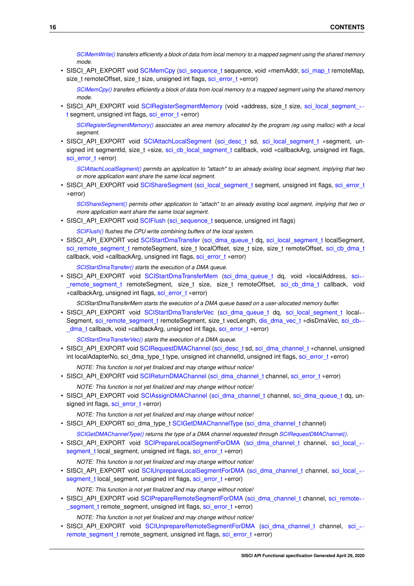*[SCIMemWrite\(\)](#page-54-1) transfers efficiently a block of data from local memory to a mapped segment using the shared memory mode.*

• SISCI\_API\_EXPORT void [SCIMemCpy](#page-55-0) [\(sci\\_sequence\\_t](#page-86-6) sequence, void ∗memAddr, [sci\\_map\\_t](#page-86-4) remoteMap, size\_t remoteOffset, size\_t size, unsigned int flags, [sci\\_error\\_t](#page-83-2) ∗error)

*[SCIMemCpy\(\)](#page-55-0) transfers efficiently a block of data from local memory to a mapped segment using the shared memory mode.*

• SISCI\_API\_EXPORT void [SCIRegisterSegmentMemory](#page-56-0) (void ∗address, size\_t size, [sci\\_local\\_segment\\_](#page-86-5)← [t](#page-86-5) segment, unsigned int flags, [sci\\_error\\_t](#page-83-2) ∗error)

*[SCIRegisterSegmentMemory\(\)](#page-56-0) associates an area memory allocated by the program (eg using malloc) with a local segment.*

• SISCI\_API\_EXPORT void [SCIAttachLocalSegment](#page-57-0) [\(sci\\_desc\\_t](#page-86-2) sd, sci\_local\_segment t ∗segment, unsigned int segmentId, size t ∗size, [sci\\_cb\\_local\\_segment\\_t](#page-87-0) callback, void ∗callbackArg, unsigned int flags, [sci\\_error\\_t](#page-83-2) ∗error)

*[SCIAttachLocalSegment\(\)](#page-57-0) permits an application to "attach" to an already existing local segment, implying that two or more application want share the same local segment.*

• SISCI\_API\_EXPORT void [SCIShareSegment](#page-58-1) [\(sci\\_local\\_segment\\_t](#page-86-5) segment, unsigned int flags, [sci\\_error\\_t](#page-83-2) ∗error)

*[SCIShareSegment\(\)](#page-58-1) permits other application to "attach" to an already existing local segment, implying that two or more application want share the same local segment.*

• SISCI\_API\_EXPORT void [SCIFlush](#page-58-0) [\(sci\\_sequence\\_t](#page-86-6) sequence, unsigned int flags)

*[SCIFlush\(\)](#page-58-0) flushes the CPU write combining buffers of the local system.*

• SISCI\_API\_EXPORT void [SCIStartDmaTransfer](#page-59-0) [\(sci\\_dma\\_queue\\_t](#page-86-7) dq, [sci\\_local\\_segment\\_t](#page-86-5) localSegment, [sci\\_remote\\_segment\\_t](#page-86-3) remoteSegment, size\_t localOffset, size\_t size, size\_t remoteOffset, [sci\\_cb\\_dma\\_t](#page-88-1) callback, void ∗callbackArg, unsigned int flags, [sci\\_error\\_t](#page-83-2) ∗error)

*[SCIStartDmaTransfer\(\)](#page-59-0) starts the execution of a DMA queue.*

• SISCI\_API\_EXPORT void [SCIStartDmaTransferMem](#page-60-0) [\(sci\\_dma\\_queue\\_t](#page-86-7) dq, void ∗localAddress, [sci](#page-86-3)← remote segment t remoteSegment, size t size, size t remoteOffset, sci cb dma\_t callback, void ∗callbackArg, unsigned int flags, [sci\\_error\\_t](#page-83-2) ∗error)

*SCIStartDmaTransferMem starts the execution of a DMA queue based on a user-allocated memory buffer.*

• SISCI API\_EXPORT void [SCIStartDmaTransferVec](#page-62-0) [\(sci\\_dma\\_queue\\_t](#page-86-7) dq, [sci\\_local\\_segment\\_t](#page-86-5) local←Segment, [sci\\_remote\\_segment\\_t](#page-86-3) remoteSegment, size\_t vecLength, [dis\\_dma\\_vec\\_t](#page-14-2) ∗disDmaVec, [sci\\_cb](#page-88-1)←-[\\_dma\\_t](#page-88-1) callback, void ∗callbackArg, unsigned int flags, [sci\\_error\\_t](#page-83-2) ∗error)

*[SCIStartDmaTransferVec\(\)](#page-62-0) starts the execution of a DMA queue.*

- SISCI\_API\_EXPORT void [SCIRequestDMAChannel](#page-63-0) [\(sci\\_desc\\_t](#page-86-2) sd, [sci\\_dma\\_channel\\_t](#page-86-8) ∗channel, unsigned int localAdapterNo, sci\_dma\_type\_t type, unsigned int channelId, unsigned int flags, [sci\\_error\\_t](#page-83-2) ∗error) *NOTE: This function is not yet finalized and may change without notice!*
- SISCI\_API\_EXPORT void [SCIReturnDMAChannel](#page-64-0) [\(sci\\_dma\\_channel\\_t](#page-86-8) channel, [sci\\_error\\_t](#page-83-2) ∗error) *NOTE: This function is not yet finalized and may change without notice!*
- SISCI\_API\_EXPORT void [SCIAssignDMAChannel](#page-65-0) [\(sci\\_dma\\_channel\\_t](#page-86-8) channel, [sci\\_dma\\_queue\\_t](#page-86-7) dq, unsigned int flags, [sci\\_error\\_t](#page-83-2) ∗error)

*NOTE: This function is not yet finalized and may change without notice!*

• SISCI\_API\_EXPORT sci\_dma\_type\_t [SCIGetDMAChannelType](#page-65-1) [\(sci\\_dma\\_channel\\_t](#page-86-8) channel)

*[SCIGetDMAChannelType\(\)](#page-65-1) returns the type of a DMA channel requested through [SCIRequestDMAChannel\(\).](#page-63-0)*

• SISCI\_API\_EXPORT void [SCIPrepareLocalSegmentForDMA](#page-65-2) [\(sci\\_dma\\_channel\\_t](#page-86-8) channel, [sci\\_local\\_](#page-86-5)← segment t local segment, unsigned int flags, sci\_error t ∗error)

*NOTE: This function is not yet finalized and may change without notice!*

• SISCI\_API\_EXPORT void [SCIUnprepareLocalSegmentForDMA](#page-66-0) [\(sci\\_dma\\_channel\\_t](#page-86-8) channel, sci\_local ← segment t local\_segment, unsigned int flags, [sci\\_error\\_t](#page-83-2) ∗error)

*NOTE: This function is not yet finalized and may change without notice!*

• SISCI\_API\_EXPORT void [SCIPrepareRemoteSegmentForDMA](#page-67-0) [\(sci\\_dma\\_channel\\_t](#page-86-8) channel, [sci\\_remote](#page-86-3)← [\\_segment\\_t](#page-86-3) remote\_segment, unsigned int flags, [sci\\_error\\_t](#page-83-2) ∗error)

*NOTE: This function is not yet finalized and may change without notice!*

• SISCI\_API\_EXPORT void [SCIUnprepareRemoteSegmentForDMA](#page-68-1) [\(sci\\_dma\\_channel\\_t](#page-86-8) channel, [sci\\_](#page-86-3)← [remote\\_segment\\_t](#page-86-3) remote\_segment, unsigned int flags, [sci\\_error\\_t](#page-83-2) ∗error)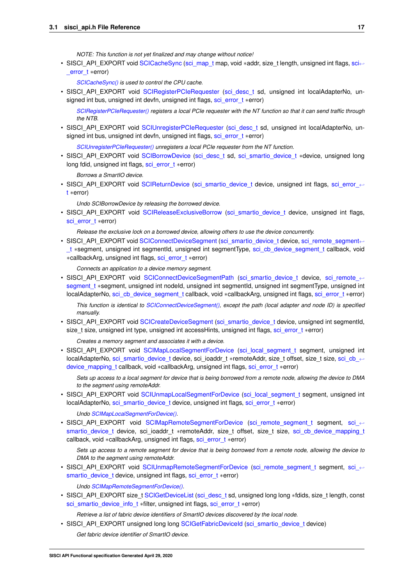*NOTE: This function is not yet finalized and may change without notice!*

• SISCI\_API\_EXPORT void [SCICacheSync](#page-68-0) [\(sci\\_map\\_t](#page-86-4) map, void ∗addr, size\_t length, unsigned int flags, [sci](#page-83-2)← [\\_error\\_t](#page-83-2) ∗error)

*[SCICacheSync\(\)](#page-68-0) is used to control the CPU cache.*

• SISCI\_API\_EXPORT void [SCIRegisterPCIeRequester](#page-69-0) [\(sci\\_desc\\_t](#page-86-2) sd, unsigned int localAdapterNo, unsigned int bus, unsigned int devfn, unsigned int flags, [sci\\_error\\_t](#page-83-2) ∗error)

*[SCIRegisterPCIeRequester\(\)](#page-69-0) registers a local PCIe requester with the NT function so that it can send traffic through the NTB.*

• SISCI\_API\_EXPORT void [SCIUnregisterPCIeRequester](#page-70-0) [\(sci\\_desc\\_t](#page-86-2) sd, unsigned int localAdapterNo, unsigned int bus, unsigned int devfn, unsigned int flags, [sci\\_error\\_t](#page-83-2) ∗error)

*[SCIUnregisterPCIeRequester\(\)](#page-70-0) unregisters a local PCIe requester from the NT function.*

• SISCI\_API\_EXPORT void [SCIBorrowDevice](#page-71-0) [\(sci\\_desc\\_t](#page-86-2) sd, [sci\\_smartio\\_device\\_t](#page-87-5) ∗device, unsigned long long fdid, unsigned int flags, [sci\\_error\\_t](#page-83-2) ∗error)

*Borrows a SmartIO device.*

• SISCI\_API\_EXPORT void [SCIReturnDevice](#page-72-0) [\(sci\\_smartio\\_device\\_t](#page-87-5) device, unsigned int flags, sci\_error ← [t](#page-83-2) ∗error)

*Undo SCIBorrowDevice by releasing the borrowed device.*

• SISCI API EXPORT void [SCIReleaseExclusiveBorrow](#page-72-1) [\(sci\\_smartio\\_device\\_t](#page-87-5) device, unsigned int flags, [sci\\_error\\_t](#page-83-2) ∗error)

*Release the exclusive lock on a borrowed device, allowing others to use the device concurrently.*

• SISCI\_API\_EXPORT void [SCIConnectDeviceSegment](#page-73-0) [\(sci\\_smartio\\_device\\_t](#page-87-5) device, [sci\\_remote\\_segment](#page-86-3)←-t ∗segment, unsigned int segmentId, unsigned int segmentType, sci\_cb\_device\_segment[\\_t](#page-86-3) callback, void ∗callbackArg, unsigned int flags, [sci\\_error\\_t](#page-83-2) ∗error)

*Connects an application to a device memory segment.*

• SISCI\_API\_EXPORT\_void\_[SCIConnectDeviceSegmentPath](#page-74-0) [\(sci\\_smartio\\_device\\_t](#page-87-5) device, sci\_remote ← segment t ∗segment, unsigned int nodeId, unsigned int segmentId, unsigned int segmentType, unsigned int localAdapterNo, [sci\\_cb\\_device\\_segment\\_t](#page-89-2) callback, void ∗callbackArg, unsigned int flags, [sci\\_error\\_t](#page-83-2) ∗error)

*This function is identical to [SCIConnectDeviceSegment\(\),](#page-73-0) except the path (local adapter and node ID) is specified manually.*

• SISCI\_API\_EXPORT void [SCICreateDeviceSegment](#page-75-0) [\(sci\\_smartio\\_device\\_t](#page-87-5) device, unsigned int segmentId, size\_t size, unsigned int type, unsigned int accessHints, unsigned int flags, [sci\\_error\\_t](#page-83-2) ∗error)

*Creates a memory segment and associates it with a device.*

• SISCI\_API\_EXPORT\_void\_[SCIMapLocalSegmentForDevice](#page-77-0) [\(sci\\_local\\_segment\\_t](#page-86-5) segment, unsigned int localAdapterNo, [sci\\_smartio\\_device\\_t](#page-87-5) device, sci\_ioaddr\_t ∗remoteAddr, size\_t offset, size\_t size, [sci\\_cb\\_](#page-90-2)← [device\\_mapping\\_t](#page-90-2) callback, void ∗callbackArg, unsigned int flags, [sci\\_error\\_t](#page-83-2) ∗error)

*Sets up access to a local segment for device that is being borrowed from a remote node, allowing the device to DMA to the segment using remoteAddr.*

• SISCI\_API\_EXPORT void [SCIUnmapLocalSegmentForDevice](#page-78-0) [\(sci\\_local\\_segment\\_t](#page-86-5) segment, unsigned int localAdapterNo, [sci\\_smartio\\_device\\_t](#page-87-5) device, unsigned int flags, sci\_error t ∗error)

*Undo [SCIMapLocalSegmentForDevice\(\).](#page-77-0)*

• SISCI\_API\_EXPORT\_void\_[SCIMapRemoteSegmentForDevice](#page-79-0)\_[\(sci\\_remote\\_segment\\_t](#page-86-3)\_segment, sci ← smartio device t device, sci\_ioaddr\_t ∗remoteAddr, size\_t offset, size\_t size, [sci\\_cb\\_device\\_mapping\\_t](#page-90-2) callback, void ∗callbackArg, unsigned int flags, [sci\\_error\\_t](#page-83-2) ∗error)

*Sets up access to a remote segment for device that is being borrowed from a remote node, allowing the device to DMA to the segment using remoteAddr.*

• SISCI\_API\_EXPORT void [SCIUnmapRemoteSegmentForDevice](#page-80-0) [\(sci\\_remote\\_segment\\_t](#page-86-3) segment, sci ← [smartio\\_device\\_t](#page-87-5) device, unsigned int flags, [sci\\_error\\_t](#page-83-2) ∗error)

*Undo [SCIMapRemoteSegmentForDevice\(\).](#page-79-0)*

• SISCI\_API\_EXPORT size\_t [SCIGetDeviceList](#page-80-1) [\(sci\\_desc\\_t](#page-86-2) sd, unsigned long long ∗fdids, size\_t length, const [sci\\_smartio\\_device\\_info\\_t](#page-15-8) ∗filter, unsigned int flags, [sci\\_error\\_t](#page-83-2) ∗error)

*Retrieve a list of fabric device identifiers of SmartIO devices discovered by the local node.*

• SISCI\_API\_EXPORT unsigned long long [SCIGetFabricDeviceId](#page-81-1) [\(sci\\_smartio\\_device\\_t](#page-87-5) device) *Get fabric device identifier of SmartIO device.*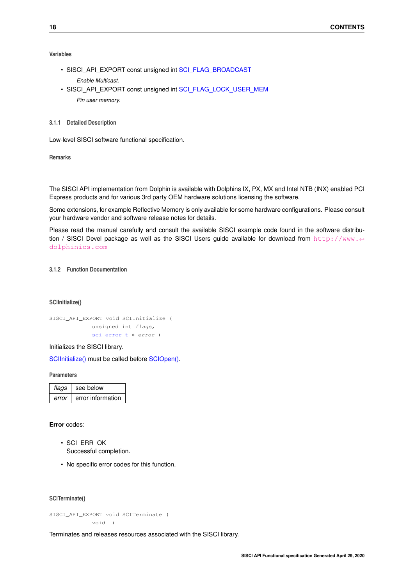## **Variables**

- SISCI\_API\_EXPORT const unsigned int [SCI\\_FLAG\\_BROADCAST](#page-81-2) *Enable Multicast.*
- SISCI\_API\_EXPORT const unsigned int [SCI\\_FLAG\\_LOCK\\_USER\\_MEM](#page-82-2) *Pin user memory.*
- <span id="page-21-0"></span>**3.1.1 Detailed Description**

Low-level SISCI software functional specification.

**Remarks**

The SISCI API implementation from Dolphin is available with Dolphins IX, PX, MX and Intel NTB (INX) enabled PCI Express products and for various 3rd party OEM hardware solutions licensing the software.

Some extensions, for example Reflective Memory is only available for some hardware configurations. Please consult your hardware vendor and software release notes for details.

Please read the manual carefully and consult the available SISCI example code found in the software distribution / SISCI Devel package as well as the SISCI Users guide available for download from [http://www.](http://www.dolphinics.com)← [dolphinics.com](http://www.dolphinics.com)

## <span id="page-21-2"></span><span id="page-21-1"></span>**3.1.2 Function Documentation**

#### **SCIInitialize()**

SISCI\_API\_EXPORT void SCIInitialize ( unsigned int flags, [sci\\_error\\_t](#page-83-2) \* error )

Initializes the SISCI library.

[SCIInitialize\(\)](#page-21-2) must be called before [SCIOpen\(\).](#page-22-0)

**Parameters**

| flags | see below         |
|-------|-------------------|
| error | error information |

**Error** codes:

- SCI\_ERR\_OK Successful completion.
- No specific error codes for this function.

<span id="page-21-3"></span>**SCITerminate()**

SISCI\_API\_EXPORT void SCITerminate ( void )

Terminates and releases resources associated with the SISCI library.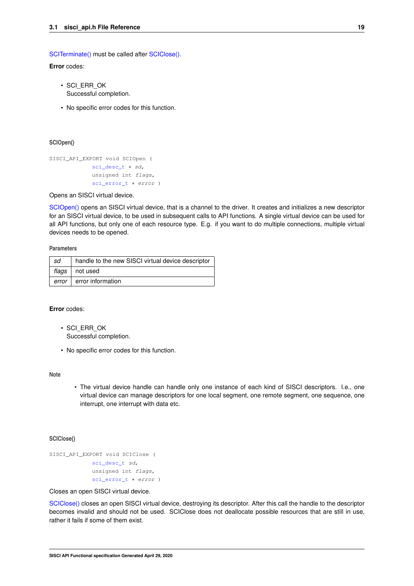[SCITerminate\(\)](#page-21-3) must be called after [SCIClose\(\).](#page-22-1)

**Error** codes:

- SCI\_ERR\_OK Successful completion.
- No specific error codes for this function.

<span id="page-22-0"></span>**SCIOpen()**

```
SISCI_API_EXPORT void SCIOpen (
 sci_desc_t * sd,
 unsigned int flags,
 sci_error_t * error )
```
Opens an SISCI virtual device.

[SCIOpen\(\)](#page-22-0) opens an SISCI virtual device, that is a channel to the driver. It creates and initializes a new descriptor for an SISCI virtual device, to be used in subsequent calls to API functions. A single virtual device can be used for all API functions, but only one of each resource type. E.g. if you want to do multiple connections, multiple virtual devices needs to be opened.

**Parameters**

| sd    | handle to the new SISCI virtual device descriptor |
|-------|---------------------------------------------------|
|       | flags   not used                                  |
| error | error information                                 |

## **Error** codes:

- SCI\_ERR\_OK Successful completion.
- No specific error codes for this function.

#### **Note**

• The virtual device handle can handle only one instance of each kind of SISCI descriptors. I.e., one virtual device can manage descriptors for one local segment, one remote segment, one sequence, one interrupt, one interrupt with data etc.

### <span id="page-22-1"></span>**SCIClose()**

```
SISCI_API_EXPORT void SCIClose (
 sci_desc_t sd,
 unsigned int flags,
 sci_error_t * error )
```
Closes an open SISCI virtual device.

[SCIClose\(\)](#page-22-1) closes an open SISCI virtual device, destroying its descriptor. After this call the handle to the descriptor becomes invalid and should not be used. SCIClose does not deallocate possible resources that are still in use, rather it fails if some of them exist.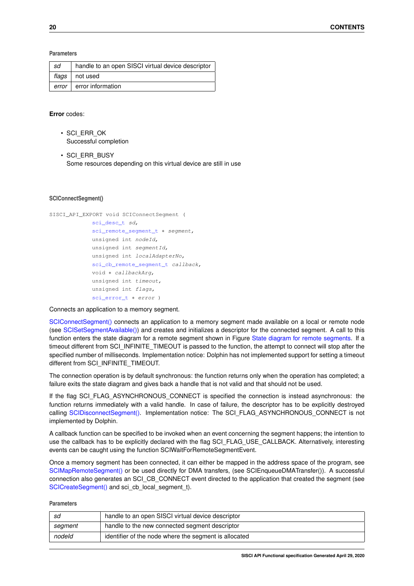**Parameters**

| sd    | handle to an open SISCI virtual device descriptor |
|-------|---------------------------------------------------|
| flags | not used                                          |
| error | error information                                 |

## **Error** codes:

- SCI\_ERR\_OK Successful completion
- SCI\_ERR\_BUSY Some resources depending on this virtual device are still in use

### <span id="page-23-0"></span>**SCIConnectSegment()**

```
SISCI_API_EXPORT void SCIConnectSegment (
 sci_desc_t sd,
 sci_remote_segment_t * segment,
 unsigned int nodeId,
 unsigned int segmentId,
 unsigned int localAdapterNo,
 sci_cb_remote_segment_t callback,
 void * callbackArg,
 unsigned int timeout,
 unsigned int flags,
 sci_error_t ∗ error )
```
Connects an application to a memory segment.

[SCIConnectSegment\(\)](#page-23-0) connects an application to a memory segment made available on a local or remote node (see [SCISetSegmentAvailable\(\)\)](#page-34-0) and creates and initializes a descriptor for the connected segment. A call to this function enters the state diagram for a remote segment shown in Figure [State diagram for remote segments.](#page-11-1) If a timeout different from SCI\_INFINITE\_TIMEOUT is passed to the function, the attempt to connect will stop after the specified number of milliseconds. Implementation notice: Dolphin has not implemented support for setting a timeout different from SCI\_INFINITE\_TIMEOUT.

The connection operation is by default synchronous: the function returns only when the operation has completed; a failure exits the state diagram and gives back a handle that is not valid and that should not be used.

If the flag SCI\_FLAG\_ASYNCHRONOUS\_CONNECT is specified the connection is instead asynchronous: the function returns immediately with a valid handle. In case of failure, the descriptor has to be explicitly destroyed calling [SCIDisconnectSegment\(\).](#page-24-0) Implementation notice: The SCI\_FLAG\_ASYNCHRONOUS\_CONNECT is not implemented by Dolphin.

A callback function can be specified to be invoked when an event concerning the segment happens; the intention to use the callback has to be explicitly declared with the flag SCI\_FLAG\_USE\_CALLBACK. Alternatively, interesting events can be caught using the function SCIWaitForRemoteSegmentEvent.

Once a memory segment has been connected, it can either be mapped in the address space of the program, see [SCIMapRemoteSegment\(\)](#page-27-0) or be used directly for DMA transfers, (see SCIEnqueueDMATransfer()). A successful connection also generates an SCI\_CB\_CONNECT event directed to the application that created the segment (see [SCICreateSegment\(\)](#page-29-0) and sci\_cb\_local\_segment\_t).

#### **Parameters**

| sd      | handle to an open SISCI virtual device descriptor     |
|---------|-------------------------------------------------------|
| segment | handle to the new connected segment descriptor        |
| nodeld  | identifier of the node where the segment is allocated |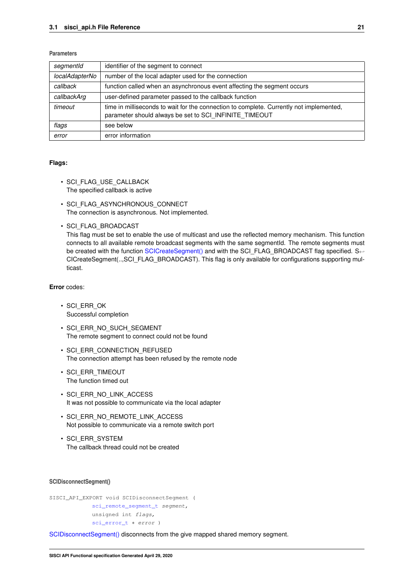## **Parameters**

| segmentId      | identifier of the segment to connect                                                                                                              |
|----------------|---------------------------------------------------------------------------------------------------------------------------------------------------|
| localAdapterNo | number of the local adapter used for the connection                                                                                               |
| callback       | function called when an asynchronous event affecting the segment occurs                                                                           |
| callbackArg    | user-defined parameter passed to the callback function                                                                                            |
| timeout        | time in milliseconds to wait for the connection to complete. Currently not implemented,<br>parameter should always be set to SCI INFINITE TIMEOUT |
| flags          | see below                                                                                                                                         |
| error          | error information                                                                                                                                 |

## **Flags:**

- SCI FLAG\_USE\_CALLBACK The specified callback is active
- SCI FLAG ASYNCHRONOUS CONNECT The connection is asynchronous. Not implemented.
- SCI\_FLAG\_BROADCAST

This flag must be set to enable the use of multicast and use the reflected memory mechanism. This function connects to all available remote broadcast segments with the same segmentId. The remote segments must be created with the function [SCICreateSegment\(\)](#page-29-0) and with the SCI\_FLAG\_BROADCAST flag specified. S← CICreateSegment(..,SCI\_FLAG\_BROADCAST). This flag is only available for configurations supporting multicast.

## **Error** codes:

- SCI\_ERR\_OK Successful completion
- SCI ERR NO SUCH SEGMENT The remote segment to connect could not be found
- SCI ERR CONNECTION REFUSED The connection attempt has been refused by the remote node
- SCI\_ERR\_TIMEOUT The function timed out
- SCI\_ERR\_NO\_LINK\_ACCESS It was not possible to communicate via the local adapter
- SCI\_ERR\_NO\_REMOTE\_LINK\_ACCESS Not possible to communicate via a remote switch port
- SCI\_ERR\_SYSTEM The callback thread could not be created

### <span id="page-24-0"></span>**SCIDisconnectSegment()**

```
SISCI_API_EXPORT void SCIDisconnectSegment (
sci_remote_segment_t segment,
 unsigned int flags,
 sci_error_t * error )
```
[SCIDisconnectSegment\(\)](#page-24-0) disconnects from the give mapped shared memory segment.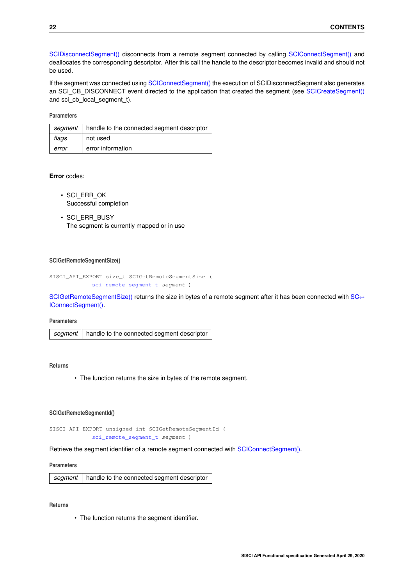[SCIDisconnectSegment\(\)](#page-24-0) disconnects from a remote segment connected by calling [SCIConnectSegment\(\)](#page-23-0) and deallocates the corresponding descriptor. After this call the handle to the descriptor becomes invalid and should not be used.

If the segment was connected using [SCIConnectSegment\(\)](#page-23-0) the execution of SCIDisconnectSegment also generates an SCI\_CB\_DISCONNECT event directed to the application that created the segment (see [SCICreateSegment\(\)](#page-29-0) and sci\_cb\_local\_segment\_t).

### **Parameters**

| segment | handle to the connected segment descriptor |
|---------|--------------------------------------------|
| flags   | not used                                   |
| error   | error information                          |

## **Error** codes:

- SCI\_ERR\_OK Successful completion
- SCI\_ERR\_BUSY The segment is currently mapped or in use

### <span id="page-25-0"></span>**SCIGetRemoteSegmentSize()**

```
SISCI_API_EXPORT size_t SCIGetRemoteSegmentSize (
 sci_remote_segment_t segment )
```
[SCIGetRemoteSegmentSize\(\)](#page-25-0) returns the size in bytes of a remote segment after it has been connected with [SC](#page-23-0)← [IConnectSegment\(\).](#page-23-0)

### **Parameters**

| segment   handle to the connected segment descriptor |
|------------------------------------------------------|
|                                                      |

## **Returns**

• The function returns the size in bytes of the remote segment.

#### <span id="page-25-1"></span>**SCIGetRemoteSegmentId()**

SISCI\_API\_EXPORT unsigned int SCIGetRemoteSegmentId ( [sci\\_remote\\_segment\\_t](#page-86-3) segment )

Retrieve the segment identifier of a remote segment connected with [SCIConnectSegment\(\).](#page-23-0)

### **Parameters**

*segment* handle to the connected segment descriptor

### <span id="page-25-2"></span>**Returns**

• The function returns the segment identifier.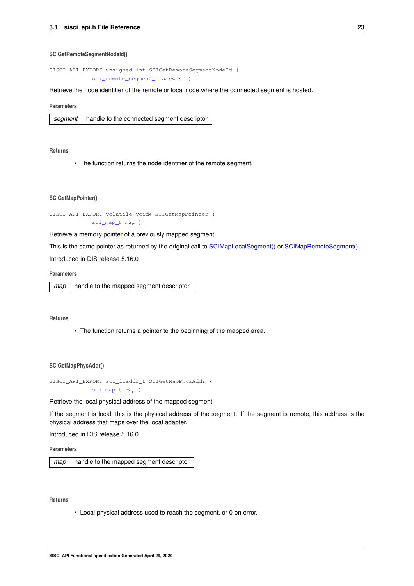#### **SCIGetRemoteSegmentNodeId()**

SISCI\_API\_EXPORT unsigned int SCIGetRemoteSegmentNodeId ( [sci\\_remote\\_segment\\_t](#page-86-3) segment )

Retrieve the node identifier of the remote or local node where the connected segment is hosted.

#### **Parameters**

|  | segment   handle to the connected segment descriptor |
|--|------------------------------------------------------|
|--|------------------------------------------------------|

### **Returns**

• The function returns the node identifier of the remote segment.

#### <span id="page-26-1"></span>**SCIGetMapPointer()**

```
SISCI_API_EXPORT volatile void∗ SCIGetMapPointer (
sci_map_t map )
```
Retrieve a memory pointer of a previously mapped segment.

This is the same pointer as returned by the original call to [SCIMapLocalSegment\(\)](#page-28-0) or [SCIMapRemoteSegment\(\).](#page-27-0)

Introduced in DIS release 5.16.0

## **Parameters**

*map* | handle to the mapped segment descriptor

#### **Returns**

• The function returns a pointer to the beginning of the mapped area.

#### <span id="page-26-2"></span>**SCIGetMapPhysAddr()**

```
SISCI_API_EXPORT sci_ioaddr_t SCIGetMapPhysAddr (
 sci_map_t map )
```
#### Retrieve the local physical address of the mapped segment.

If the segment is local, this is the physical address of the segment. If the segment is remote, this address is the physical address that maps over the local adapter.

Introduced in DIS release 5.16.0

**Parameters**

*map* | handle to the mapped segment descriptor

## **Returns**

<span id="page-26-0"></span>• Local physical address used to reach the segment, or 0 on error.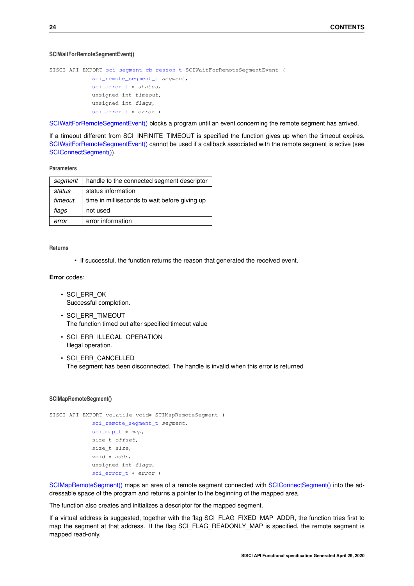#### **SCIWaitForRemoteSegmentEvent()**

```
SISCI_API_EXPORT sci_segment_cb_reason_t SCIWaitForRemoteSegmentEvent (
 sci_remote_segment_t segment,
sci_error_t * status,
 unsigned int timeout,
 unsigned int flags,
 sci error t * error )
```
[SCIWaitForRemoteSegmentEvent\(\)](#page-26-0) blocks a program until an event concerning the remote segment has arrived.

If a timeout different from SCI\_INFINITE\_TIMEOUT is specified the function gives up when the timeout expires. [SCIWaitForRemoteSegmentEvent\(\)](#page-26-0) cannot be used if a callback associated with the remote segment is active (see [SCIConnectSegment\(\)\)](#page-23-0).

### **Parameters**

| segment | handle to the connected segment descriptor    |
|---------|-----------------------------------------------|
| status  | status information                            |
| timeout | time in milliseconds to wait before giving up |
| flags   | not used                                      |
| error   | error information                             |

**Returns**

• If successful, the function returns the reason that generated the received event.

## **Error** codes:

- SCI\_ERR\_OK Successful completion.
- SCI\_ERR\_TIMEOUT The function timed out after specified timeout value
- SCI ERR ILLEGAL OPERATION Illegal operation.
- SCI\_ERR\_CANCELLED The segment has been disconnected. The handle is invalid when this error is returned

## <span id="page-27-0"></span>**SCIMapRemoteSegment()**

```
SISCI_API_EXPORT volatile void∗ SCIMapRemoteSegment (
sci_remote_segment_t segment,
 sci_map_t * map,
size t offset,
 size_t size,
 void ∗ addr,
 unsigned int flags,
sci_error_t ∗ error )
```
[SCIMapRemoteSegment\(\)](#page-27-0) maps an area of a remote segment connected with [SCIConnectSegment\(\)](#page-23-0) into the addressable space of the program and returns a pointer to the beginning of the mapped area.

The function also creates and initializes a descriptor for the mapped segment.

If a virtual address is suggested, together with the flag SCI\_FLAG\_FIXED\_MAP\_ADDR, the function tries first to map the segment at that address. If the flag SCI\_FLAG\_READONLY\_MAP is specified, the remote segment is mapped read-only.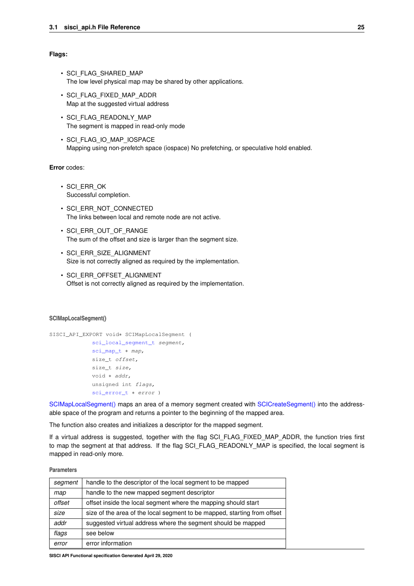### **Flags:**

- SCI\_FLAG\_SHARED\_MAP The low level physical map may be shared by other applications.
- SCI\_FLAG\_FIXED\_MAP\_ADDR Map at the suggested virtual address
- SCI\_FLAG\_READONLY\_MAP The segment is mapped in read-only mode
- SCI\_FLAG\_IO\_MAP\_IOSPACE Mapping using non-prefetch space (iospace) No prefetching, or speculative hold enabled.

## **Error** codes:

- SCI\_ERR\_OK Successful completion.
- SCI ERR\_NOT\_CONNECTED The links between local and remote node are not active.
- SCI\_ERR\_OUT\_OF\_RANGE The sum of the offset and size is larger than the segment size.
- SCI\_ERR\_SIZE\_ALIGNMENT Size is not correctly aligned as required by the implementation.
- SCI\_ERR\_OFFSET\_ALIGNMENT Offset is not correctly aligned as required by the implementation.

#### <span id="page-28-0"></span>**SCIMapLocalSegment()**

```
SISCI_API_EXPORT void∗ SCIMapLocalSegment (
 sci_local_segment_t segment,
 sci_map_t * map,
 size_t offset,
 size_t size,
 void ∗ addr,
 unsigned int flags,
 sci_error_t ∗ error )
```
[SCIMapLocalSegment\(\)](#page-28-0) maps an area of a memory segment created with [SCICreateSegment\(\)](#page-29-0) into the addressable space of the program and returns a pointer to the beginning of the mapped area.

The function also creates and initializes a descriptor for the mapped segment.

If a virtual address is suggested, together with the flag SCI\_FLAG\_FIXED\_MAP\_ADDR, the function tries first to map the segment at that address. If the flag SCI\_FLAG\_READONLY\_MAP is specified, the local segment is mapped in read-only more.

### **Parameters**

| segment | handle to the descriptor of the local segment to be mapped               |
|---------|--------------------------------------------------------------------------|
| map     | handle to the new mapped segment descriptor                              |
| offset  | offset inside the local segment where the mapping should start           |
| size    | size of the area of the local segment to be mapped, starting from offset |
| addr    | suggested virtual address where the segment should be mapped             |
| flags   | see below                                                                |
| error   | error information                                                        |

**SISCI API Functional specification Generated April 29, 2020**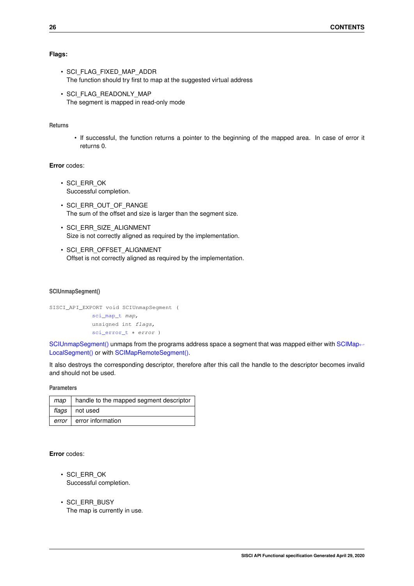## **Flags:**

- SCI\_FLAG\_FIXED\_MAP\_ADDR The function should try first to map at the suggested virtual address
- SCI FLAG READONLY MAP The segment is mapped in read-only mode

## **Returns**

• If successful, the function returns a pointer to the beginning of the mapped area. In case of error it returns 0.

## **Error** codes:

- SCI\_ERR\_OK Successful completion.
- SCI\_ERR\_OUT\_OF\_RANGE The sum of the offset and size is larger than the segment size.
- SCI\_ERR\_SIZE\_ALIGNMENT Size is not correctly aligned as required by the implementation.
- SCI ERR OFFSET ALIGNMENT Offset is not correctly aligned as required by the implementation.

#### <span id="page-29-1"></span>**SCIUnmapSegment()**

```
SISCI_API_EXPORT void SCIUnmapSegment (
 sci_map_t map,
 unsigned int flags,
 sci error t * error )
```
[SCIUnmapSegment\(\)](#page-29-1) unmaps from the programs address space a segment that was mapped either with [SCIMap](#page-28-0)← [LocalSegment\(\)](#page-28-0) or with [SCIMapRemoteSegment\(\).](#page-27-0)

It also destroys the corresponding descriptor, therefore after this call the handle to the descriptor becomes invalid and should not be used.

**Parameters**

| map   | handle to the mapped segment descriptor |
|-------|-----------------------------------------|
|       | flags   not used                        |
| error | error information                       |

**Error** codes:

- SCI\_ERR\_OK Successful completion.
- <span id="page-29-0"></span>• SCI\_ERR\_BUSY The map is currently in use.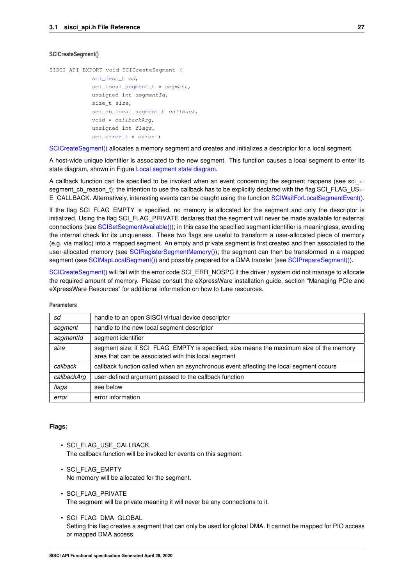### **SCICreateSegment()**

```
SISCI_API_EXPORT void SCICreateSegment (
 sci desc t sd,
 sci_local_segment_t * segment,
 unsigned int segmentId,
 size_t size,
 sci cb local segment t callback,
 void ∗ callbackArg,
 unsigned int flags,
 sci_error_t * error )
```
[SCICreateSegment\(\)](#page-29-0) allocates a memory segment and creates and initializes a descriptor for a local segment.

A host-wide unique identifier is associated to the new segment. This function causes a local segment to enter its state diagram, shown in Figure [Local segment state diagram.](#page-10-0)

A callback function can be specified to be invoked when an event concerning the segment happens (see sci ← segment cb reason t); the intention to use the callback has to be explicitly declared with the flag SCI\_FLAG\_US←-E\_CALLBACK. Alternatively, interesting events can be caught using the function [SCIWaitForLocalSegmentEvent\(\).](#page-31-0)

If the flag SCI FLAG EMPTY is specified, no memory is allocated for the segment and only the descriptor is initialized. Using the flag SCI\_FLAG\_PRIVATE declares that the segment will never be made available for external connections (see [SCISetSegmentAvailable\(\)\)](#page-34-0); in this case the specified segment identifier is meaningless, avoiding the internal check for its uniqueness. These two flags are useful to transform a user-allocated piece of memory (e.g. via malloc) into a mapped segment. An empty and private segment is first created and then associated to the user-allocated memory (see [SCIRegisterSegmentMemory\(\)\)](#page-56-0); the segment can then be transformed in a mapped segment (see [SCIMapLocalSegment\(\)\)](#page-28-0) and possibly prepared for a DMA transfer (see [SCIPrepareSegment\(\)\)](#page-32-1).

[SCICreateSegment\(\)](#page-29-0) will fail with the error code SCI\_ERR\_NOSPC if the driver / system did not manage to allocate the required amount of memory. Please consult the eXpressWare installation guide, section "Managing PCIe and eXpressWare Resources" for additional information on how to tune resources.

| sd          | handle to an open SISCI virtual device descriptor                                                                                              |
|-------------|------------------------------------------------------------------------------------------------------------------------------------------------|
| segment     | handle to the new local segment descriptor                                                                                                     |
| segmentId   | segment identifier                                                                                                                             |
| size        | segment size; if SCI FLAG EMPTY is specified, size means the maximum size of the memory<br>area that can be associated with this local segment |
| callback    | callback function called when an asynchronous event affecting the local segment occurs                                                         |
| callbackArg | user-defined argument passed to the callback function                                                                                          |
| flags       | see below                                                                                                                                      |
| error       | error information                                                                                                                              |

#### **Parameters**

### **Flags:**

- SCI\_FLAG\_USE\_CALLBACK The callback function will be invoked for events on this segment.
- SCI\_FLAG\_EMPTY No memory will be allocated for the segment.
- SCI\_FLAG\_PRIVATE The segment will be private meaning it will never be any connections to it.
- SCI\_FLAG\_DMA\_GLOBAL Setting this flag creates a segment that can only be used for global DMA. It cannot be mapped for PIO access or mapped DMA access.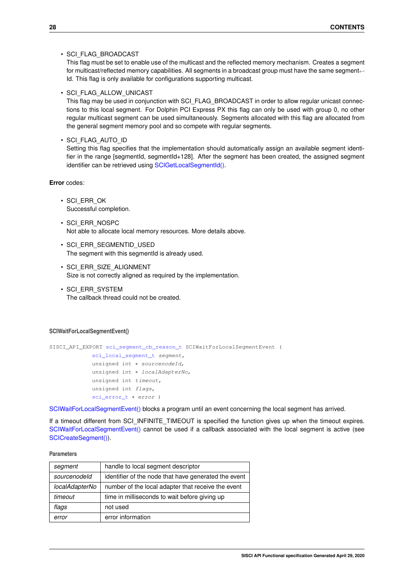## • SCI\_FLAG\_BROADCAST

This flag must be set to enable use of the multicast and the reflected memory mechanism. Creates a segment for multicast/reflected memory capabilities. All segments in a broadcast group must have the same segment← Id. This flag is only available for configurations supporting multicast.

• SCI\_FLAG\_ALLOW\_UNICAST

This flag may be used in conjunction with SCI\_FLAG\_BROADCAST in order to allow regular unicast connections to this local segment. For Dolphin PCI Express PX this flag can only be used with group 0, no other regular multicast segment can be used simultaneously. Segments allocated with this flag are allocated from the general segment memory pool and so compete with regular segments.

• SCI\_FLAG\_AUTO\_ID

Setting this flag specifies that the implementation should automatically assign an available segment identifier in the range [segmentId, segmentId+128]. After the segment has been created, the assigned segment identifier can be retrieved using [SCIGetLocalSegmentId\(\).](#page-33-1)

**Error** codes:

- SCI\_ERR\_OK Successful completion.
- SCI\_ERR\_NOSPC Not able to allocate local memory resources. More details above.
- SCI\_ERR\_SEGMENTID\_USED The segment with this segmentId is already used.
- SCI\_ERR\_SIZE\_ALIGNMENT Size is not correctly aligned as required by the implementation.
- SCI\_ERR\_SYSTEM The callback thread could not be created.

#### <span id="page-31-0"></span>**SCIWaitForLocalSegmentEvent()**

```
SISCI_API_EXPORT sci_segment_cb_reason_t SCIWaitForLocalSegmentEvent (
 sci_local_segment_t segment,
 unsigned int * sourcenodeId,
 unsigned int * localAdapterNo,
 unsigned int timeout,
 unsigned int flags,
 sci error t * error )
```
[SCIWaitForLocalSegmentEvent\(\)](#page-31-0) blocks a program until an event concerning the local segment has arrived.

If a timeout different from SCI\_INFINITE\_TIMEOUT is specified the function gives up when the timeout expires. [SCIWaitForLocalSegmentEvent\(\)](#page-31-0) cannot be used if a callback associated with the local segment is active (see [SCICreateSegment\(\)\)](#page-29-0).

## **Parameters**

| segment        | handle to local segment descriptor                   |
|----------------|------------------------------------------------------|
| sourcenodeld   | identifier of the node that have generated the event |
| localAdapterNo | number of the local adapter that receive the event   |
| timeout        | time in milliseconds to wait before giving up        |
| flags          | not used                                             |
| error          | error information                                    |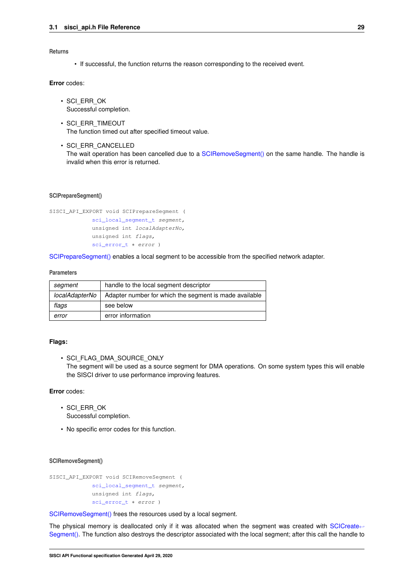## **Returns**

• If successful, the function returns the reason corresponding to the received event.

## **Error** codes:

- SCI\_ERR\_OK Successful completion.
- SCI\_ERR\_TIMEOUT The function timed out after specified timeout value.
- SCI\_ERR\_CANCELLED The wait operation has been cancelled due to a [SCIRemoveSegment\(\)](#page-32-0) on the same handle. The handle is invalid when this error is returned.

### <span id="page-32-1"></span>**SCIPrepareSegment()**

```
SISCI_API_EXPORT void SCIPrepareSegment (
sci_local_segment_t segment,
 unsigned int localAdapterNo,
unsigned int flags,
 sci_error_t ∗ error )
```
[SCIPrepareSegment\(\)](#page-32-1) enables a local segment to be accessible from the specified network adapter.

#### **Parameters**

| segment        | handle to the local segment descriptor                 |
|----------------|--------------------------------------------------------|
| localAdapterNo | Adapter number for which the segment is made available |
| flags          | see below                                              |
| error          | error information                                      |

### **Flags:**

• SCI\_FLAG\_DMA\_SOURCE\_ONLY

The segment will be used as a source segment for DMA operations. On some system types this will enable the SISCI driver to use performance improving features.

## **Error** codes:

- SCI\_ERR\_OK Successful completion.
- <span id="page-32-0"></span>• No specific error codes for this function.

## **SCIRemoveSegment()**

```
SISCI_API_EXPORT void SCIRemoveSegment (
 sci_local_segment_t segment,
 unsigned int flags,
 sci_error_t * error )
```
[SCIRemoveSegment\(\)](#page-32-0) frees the resources used by a local segment.

The physical memory is deallocated only if it was allocated when the segment was created with [SCICreate](#page-29-0)← [Segment\(\).](#page-29-0) The function also destroys the descriptor associated with the local segment; after this call the handle to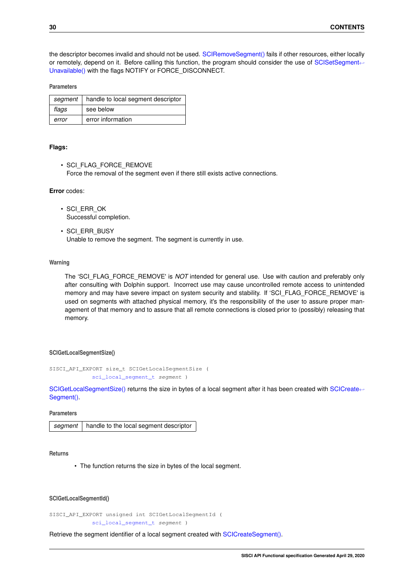the descriptor becomes invalid and should not be used. [SCIRemoveSegment\(\)](#page-32-0) fails if other resources, either locally or remotely, depend on it. Before calling this function, the program should consider the use of [SCISetSegment](#page-34-1)← [Unavailable\(\)](#page-34-1) with the flags NOTIFY or FORCE\_DISCONNECT.

## **Parameters**

| segment | handle to local segment descriptor |
|---------|------------------------------------|
| flags   | see below                          |
| error   | error information                  |

#### **Flags:**

• SCI\_FLAG\_FORCE\_REMOVE Force the removal of the segment even if there still exists active connections.

#### **Error** codes:

- SCI\_ERR\_OK Successful completion.
- SCI\_ERR\_BUSY Unable to remove the segment. The segment is currently in use.

## **Warning**

The 'SCI\_FLAG\_FORCE\_REMOVE' is *NOT* intended for general use. Use with caution and preferably only after consulting with Dolphin support. Incorrect use may cause uncontrolled remote access to unintended memory and may have severe impact on system security and stability. If 'SCI\_FLAG\_FORCE\_REMOVE' is used on segments with attached physical memory, it's the responsibility of the user to assure proper management of that memory and to assure that all remote connections is closed prior to (possibly) releasing that memory.

### <span id="page-33-0"></span>**SCIGetLocalSegmentSize()**

```
SISCI_API_EXPORT size_t SCIGetLocalSegmentSize (
sci_local_segment_t segment )
```
[SCIGetLocalSegmentSize\(\)](#page-33-0) returns the size in bytes of a local segment after it has been created with [SCICreate](#page-29-0)← Seament().

#### **Parameters**

|  | segment   handle to the local segment descriptor |
|--|--------------------------------------------------|
|--|--------------------------------------------------|

## **Returns**

• The function returns the size in bytes of the local segment.

## <span id="page-33-1"></span>**SCIGetLocalSegmentId()**

SISCI\_API\_EXPORT unsigned int SCIGetLocalSegmentId ( [sci\\_local\\_segment\\_t](#page-86-5) segment )

Retrieve the segment identifier of a local segment created with [SCICreateSegment\(\).](#page-29-0)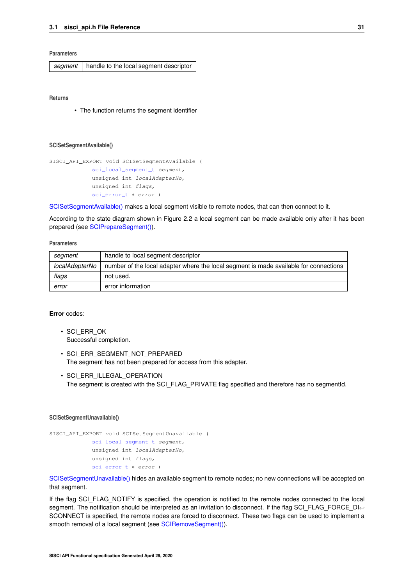**Parameters**

|  | segment   handle to the local segment descriptor |
|--|--------------------------------------------------|
|--|--------------------------------------------------|

**Returns**

• The function returns the segment identifier

#### <span id="page-34-0"></span>**SCISetSegmentAvailable()**

```
SISCI_API_EXPORT void SCISetSegmentAvailable (
 sci_local_segment_t segment,
 unsigned int localAdapterNo,
 unsigned int flags,
 sci_error_t * error )
```
[SCISetSegmentAvailable\(\)](#page-34-0) makes a local segment visible to remote nodes, that can then connect to it.

According to the state diagram shown in Figure 2.2 a local segment can be made available only after it has been prepared (see [SCIPrepareSegment\(\)\)](#page-32-1).

#### **Parameters**

| segment        | handle to local segment descriptor                                                    |
|----------------|---------------------------------------------------------------------------------------|
| localAdapterNo | number of the local adapter where the local segment is made available for connections |
| flags          | not used.                                                                             |
| error          | error information                                                                     |

### **Error** codes:

- SCI\_ERR\_OK Successful completion.
- SCI ERR SEGMENT NOT PREPARED The segment has not been prepared for access from this adapter.
- SCI\_ERR\_ILLEGAL\_OPERATION The segment is created with the SCI\_FLAG\_PRIVATE flag specified and therefore has no segmentId.

#### <span id="page-34-1"></span>**SCISetSegmentUnavailable()**

```
SISCI_API_EXPORT void SCISetSegmentUnavailable (
sci_local_segment_t segment,
unsigned int localAdapterNo,
unsigned int flags,
sci_error_t * error )
```
[SCISetSegmentUnavailable\(\)](#page-34-1) hides an available segment to remote nodes; no new connections will be accepted on that segment.

If the flag SCI\_FLAG\_NOTIFY is specified, the operation is notified to the remote nodes connected to the local segment. The notification should be interpreted as an invitation to disconnect. If the flag SCI\_FLAG\_FORCE\_DI←-SCONNECT is specified, the remote nodes are forced to disconnect. These two flags can be used to implement a smooth removal of a local segment (see [SCIRemoveSegment\(\)\)](#page-32-0).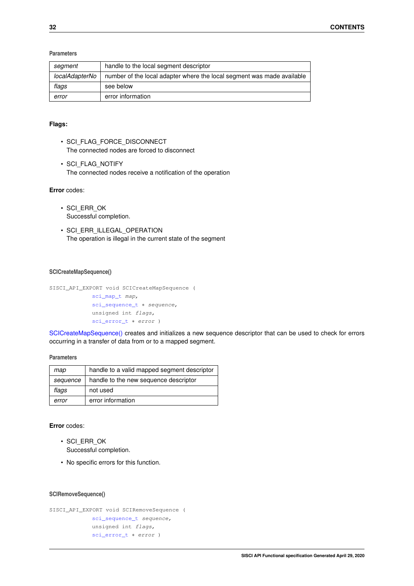## **Parameters**

| segment        | handle to the local segment descriptor                                 |
|----------------|------------------------------------------------------------------------|
| localAdapterNo | number of the local adapter where the local segment was made available |
| flags          | see below                                                              |
| error          | error information                                                      |

## **Flags:**

- SCI\_FLAG\_FORCE\_DISCONNECT The connected nodes are forced to disconnect
- SCI\_FLAG\_NOTIFY The connected nodes receive a notification of the operation

## **Error** codes:

- SCI\_ERR\_OK Successful completion.
- SCI ERR ILLEGAL OPERATION The operation is illegal in the current state of the segment

## <span id="page-35-0"></span>**SCICreateMapSequence()**

```
SISCI_API_EXPORT void SCICreateMapSequence (
 sci_map_t map,
 sci_sequence_t * sequence,
 unsigned int flags,
```
[sci\\_error\\_t](#page-83-2) ∗ error )

[SCICreateMapSequence\(\)](#page-35-0) creates and initializes a new sequence descriptor that can be used to check for errors occurring in a transfer of data from or to a mapped segment.

**Parameters**

| map      | handle to a valid mapped segment descriptor |
|----------|---------------------------------------------|
| sequence | handle to the new sequence descriptor       |
| flags    | not used                                    |
| error    | error information                           |

## **Error** codes:

- SCI\_ERR\_OK Successful completion.
- <span id="page-35-1"></span>• No specific errors for this function.

### **SCIRemoveSequence()**

```
SISCI_API_EXPORT void SCIRemoveSequence (
sci_sequence_t sequence,
 unsigned int flags,
 sci_error_t ∗ error )
```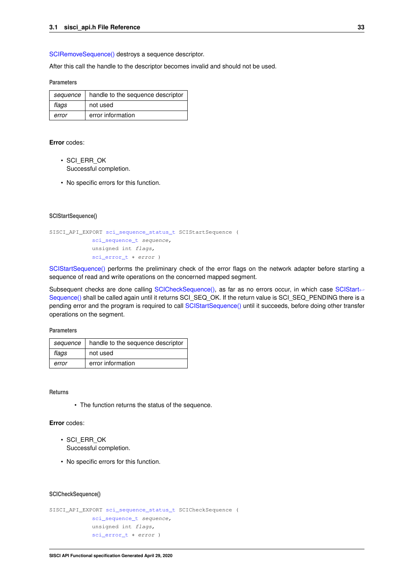[SCIRemoveSequence\(\)](#page-35-0) destroys a sequence descriptor.

After this call the handle to the descriptor becomes invalid and should not be used.

### **Parameters**

| sequence | handle to the sequence descriptor |
|----------|-----------------------------------|
| flags    | not used                          |
| error    | error information                 |

### **Error** codes:

- SCI\_ERR\_OK Successful completion.
- <span id="page-36-0"></span>• No specific errors for this function.

#### **SCIStartSequence()**

```
SISCI_API_EXPORT sci_sequence_status_t SCIStartSequence (
            sci_sequence_t sequence,
            unsigned int flags,
            sci_error_t * error )
```
[SCIStartSequence\(\)](#page-36-0) performs the preliminary check of the error flags on the network adapter before starting a sequence of read and write operations on the concerned mapped segment.

Subsequent checks are done calling [SCICheckSequence\(\),](#page-36-1) as far as no errors occur, in which case [SCIStart](#page-36-0)← [Sequence\(\)](#page-36-0) shall be called again until it returns SCI\_SEQ\_OK. If the return value is SCI\_SEQ\_PENDING there is a pending error and the program is required to call [SCIStartSequence\(\)](#page-36-0) until it succeeds, before doing other transfer operations on the segment.

**Parameters**

| sequence | handle to the sequence descriptor |
|----------|-----------------------------------|
| flags    | not used                          |
| error    | error information                 |

**Returns**

• The function returns the status of the sequence.

## **Error** codes:

- SCI\_ERR\_OK Successful completion.
- <span id="page-36-1"></span>• No specific errors for this function.

### **SCICheckSequence()**

```
SISCI_API_EXPORT sci_sequence_status_t SCICheckSequence (
             sci_sequence_t sequence,
             unsigned int flags,
             sci_error_t ∗ error )
```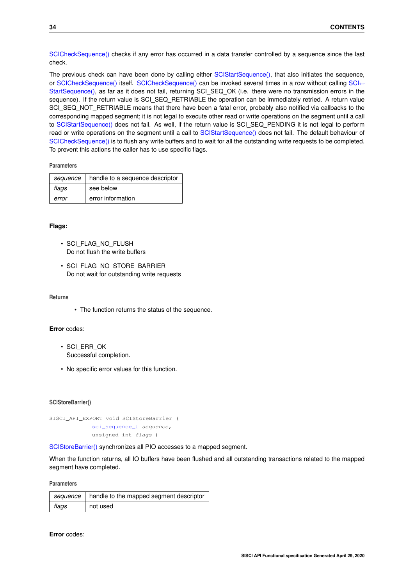[SCICheckSequence\(\)](#page-36-1) checks if any error has occurred in a data transfer controlled by a sequence since the last check.

The previous check can have been done by calling either [SCIStartSequence\(\),](#page-36-0) that also initiates the sequence, or [SCICheckSequence\(\)](#page-36-1) itself. [SCI](#page-36-0)CheckSequence() can be invoked several times in a row without calling SCI← [StartSequence\(\),](#page-36-0) as far as it does not fail, returning SCI\_SEQ\_OK (i.e. there were no transmission errors in the sequence). If the return value is SCI\_SEQ\_RETRIABLE the operation can be immediately retried. A return value SCI\_SEQ\_NOT\_RETRIABLE means that there have been a fatal error, probably also notified via callbacks to the corresponding mapped segment; it is not legal to execute other read or write operations on the segment until a call to [SCIStartSequence\(\)](#page-36-0) does not fail. As well, if the return value is SCI\_SEQ\_PENDING it is not legal to perform read or write operations on the segment until a call to [SCIStartSequence\(\)](#page-36-0) does not fail. The default behaviour of [SCICheckSequence\(\)](#page-36-1) is to flush any write buffers and to wait for all the outstanding write requests to be completed. To prevent this actions the caller has to use specific flags.

### **Parameters**

| sequence | handle to a sequence descriptor |
|----------|---------------------------------|
| flags    | see below                       |
| error    | error information               |

## **Flags:**

- SCI\_FLAG\_NO\_FLUSH Do not flush the write buffers
- SCI\_FLAG\_NO\_STORE\_BARRIER Do not wait for outstanding write requests

#### **Returns**

• The function returns the status of the sequence.

### **Error** codes:

- SCI\_ERR\_OK Successful completion.
- No specific error values for this function.

### <span id="page-37-0"></span>**SCIStoreBarrier()**

```
SISCI_API_EXPORT void SCIStoreBarrier (
             sci_sequence_t sequence,
             unsigned int flags )
```
[SCIStoreBarrier\(\)](#page-37-0) synchronizes all PIO accesses to a mapped segment.

When the function returns, all IO buffers have been flushed and all outstanding transactions related to the mapped segment have completed.

**Parameters**

|       | $s$ sequence $\mid$ handle to the mapped segment descriptor |
|-------|-------------------------------------------------------------|
| flags | not used                                                    |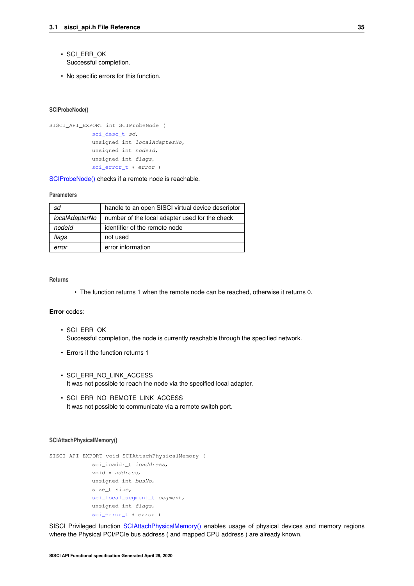- SCI\_ERR\_OK Successful completion.
- <span id="page-38-0"></span>• No specific errors for this function.

#### **SCIProbeNode()**

```
SISCI_API_EXPORT int SCIProbeNode (
            sci_desc_t sd,
             unsigned int localAdapterNo,
             unsigned int nodeId,
             unsigned int flags,
             sci_error_t ∗ error )
```
[SCIProbeNode\(\)](#page-38-0) checks if a remote node is reachable.

#### **Parameters**

| sd             | handle to an open SISCI virtual device descriptor |
|----------------|---------------------------------------------------|
| localAdapterNo | number of the local adapter used for the check    |
| nodeld         | identifier of the remote node                     |
| flags          | not used                                          |
| error          | error information                                 |

## **Returns**

• The function returns 1 when the remote node can be reached, otherwise it returns 0.

### **Error** codes:

- SCI\_ERR\_OK Successful completion, the node is currently reachable through the specified network.
- Errors if the function returns 1
- SCI\_ERR\_NO\_LINK\_ACCESS It was not possible to reach the node via the specified local adapter.
- SCI\_ERR\_NO\_REMOTE\_LINK\_ACCESS It was not possible to communicate via a remote switch port.

#### <span id="page-38-1"></span>**SCIAttachPhysicalMemory()**

```
SISCI_API_EXPORT void SCIAttachPhysicalMemory (
             sci_ioaddr_t ioaddress,
             void ∗ address,
             unsigned int busNo,
             size_t size,
             sci_local_segment_t segment,
             unsigned int flags,
             sci_error_t * error )
```
SISCI Privileged function [SCIAttachPhysicalMemory\(\)](#page-38-1) enables usage of physical devices and memory regions where the Physical PCI/PCIe bus address ( and mapped CPU address ) are already known.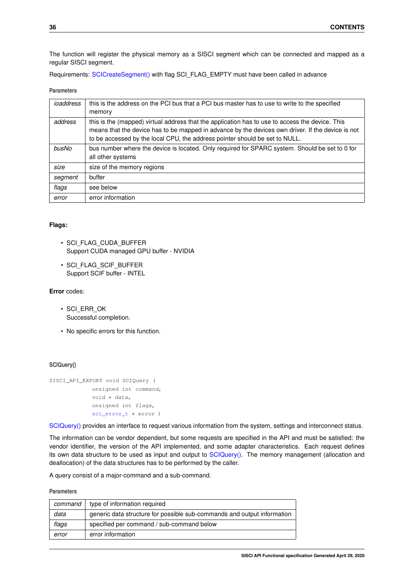The function will register the physical memory as a SISCI segment which can be connected and mapped as a regular SISCI segment.

Requirements: [SCICreateSegment\(\)](#page-29-0) with flag SCI\_FLAG\_EMPTY must have been called in advance

**Parameters**

| ioaddress | this is the address on the PCI bus that a PCI bus master has to use to write to the specified<br>memory                                                                                                                                                                             |
|-----------|-------------------------------------------------------------------------------------------------------------------------------------------------------------------------------------------------------------------------------------------------------------------------------------|
| address   | this is the (mapped) virtual address that the application has to use to access the device. This<br>means that the device has to be mapped in advance by the devices own driver. If the device is not<br>to be accessed by the local CPU, the address pointer should be set to NULL. |
| busNo     | bus number where the device is located. Only required for SPARC system. Should be set to 0 for<br>all other systems                                                                                                                                                                 |
| size      | size of the memory regions                                                                                                                                                                                                                                                          |
| segment   | buffer                                                                                                                                                                                                                                                                              |
| flags     | see below                                                                                                                                                                                                                                                                           |
| error     | error information                                                                                                                                                                                                                                                                   |

# **Flags:**

- SCI\_FLAG\_CUDA\_BUFFER Support CUDA managed GPU buffer - NVIDIA
- SCI\_FLAG\_SCIF\_BUFFER Support SCIF buffer - INTEL

## **Error** codes:

- SCI\_ERR\_OK Successful completion.
- <span id="page-39-0"></span>• No specific errors for this function.

#### **SCIQuery()**

```
SISCI_API_EXPORT void SCIQuery (
             unsigned int command,
             void ∗ data,
             unsigned int flags,
             sci_error_t * error )
```
[SCIQuery\(\)](#page-39-0) provides an interface to request various information from the system, settings and interconnect status.

The information can be vendor dependent, but some requests are specified in the API and must be satisfied: the vendor identifier, the version of the API implemented, and some adapter characteristics. Each request defines its own data structure to be used as input and output to [SCIQuery\(\).](#page-39-0) The memory management (allocation and deallocation) of the data structures has to be performed by the caller.

A query consist of a major-command and a sub-command.

| command | type of information required                                            |
|---------|-------------------------------------------------------------------------|
| data    | generic data structure for possible sub-commands and output information |
| flags   | specified per command / sub-command below                               |
| error   | error information                                                       |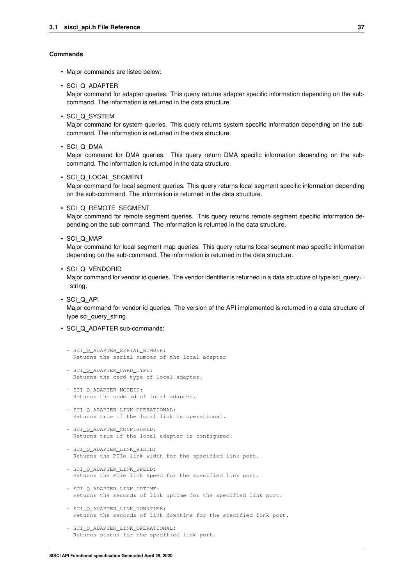#### **Commands**

- Major-commands are listed below:
- SCI\_Q\_ADAPTER

Major command for adapter queries. This query returns adapter specific information depending on the subcommand. The information is returned in the data structure.

• SCI\_Q\_SYSTEM

Major command for system queries. This query returns system specific information depending on the subcommand. The information is returned in the data structure.

• SCI\_Q\_DMA

Major command for DMA queries. This query return DMA specific information depending on the subcommand. The information is returned in the data structure.

• SCI\_Q\_LOCAL\_SEGMENT

Major command for local segment queries. This query returns local segment specific information depending on the sub-command. The information is returned in the data structure.

• SCI\_Q\_REMOTE\_SEGMENT

Major command for remote segment queries. This query returns remote segment specific information depending on the sub-command. The information is returned in the data structure.

• SCI Q MAP

Major command for local segment map queries. This query returns local segment map specific information depending on the sub-command. The information is returned in the data structure.

• SCI\_Q\_VENDORID

Major command for vendor id queries. The vendor identifier is returned in a data structure of type sci\_query← \_string.

• SCI\_Q\_API

Major command for vendor id queries. The version of the API implemented is returned in a data structure of type sci\_query\_string.

- SCI\_Q\_ADAPTER sub-commands:
	- SCI\_O\_ADAPTER\_SERIAL\_NUMBER: Returns the serial number of the local adapter
	- SCI\_Q\_ADAPTER\_CARD\_TYPE: Returns the card type of local adapter.
	- SCI\_Q\_ADAPTER\_NODEID: Returns the node id of local adapter.
	- SCI\_Q\_ADAPTER\_LINK\_OPERATIONAL: Returns true if the local link is operational.
	- SCI\_Q\_ADAPTER\_CONFIGURED: Returns true if the local adapter is configured.
	- SCI\_Q\_ADAPTER\_LINK\_WIDTH: Returns the PCIe link width for the specified link port.
	- SCI\_Q\_ADAPTER\_LINK\_SPEED: Returns the PCIe link speed for the specified link port.
	- SCI O ADAPTER LINK UPTIME: Returns the seconds of link uptime for the specified link port.
	- SCI O ADAPTER LINK DOWNTIME: Returns the seconds of link downtime for the specified link port.
	- SCI\_Q\_ADAPTER\_LINK\_OPERATIONAL: Returns status for the specified link port.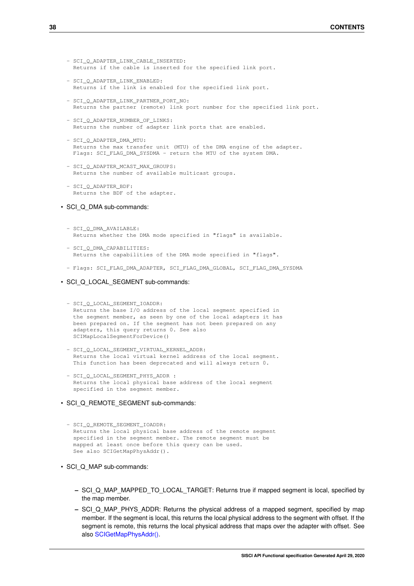- SCI\_O\_ADAPTER\_LINK\_CABLE\_INSERTED: Returns if the cable is inserted for the specified link port.
- SCI O ADAPTER LINK ENABLED: Returns if the link is enabled for the specified link port.
- SCI\_Q\_ADAPTER\_LINK\_PARTNER\_PORT\_NO: Returns the partner (remote) link port number for the specified link port.
- SCI\_Q\_ADAPTER\_NUMBER\_OF\_LINKS: Returns the number of adapter link ports that are enabled.
- SCI\_Q\_ADAPTER\_DMA\_MTU: Returns the max transfer unit (MTU) of the DMA engine of the adapter. Flags: SCI\_FLAG\_DMA\_SYSDMA - return the MTU of the system DMA.
- SCI O ADAPTER MCAST MAX GROUPS: Returns the number of available multicast groups.
- SCI O ADAPTER BDF: Returns the BDF of the adapter.
- SCI Q DMA sub-commands:

```
- SCI_Q_DMA_AVAILABLE:
 Returns whether the DMA mode specified in "flags" is available.
```
- SCI\_Q\_DMA\_CAPABILITIES: Returns the capabilities of the DMA mode specified in "flags".
- Flags: SCI\_FLAG\_DMA\_ADAPTER, SCI\_FLAG\_DMA\_GLOBAL, SCI\_FLAG\_DMA\_SYSDMA
- SCI\_Q\_LOCAL\_SEGMENT sub-commands:

```
- SCI_Q_LOCAL_SEGMENT IOADDR:
 Returns the base I/O address of the local segment specified in
 the segment member, as seen by one of the local adapters it has
 been prepared on. If the segment has not been prepared on any
 adapters, this query returns 0. See also
 SCIMapLocalSegmentForDevice()
```
- SCI\_Q\_LOCAL\_SEGMENT\_VIRTUAL\_KERNEL\_ADDR: Returns the local virtual kernel address of the local segment. This function has been deprecated and will always return 0.
- SCI\_Q\_LOCAL\_SEGMENT\_PHYS\_ADDR : Returns the local physical base address of the local segment specified in the segment member.
- SCI Q REMOTE SEGMENT sub-commands:

```
- SCI O REMOTE SEGMENT IOADDR:
 Returns the local physical base address of the remote segment
 specified in the segment member. The remote segment must be
 mapped at least once before this query can be used.
 See also SCIGetMapPhysAddr().
```
- SCI\_Q\_MAP sub-commands:
	- **–** SCI\_Q\_MAP\_MAPPED\_TO\_LOCAL\_TARGET: Returns true if mapped segment is local, specified by the map member.
	- **–** SCI\_Q\_MAP\_PHYS\_ADDR: Returns the physical address of a mapped segment, specified by map member. If the segment is local, this returns the local physical address to the segment with offset. If the segment is remote, this returns the local physical address that maps over the adapter with offset. See also [SCIGetMapPhysAddr\(\).](#page-26-0)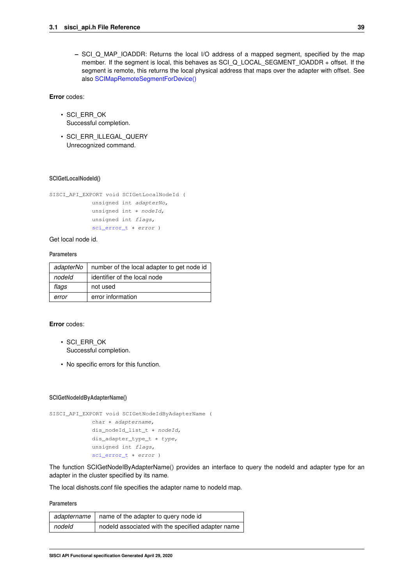**–** SCI\_Q\_MAP\_IOADDR: Returns the local I/O address of a mapped segment, specified by the map member. If the segment is local, this behaves as SCI\_Q\_LOCAL\_SEGMENT\_IOADDR + offset. If the segment is remote, this returns the local physical address that maps over the adapter with offset. See also [SCIMapRemoteSegmentForDevice\(\)](#page-79-0)

**Error** codes:

- SCI\_ERR\_OK Successful completion.
- SCI\_ERR\_ILLEGAL\_QUERY Unrecognized command.

## **SCIGetLocalNodeId()**

```
SISCI_API_EXPORT void SCIGetLocalNodeId (
             unsigned int adapterNo,
             unsigned int * nodeId,
             unsigned int flags,
             sci_error_t ∗ error )
```
Get local node id.

## **Parameters**

| adapterNo | number of the local adapter to get node id |
|-----------|--------------------------------------------|
| nodeld    | identifier of the local node               |
| flags     | not used                                   |
| error     | error information                          |

## **Error** codes:

- SCI\_ERR\_OK Successful completion.
- No specific errors for this function.

#### **SCIGetNodeIdByAdapterName()**

```
SISCI_API_EXPORT void SCIGetNodeIdByAdapterName (
            char ∗ adaptername,
            dis_nodeId_list_t * nodeId,
            dis_adapter_type_t ∗ type,
             unsigned int flags,
             sci error t * error )
```
The function SCIGetNodeIByAdapterName() provides an interface to query the nodeId and adapter type for an adapter in the cluster specified by its name.

The local dishosts.conf file specifies the adapter name to nodeId map.

|        | adaptername   name of the adapter to query node id |
|--------|----------------------------------------------------|
| nodeld | nodeld associated with the specified adapter name  |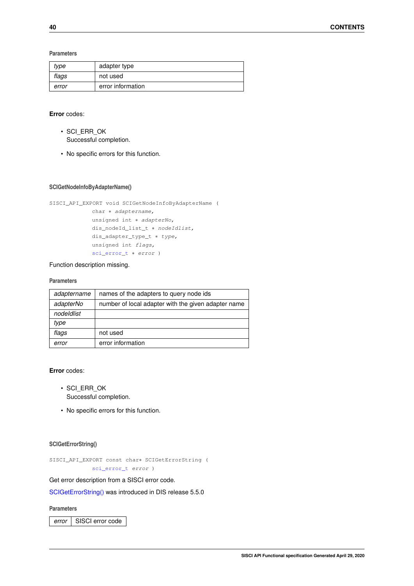**Parameters**

| type  | adapter type      |
|-------|-------------------|
| flags | not used          |
| error | error information |

## **Error** codes:

- SCI\_ERR\_OK Successful completion.
- No specific errors for this function.

## **SCIGetNodeInfoByAdapterName()**

```
SISCI_API_EXPORT void SCIGetNodeInfoByAdapterName (
            char * adaptername,
             unsigned int ∗ adapterNo,
             dis_nodeId_list_t * nodeIdlist,
             dis_adapter_type_t ∗ type,
             unsigned int flags,
             sci_error_t * error )
```
### Function description missing.

### **Parameters**

| adaptername | names of the adapters to query node ids             |
|-------------|-----------------------------------------------------|
| adapterNo   | number of local adapter with the given adapter name |
| nodeldlist  |                                                     |
| type        |                                                     |
| flags       | not used                                            |
| error       | error information                                   |

**Error** codes:

- SCI\_ERR\_OK Successful completion.
- No specific errors for this function.

### <span id="page-43-0"></span>**SCIGetErrorString()**

```
SISCI_API_EXPORT const char∗ SCIGetErrorString (
             sci_error_t error )
```
Get error description from a SISCI error code.

[SCIGetErrorString\(\)](#page-43-0) was introduced in DIS release 5.5.0

## **Parameters**

error | SISCI error code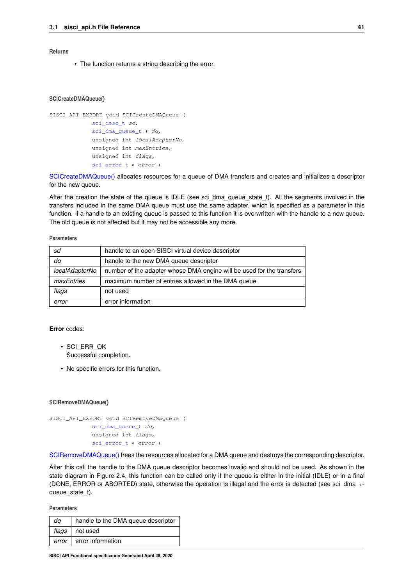## **Returns**

• The function returns a string describing the error.

#### <span id="page-44-0"></span>**SCICreateDMAQueue()**

```
SISCI_API_EXPORT void SCICreateDMAQueue (
            sci_desc_t sd,
            sci_dma_queue_t * dq,
             unsigned int localAdapterNo,
             unsigned int maxEntries,
             unsigned int flags,
             sci_error_t * error )
```
[SCICreateDMAQueue\(\)](#page-44-0) allocates resources for a queue of DMA transfers and creates and initializes a descriptor for the new queue.

After the creation the state of the queue is IDLE (see sci\_dma\_queue\_state\_t). All the segments involved in the transfers included in the same DMA queue must use the same adapter, which is specified as a parameter in this function. If a handle to an existing queue is passed to this function it is overwritten with the handle to a new queue. The old queue is not affected but it may not be accessible any more.

#### **Parameters**

| sd             | handle to an open SISCI virtual device descriptor                     |
|----------------|-----------------------------------------------------------------------|
| dq             | handle to the new DMA queue descriptor                                |
| localAdapterNo | number of the adapter whose DMA engine will be used for the transfers |
| maxEntries     | maximum number of entries allowed in the DMA queue                    |
| flags          | not used                                                              |
| error          | error information                                                     |

#### **Error** codes:

- SCI\_ERR\_OK Successful completion.
- No specific errors for this function.

### <span id="page-44-1"></span>**SCIRemoveDMAQueue()**

SISCI\_API\_EXPORT void SCIRemoveDMAQueue ( [sci\\_dma\\_queue\\_t](#page-86-3) dq, unsigned int flags, [sci\\_error\\_t](#page-83-0) ∗ error )

[SCIRemoveDMAQueue\(\)](#page-44-1) frees the resources allocated for a DMA queue and destroys the corresponding descriptor.

After this call the handle to the DMA queue descriptor becomes invalid and should not be used. As shown in the state diagram in Figure 2.4, this function can be called only if the queue is either in the initial (IDLE) or in a final (DONE, ERROR or ABORTED) state, otherwise the operation is illegal and the error is detected (see sci\_dma\_← queue\_state\_t).

| da    | handle to the DMA queue descriptor |
|-------|------------------------------------|
|       | flags   not used                   |
| error | error information                  |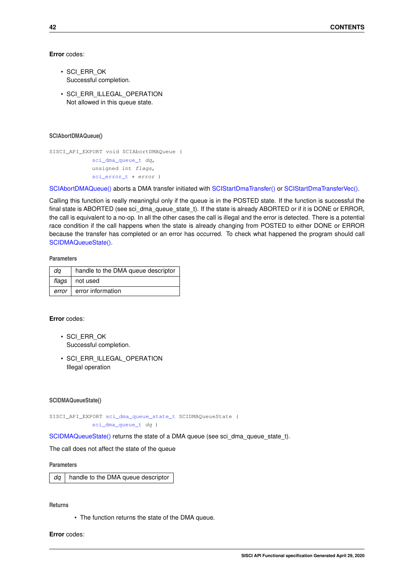### **Error** codes:

- SCI\_ERR\_OK Successful completion.
- SCI ERR\_ILLEGAL\_OPERATION Not allowed in this queue state.

## <span id="page-45-0"></span>**SCIAbortDMAQueue()**

```
SISCI_API_EXPORT void SCIAbortDMAQueue (
             sci_dma_queue_t dq,
            unsigned int flags,
             sci_error_t ∗ error )
```
[SCIAbortDMAQueue\(\)](#page-45-0) aborts a DMA transfer initiated with [SCIStartDmaTransfer\(\)](#page-59-0) or [SCIStartDmaTransferVec\(\).](#page-62-0)

Calling this function is really meaningful only if the queue is in the POSTED state. If the function is successful the final state is ABORTED (see sci\_dma\_queue\_state\_t). If the state is already ABORTED or if it is DONE or ERROR, the call is equivalent to a no-op. In all the other cases the call is illegal and the error is detected. There is a potential race condition if the call happens when the state is already changing from POSTED to either DONE or ERROR because the transfer has completed or an error has occurred. To check what happened the program should call [SCIDMAQueueState\(\).](#page-45-1)

**Parameters**

| da    | handle to the DMA queue descriptor |
|-------|------------------------------------|
|       | $flags$   not used                 |
| error | error information                  |

## **Error** codes:

- SCI\_ERR\_OK Successful completion.
- SCI\_ERR\_ILLEGAL\_OPERATION Illegal operation

### <span id="page-45-1"></span>**SCIDMAQueueState()**

SISCI API EXPORT sci dma queue state t SCIDMAQueueState ( [sci\\_dma\\_queue\\_t](#page-86-3) dq )

[SCIDMAQueueState\(\)](#page-45-1) returns the state of a DMA queue (see sci\_dma\_queue\_state\_t).

The call does not affect the state of the queue

### **Parameters**

*dq* | handle to the DMA queue descriptor

**Returns**

• The function returns the state of the DMA queue.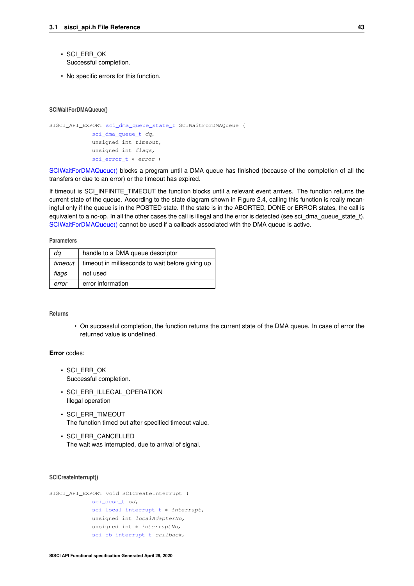- SCI\_ERR\_OK Successful completion.
- <span id="page-46-0"></span>• No specific errors for this function.

#### **SCIWaitForDMAQueue()**

```
SISCI_API_EXPORT sci_dma_queue_state_t SCIWaitForDMAQueue (
            sci_dma_queue_t dq,
             unsigned int timeout,
             unsigned int flags,
             sci_error_t * error )
```
[SCIWaitForDMAQueue\(\)](#page-46-0) blocks a program until a DMA queue has finished (because of the completion of all the transfers or due to an error) or the timeout has expired.

If timeout is SCI\_INFINITE\_TIMEOUT the function blocks until a relevant event arrives. The function returns the current state of the queue. According to the state diagram shown in Figure 2.4, calling this function is really meaningful only if the queue is in the POSTED state. If the state is in the ABORTED, DONE or ERROR states, the call is equivalent to a no-op. In all the other cases the call is illegal and the error is detected (see sci\_dma\_queue\_state\_t). [SCIWaitForDMAQueue\(\)](#page-46-0) cannot be used if a callback associated with the DMA queue is active.

## **Parameters**

| da      | handle to a DMA queue descriptor                 |
|---------|--------------------------------------------------|
| timeout | timeout in milliseconds to wait before giving up |
| flags   | not used                                         |
| error   | error information                                |

#### **Returns**

• On successful completion, the function returns the current state of the DMA queue. In case of error the returned value is undefined.

### **Error** codes:

- SCI\_ERR\_OK Successful completion.
- SCI ERR ILLEGAL OPERATION Illegal operation
- SCI\_ERR\_TIMEOUT The function timed out after specified timeout value.
- SCI\_ERR\_CANCELLED The wait was interrupted, due to arrival of signal.

### <span id="page-46-1"></span>**SCICreateInterrupt()**

```
SISCI_API_EXPORT void SCICreateInterrupt (
            sci_desc_t sd,
             sci_local_interrupt_t * interrupt,
             unsigned int localAdapterNo,
             unsigned int * interruptNo,
             sci_cb_interrupt_t callback,
```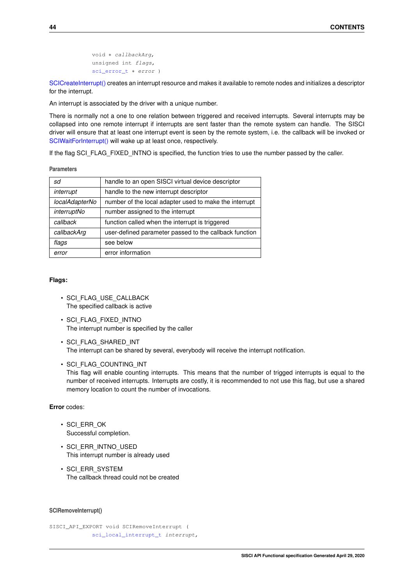```
void ∗ callbackArg,
unsigned int flags,
sci_error_t ∗ error )
```
[SCICreateInterrupt\(\)](#page-46-1) creates an interrupt resource and makes it available to remote nodes and initializes a descriptor for the interrupt.

An interrupt is associated by the driver with a unique number.

There is normally not a one to one relation between triggered and received interrupts. Several interrupts may be collapsed into one remote interrupt if interrupts are sent faster than the remote system can handle. The SISCI driver will ensure that at least one interrupt event is seen by the remote system, i.e. the callback will be invoked or [SCIWaitForInterrupt\(\)](#page-48-0) will wake up at least once, respectively.

If the flag SCI\_FLAG\_FIXED\_INTNO is specified, the function tries to use the number passed by the caller.

**Parameters**

| sd             | handle to an open SISCI virtual device descriptor      |
|----------------|--------------------------------------------------------|
| interrupt      | handle to the new interrupt descriptor                 |
| localAdapterNo | number of the local adapter used to make the interrupt |
| interruptNo    | number assigned to the interrupt                       |
| callback       | function called when the interrupt is triggered        |
| callbackArg    | user-defined parameter passed to the callback function |
| flags          | see below                                              |
| error          | error information                                      |

# **Flags:**

- SCI\_FLAG\_USE\_CALLBACK The specified callback is active
- SCI\_FLAG\_FIXED\_INTNO The interrupt number is specified by the caller
- SCI\_FLAG\_SHARED\_INT The interrupt can be shared by several, everybody will receive the interrupt notification.
- SCI\_FLAG\_COUNTING\_INT This flag will enable counting interrupts. This means that the number of trigged interrupts is equal to the number of received interrupts. Interrupts are costly, it is recommended to not use this flag, but use a shared memory location to count the number of invocations.

# **Error** codes:

- SCI\_ERR\_OK Successful completion.
- SCI\_ERR\_INTNO\_USED This interrupt number is already used
- SCI\_ERR\_SYSTEM The callback thread could not be created

#### <span id="page-47-0"></span>**SCIRemoveInterrupt()**

```
SISCI_API_EXPORT void SCIRemoveInterrupt (
            sci_local_interrupt_t interrupt,
```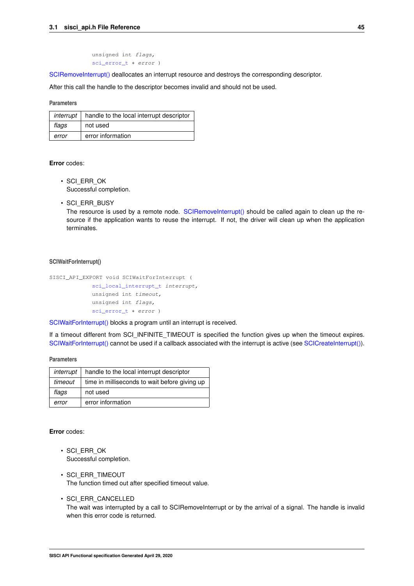unsigned int flags, [sci\\_error\\_t](#page-83-0) ∗ error )

[SCIRemoveInterrupt\(\)](#page-47-0) deallocates an interrupt resource and destroys the corresponding descriptor.

After this call the handle to the descriptor becomes invalid and should not be used.

### **Parameters**

| interrupt | handle to the local interrupt descriptor |
|-----------|------------------------------------------|
| flags     | not used                                 |
| error     | error information                        |

# **Error** codes:

- SCI\_ERR\_OK Successful completion.
- SCI\_ERR\_BUSY

The resource is used by a remote node. [SCIRemoveInterrupt\(\)](#page-47-0) should be called again to clean up the resource if the application wants to reuse the interrupt. If not, the driver will clean up when the application terminates.

### <span id="page-48-0"></span>**SCIWaitForInterrupt()**

```
SISCI_API_EXPORT void SCIWaitForInterrupt (
            sci_local_interrupt_t interrupt,
            unsigned int timeout,
             unsigned int flags,
             sci error t * error )
```
[SCIWaitForInterrupt\(\)](#page-48-0) blocks a program until an interrupt is received.

If a timeout different from SCI\_INFINITE\_TIMEOUT is specified the function gives up when the timeout expires. [SCIWaitForInterrupt\(\)](#page-48-0) cannot be used if a callback associated with the interrupt is active (see [SCICreateInterrupt\(\)\)](#page-46-1).

#### **Parameters**

| interrupt | handle to the local interrupt descriptor      |
|-----------|-----------------------------------------------|
| timeout   | time in milliseconds to wait before giving up |
| flags     | not used                                      |
| error     | error information                             |

- SCI\_ERR\_OK Successful completion.
- SCI\_ERR\_TIMEOUT The function timed out after specified timeout value.
- <span id="page-48-1"></span>• SCI\_ERR\_CANCELLED The wait was interrupted by a call to SCIRemoveInterrupt or by the arrival of a signal. The handle is invalid when this error code is returned.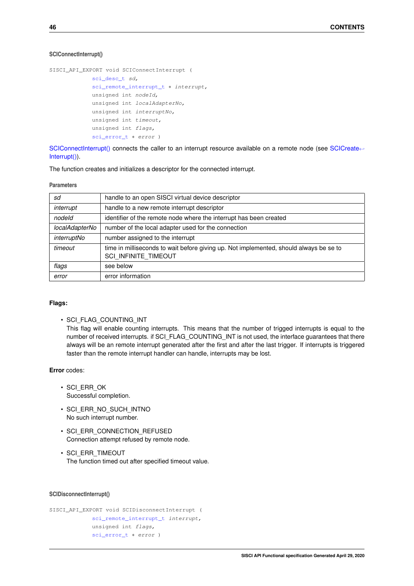## **SCIConnectInterrupt()**

```
SISCI_API_EXPORT void SCIConnectInterrupt (
             sci_desc_t sd,
             sci_remote_interrupt_t * interrupt,
             unsigned int nodeId,
             unsigned int localAdapterNo,
             unsigned int interruptNo,
             unsigned int timeout,
             unsigned int flags,
             sci_error_t * error )
```
[SCIConnectInterrupt\(\)](#page-48-1) connects the caller to an interrupt resource available on a remote node (see [SCICreate](#page-46-1)← [Interrupt\(\)\)](#page-46-1).

The function creates and initializes a descriptor for the connected interrupt.

#### **Parameters**

| sd             | handle to an open SISCI virtual device descriptor                                                              |
|----------------|----------------------------------------------------------------------------------------------------------------|
| interrupt      | handle to a new remote interrupt descriptor                                                                    |
| nodeld         | identifier of the remote node where the interrupt has been created                                             |
| localAdapterNo | number of the local adapter used for the connection                                                            |
| interruptNo    | number assigned to the interrupt                                                                               |
| timeout        | time in milliseconds to wait before giving up. Not implemented, should always be se to<br>SCI INFINITE TIMEOUT |
| flags          | see below                                                                                                      |
| error          | error information                                                                                              |

# **Flags:**

• SCI\_FLAG\_COUNTING\_INT This flag will enable counting interrupts. This means that the number of trigged interrupts is equal to the number of received interrupts. if SCI\_FLAG\_COUNTING\_INT is not used, the interface guarantees that there always will be an remote interrupt generated after the first and after the last trigger. If interrupts is triggered faster than the remote interrupt handler can handle, interrupts may be lost.

# **Error** codes:

- SCI\_ERR\_OK Successful completion.
- SCI\_ERR\_NO\_SUCH\_INTNO No such interrupt number.
- SCI ERR CONNECTION REFUSED Connection attempt refused by remote node.
- SCI\_ERR\_TIMEOUT The function timed out after specified timeout value.

### <span id="page-49-0"></span>**SCIDisconnectInterrupt()**

```
SISCI_API_EXPORT void SCIDisconnectInterrupt (
             sci_remote_interrupt_t interrupt,
             unsigned int flags,
             sci_error_t ∗ error )
```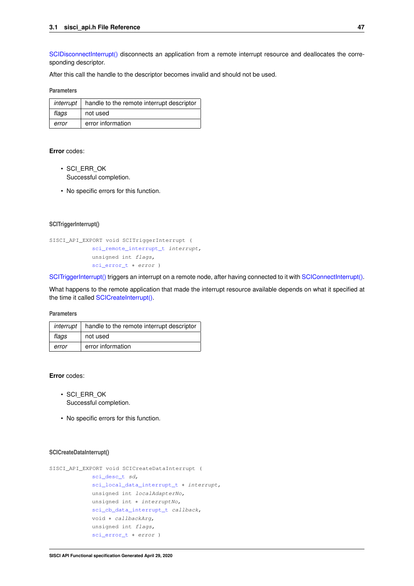[SCIDisconnectInterrupt\(\)](#page-49-0) disconnects an application from a remote interrupt resource and deallocates the corresponding descriptor.

After this call the handle to the descriptor becomes invalid and should not be used.

### **Parameters**

| interrupt | handle to the remote interrupt descriptor |
|-----------|-------------------------------------------|
| flags     | not used                                  |
| error     | error information                         |

## **Error** codes:

- SCI\_ERR\_OK Successful completion.
- <span id="page-50-0"></span>• No specific errors for this function.

### **SCITriggerInterrupt()**

```
SISCI_API_EXPORT void SCITriggerInterrupt (
             sci_remote_interrupt_t interrupt,
             unsigned int flags,
             sci_error_t ∗ error )
```
[SCITriggerInterrupt\(\)](#page-50-0) triggers an interrupt on a remote node, after having connected to it with [SCIConnectInterrupt\(\).](#page-48-1)

What happens to the remote application that made the interrupt resource available depends on what it specified at the time it called [SCICreateInterrupt\(\).](#page-46-1)

### **Parameters**

| interrupt | handle to the remote interrupt descriptor |
|-----------|-------------------------------------------|
| flags     | not used                                  |
| error     | error information                         |

### **Error** codes:

- SCI\_ERR\_OK Successful completion.
- No specific errors for this function.

## <span id="page-50-1"></span>**SCICreateDataInterrupt()**

```
SISCI_API_EXPORT void SCICreateDataInterrupt (
             sci desc t sd,
             sci_local_data_interrupt_t ∗ interrupt,
             unsigned int localAdapterNo,
             unsigned int ∗ interruptNo,
             sci_cb_data_interrupt_t callback,
             void ∗ callbackArg,
             unsigned int flags,
             sci_error_t ∗ error )
```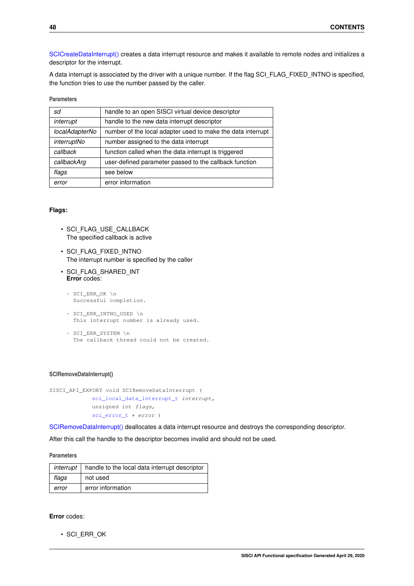[SCICreateDataInterrupt\(\)](#page-50-1) creates a data interrupt resource and makes it available to remote nodes and initializes a descriptor for the interrupt.

A data interrupt is associated by the driver with a unique number. If the flag SCI\_FLAG\_FIXED\_INTNO is specified, the function tries to use the number passed by the caller.

| <b>Parameters</b> |  |  |
|-------------------|--|--|
|-------------------|--|--|

| sd             | handle to an open SISCI virtual device descriptor           |
|----------------|-------------------------------------------------------------|
| interrupt      | handle to the new data interrupt descriptor                 |
| localAdapterNo | number of the local adapter used to make the data interrupt |
| interruptNo    | number assigned to the data interrupt                       |
| callback       | function called when the data interrupt is triggered        |
| callbackArg    | user-defined parameter passed to the callback function      |
| flags          | see below                                                   |
| error          | error information                                           |

## **Flags:**

- SCI\_FLAG\_USE\_CALLBACK The specified callback is active
- SCI\_FLAG\_FIXED\_INTNO The interrupt number is specified by the caller
- SCI\_FLAG\_SHARED\_INT **Error** codes:
	- SCI\_ERR\_OK \n Successful completion.
	- SCI\_ERR\_INTNO\_USED \n This interrupt number is already used.
	- SCI\_ERR\_SYSTEM \n The callback thread could not be created.

### <span id="page-51-0"></span>**SCIRemoveDataInterrupt()**

```
SISCI_API_EXPORT void SCIRemoveDataInterrupt (
             sci_local_data_interrupt_t interrupt,
             unsigned int flags,
             sci_error_t ∗ error )
```
[SCIRemoveDataInterrupt\(\)](#page-51-0) deallocates a data interrupt resource and destroys the corresponding descriptor.

After this call the handle to the descriptor becomes invalid and should not be used.

**Parameters**

| interrupt | handle to the local data interrupt descriptor |
|-----------|-----------------------------------------------|
| flags     | not used                                      |
| error     | error information                             |

# **Error** codes:

• SCI\_ERR\_OK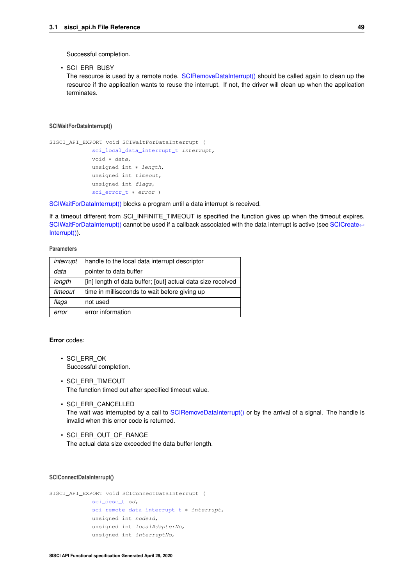Successful completion.

• SCI\_ERR\_BUSY

The resource is used by a remote node. [SCIRemoveDataInterrupt\(\)](#page-51-0) should be called again to clean up the resource if the application wants to reuse the interrupt. If not, the driver will clean up when the application terminates.

### <span id="page-52-0"></span>**SCIWaitForDataInterrupt()**

```
SISCI_API_EXPORT void SCIWaitForDataInterrupt (
             sci local data interrupt t interrupt,
             void ∗ data,
             unsigned int ∗ length,
             unsigned int timeout,
             unsigned int flags,
             sci_error_t ∗ error )
```
[SCIWaitForDataInterrupt\(\)](#page-52-0) blocks a program until a data interrupt is received.

If a timeout different from SCI\_INFINITE\_TIMEOUT is specified the function gives up when the timeout expires. [SCIWaitForDataInterrupt\(\)](#page-52-0) cannot be used if a callback associated with the data interrupt is active (see [SCICreate](#page-46-1)← [Interrupt\(\)\)](#page-46-1).

## **Parameters**

| interrupt | handle to the local data interrupt descriptor               |
|-----------|-------------------------------------------------------------|
| data      | pointer to data buffer                                      |
| length    | [in] length of data buffer; [out] actual data size received |
| timeout   | time in milliseconds to wait before giving up               |
| flags     | not used                                                    |
| error     | error information                                           |

### **Error** codes:

- SCI\_ERR\_OK Successful completion.
- SCI\_ERR\_TIMEOUT The function timed out after specified timeout value.
- SCI\_ERR\_CANCELLED The wait was interrupted by a call to [SCIRemoveDataInterrupt\(\)](#page-51-0) or by the arrival of a signal. The handle is invalid when this error code is returned.
- SCI\_ERR\_OUT\_OF\_RANGE The actual data size exceeded the data buffer length.

### <span id="page-52-1"></span>**SCIConnectDataInterrupt()**

```
SISCI_API_EXPORT void SCIConnectDataInterrupt (
             sci_desc_t sd,
             sci_remote_data_interrupt_t ∗ interrupt,
             unsigned int nodeId,
             unsigned int localAdapterNo,
             unsigned int interruptNo,
```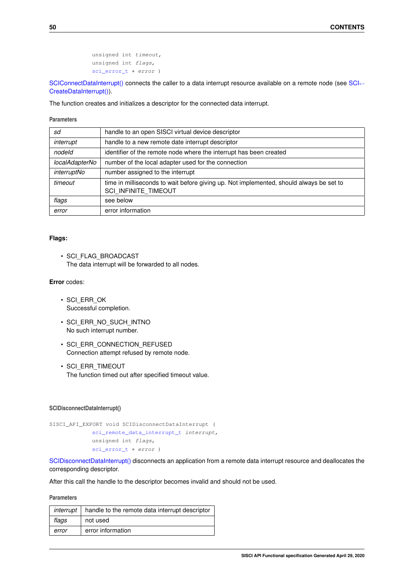```
unsigned int timeout,
unsigned int flags,
sci_error_t ∗ error )
```
[SCIConnectDataInterrupt\(\)](#page-52-1) connects the caller to a data interrupt resource available on a remote node (see [SCI](#page-50-1)← [CreateDataInterrupt\(\)\)](#page-50-1).

The function creates and initializes a descriptor for the connected data interrupt.

## **Parameters**

| sd             | handle to an open SISCI virtual device descriptor                                                                      |
|----------------|------------------------------------------------------------------------------------------------------------------------|
| interrupt      | handle to a new remote date interrupt descriptor                                                                       |
| nodeld         | identifier of the remote node where the interrupt has been created                                                     |
| localAdapterNo | number of the local adapter used for the connection                                                                    |
| interruptNo    | number assigned to the interrupt                                                                                       |
| timeout        | time in milliseconds to wait before giving up. Not implemented, should always be set to<br><b>SCI INFINITE TIMEOUT</b> |
| flags          | see below                                                                                                              |
| error          | error information                                                                                                      |

### **Flags:**

• SCI\_FLAG\_BROADCAST The data interrupt will be forwarded to all nodes.

## **Error** codes:

- SCI\_ERR\_OK Successful completion.
- SCI\_ERR\_NO\_SUCH\_INTNO No such interrupt number.
- SCI ERR CONNECTION REFUSED Connection attempt refused by remote node.
- SCI\_ERR\_TIMEOUT The function timed out after specified timeout value.

### <span id="page-53-0"></span>**SCIDisconnectDataInterrupt()**

```
SISCI_API_EXPORT void SCIDisconnectDataInterrupt (
            sci_remote_data_interrupt_t interrupt,
            unsigned int flags,
             sci_error_t * error )
```
[SCIDisconnectDataInterrupt\(\)](#page-53-0) disconnects an application from a remote data interrupt resource and deallocates the corresponding descriptor.

After this call the handle to the descriptor becomes invalid and should not be used.

| interrupt | handle to the remote data interrupt descriptor |
|-----------|------------------------------------------------|
| flags     | not used                                       |
| error     | error information                              |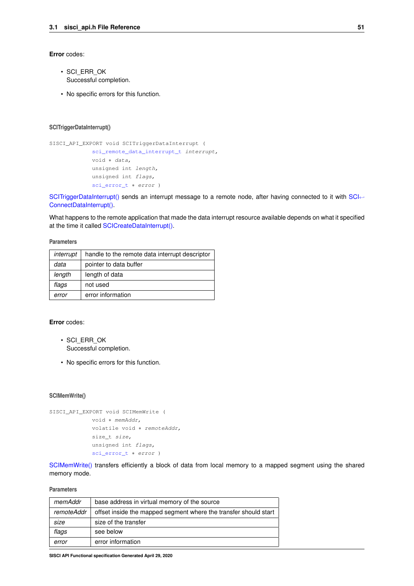### **Error** codes:

- SCI\_ERR\_OK Successful completion.
- No specific errors for this function.

## <span id="page-54-0"></span>**SCITriggerDataInterrupt()**

```
SISCI_API_EXPORT void SCITriggerDataInterrupt (
             sci_remote_data_interrupt_t interrupt,
             void ∗ data,
             unsigned int length,
             unsigned int flags,
             sci_error_t ∗ error )
```
[SCITriggerDataInterrupt\(\)](#page-54-0) sends an interrupt message to a remote node, after having connected to it with [SCI](#page-52-1)← [ConnectDataInterrupt\(\).](#page-52-1)

What happens to the remote application that made the data interrupt resource available depends on what it specified at the time it called [SCICreateDataInterrupt\(\).](#page-50-1)

### **Parameters**

| interrupt | handle to the remote data interrupt descriptor |
|-----------|------------------------------------------------|
| data      | pointer to data buffer                         |
| length    | length of data                                 |
| flags     | not used                                       |
| error     | error information                              |

### **Error** codes:

- SCI\_ERR\_OK Successful completion.
- No specific errors for this function.

### <span id="page-54-1"></span>**SCIMemWrite()**

```
SISCI_API_EXPORT void SCIMemWrite (
            void ∗ memAddr,
             volatile void * remoteAddr,
             size_t size,
             unsigned int flags,
             sci_error_t ∗ error )
```
[SCIMemWrite\(\)](#page-54-1) transfers efficiently a block of data from local memory to a mapped segment using the shared memory mode.

| memAddr           | base address in virtual memory of the source                     |
|-------------------|------------------------------------------------------------------|
| <i>remoteAddr</i> | offset inside the mapped segment where the transfer should start |
| size              | size of the transfer                                             |
| flags             | see below                                                        |
| error             | error information                                                |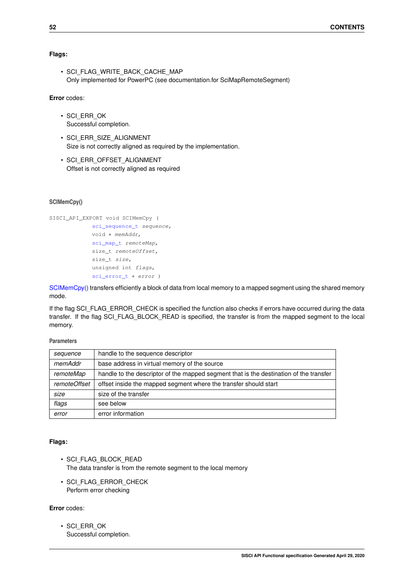## **Flags:**

• SCI\_FLAG\_WRITE\_BACK\_CACHE\_MAP Only implemented for PowerPC (see documentation.for SciMapRemoteSegment)

## **Error** codes:

- SCI\_ERR\_OK Successful completion.
- SCI\_ERR\_SIZE\_ALIGNMENT Size is not correctly aligned as required by the implementation.
- SCI\_ERR\_OFFSET\_ALIGNMENT Offset is not correctly aligned as required

# <span id="page-55-0"></span>**SCIMemCpy()**

```
SISCI_API_EXPORT void SCIMemCpy (
             sci_sequence_t sequence,
             void ∗ memAddr,
             sci_map_t remoteMap,
             size_t remoteOffset,
             size_t size,
             unsigned int flags,
             sci_error_t * error )
```
[SCIMemCpy\(\)](#page-55-0) transfers efficiently a block of data from local memory to a mapped segment using the shared memory mode.

If the flag SCI\_FLAG\_ERROR\_CHECK is specified the function also checks if errors have occurred during the data transfer. If the flag SCI\_FLAG\_BLOCK\_READ is specified, the transfer is from the mapped segment to the local memory.

## **Parameters**

| sequence     | handle to the sequence descriptor                                                      |
|--------------|----------------------------------------------------------------------------------------|
| memAddr      | base address in virtual memory of the source                                           |
| remoteMap    | handle to the descriptor of the mapped segment that is the destination of the transfer |
| remoteOffset | offset inside the mapped segment where the transfer should start                       |
| size         | size of the transfer                                                                   |
| flags        | see below                                                                              |
| error        | error information                                                                      |

#### **Flags:**

- SCI\_FLAG\_BLOCK\_READ The data transfer is from the remote segment to the local memory
- SCI\_FLAG\_ERROR\_CHECK Perform error checking

# **Error** codes:

• SCI\_ERR\_OK Successful completion.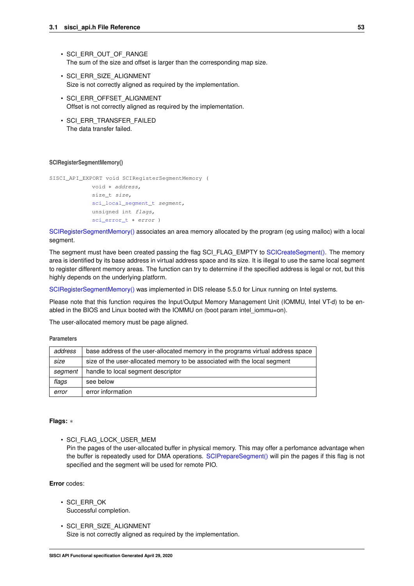- SCI\_ERR\_OUT\_OF\_RANGE The sum of the size and offset is larger than the corresponding map size.
- SCI\_ERR\_SIZE\_ALIGNMENT Size is not correctly aligned as required by the implementation.
- SCI\_ERR\_OFFSET\_ALIGNMENT Offset is not correctly aligned as required by the implementation.
- SCI ERR TRANSFER FAILED The data transfer failed.

### <span id="page-56-0"></span>**SCIRegisterSegmentMemory()**

```
SISCI_API_EXPORT void SCIRegisterSegmentMemory (
             void ∗ address,
             size_t size,
             sci_local_seqment_t segment,
             unsigned int flags,
             sci_error_t ∗ error )
```
[SCIRegisterSegmentMemory\(\)](#page-56-0) associates an area memory allocated by the program (eg using malloc) with a local segment.

The segment must have been created passing the flag SCI\_FLAG\_EMPTY to [SCICreateSegment\(\).](#page-29-0) The memory area is identified by its base address in virtual address space and its size. It is illegal to use the same local segment to register different memory areas. The function can try to determine if the specified address is legal or not, but this highly depends on the underlying platform.

[SCIRegisterSegmentMemory\(\)](#page-56-0) was implemented in DIS release 5.5.0 for Linux running on Intel systems.

Please note that this function requires the Input/Output Memory Management Unit (IOMMU, Intel VT-d) to be enabled in the BIOS and Linux booted with the IOMMU on (boot param intel iommu=on).

The user-allocated memory must be page aligned.

**Parameters**

| address | base address of the user-allocated memory in the programs virtual address space |
|---------|---------------------------------------------------------------------------------|
| size    | size of the user-allocated memory to be associated with the local segment       |
| segment | handle to local segment descriptor                                              |
| flags   | see below                                                                       |
| error   | error information                                                               |

#### **Flags:** ∗

• SCI\_FLAG\_LOCK\_USER\_MEM

Pin the pages of the user-allocated buffer in physical memory. This may offer a perfomance advantage when the buffer is repeatedly used for DMA operations. [SCIPrepareSegment\(\)](#page-32-0) will pin the pages if this flag is not specified and the segment will be used for remote PIO.

- SCI\_ERR\_OK Successful completion.
- SCI\_ERR\_SIZE\_ALIGNMENT Size is not correctly aligned as required by the implementation.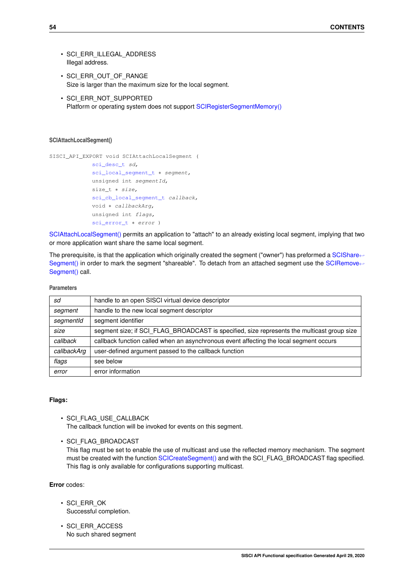- SCI\_ERR\_ILLEGAL\_ADDRESS Illegal address.
- SCI ERR OUT OF RANGE Size is larger than the maximum size for the local segment.
- SCI\_ERR\_NOT\_SUPPORTED Platform or operating system does not support [SCIRegisterSegmentMemory\(\)](#page-56-0)

### <span id="page-57-0"></span>**SCIAttachLocalSegment()**

```
SISCI_API_EXPORT void SCIAttachLocalSegment (
```

```
sci_desc_t sd,
sci_local_segment_t * segment,
unsigned int segmentId,
size_t * size,
sci cb local segment t callback,
void ∗ callbackArg,
unsigned int flags,
sci_error_t ∗ error )
```
[SCIAttachLocalSegment\(\)](#page-57-0) permits an application to "attach" to an already existing local segment, implying that two or more application want share the same local segment.

The prerequisite, is that the application which originally created the segment ("owner") has preformed a [SCIShare](#page-58-0)← [Segment\(\)](#page-58-0) in order to mark the segment "shareable". To detach from an attached segment use the [SCIRemove](#page-32-1)← [Segment\(\)](#page-32-1) call.

### **Parameters**

| sd          | handle to an open SISCI virtual device descriptor                                          |
|-------------|--------------------------------------------------------------------------------------------|
| segment     | handle to the new local segment descriptor                                                 |
| segmentId   | segment identifier                                                                         |
| size        | segment size; if SCI FLAG BROADCAST is specified, size represents the multicast group size |
| callback    | callback function called when an asynchronous event affecting the local segment occurs     |
| callbackArg | user-defined argument passed to the callback function                                      |
| flags       | see below                                                                                  |
| error       | error information                                                                          |

### **Flags:**

- SCI\_FLAG\_USE\_CALLBACK The callback function will be invoked for events on this segment.
- SCI\_FLAG\_BROADCAST

This flag must be set to enable the use of multicast and use the reflected memory mechanism. The segment must be created with the function [SCICreateSegment\(\)](#page-29-0) and with the SCI\_FLAG\_BROADCAST flag specified. This flag is only available for configurations supporting multicast.

- SCI\_ERR\_OK Successful completion.
- SCI\_ERR\_ACCESS No such shared segment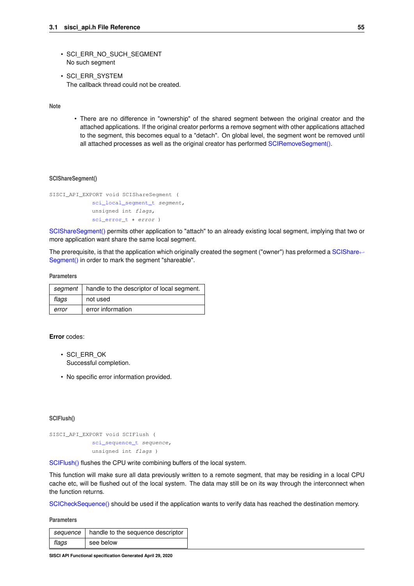- SCI\_ERR\_NO\_SUCH\_SEGMENT No such segment
- SCI\_ERR\_SYSTEM The callback thread could not be created.

**Note**

• There are no difference in "ownership" of the shared segment between the original creator and the attached applications. If the original creator performs a remove segment with other applications attached to the segment, this becomes equal to a "detach". On global level, the segment wont be removed until all attached processes as well as the original creator has performed [SCIRemoveSegment\(\).](#page-32-1)

### <span id="page-58-0"></span>**SCIShareSegment()**

```
SISCI_API_EXPORT void SCIShareSegment (
             sci_local_segment_t segment,
             unsigned int flags,
             sci_error_t * error )
```
[SCIShareSegment\(\)](#page-58-0) permits other application to "attach" to an already existing local segment, implying that two or more application want share the same local segment.

The prerequisite, is that the application which originally created the segment ("owner") has preformed a [SCIShare](#page-58-0)← [Segment\(\)](#page-58-0) in order to mark the segment "shareable".

#### **Parameters**

| segment | handle to the descriptor of local segment. |
|---------|--------------------------------------------|
| flags   | not used                                   |
| error   | error information                          |

### **Error** codes:

- SCI\_ERR\_OK Successful completion.
- No specific error information provided.

#### <span id="page-58-1"></span>**SCIFlush()**

```
SISCI_API_EXPORT void SCIFlush (
            sci_sequence_t sequence,
             unsigned int flags )
```
[SCIFlush\(\)](#page-58-1) flushes the CPU write combining buffers of the local system.

This function will make sure all data previously written to a remote segment, that may be residing in a local CPU cache etc, will be flushed out of the local system. The data may still be on its way through the interconnect when the function returns.

[SCICheckSequence\(\)](#page-36-1) should be used if the application wants to verify data has reached the destination memory.

|       | sequence   handle to the sequence descriptor |
|-------|----------------------------------------------|
| flags | see below                                    |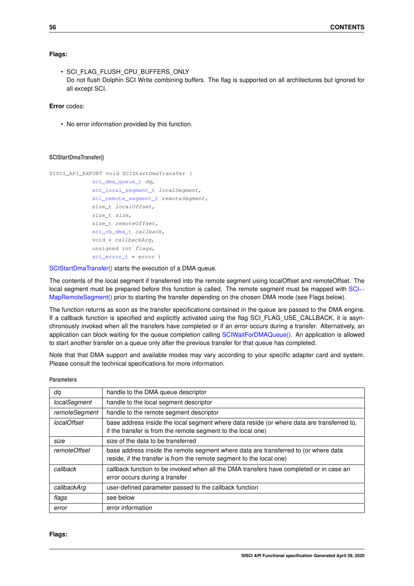## **Flags:**

```
• SCI_FLAG_FLUSH_CPU_BUFFERS_ONLY
 Do not flush Dolphin SCI Write combining buffers. The flag is supported on all architectures but ignored for
 all except SCI.
```
## **Error** codes:

• No error information provided by this function.

### <span id="page-59-0"></span>**SCIStartDmaTransfer()**

```
SISCI_API_EXPORT void SCIStartDmaTransfer (
            sci dma queue t dq,
             sci_local_segment_t localSegment,
             sci_remote_segment_t remoteSegment,
             size_t localOffset,
             size_t size,
            size_t remoteOffset,
             sci_cb_dma_t callback,
             void ∗ callbackArg,
             unsigned int flags,
             sci_error_t ∗ error )
```
[SCIStartDmaTransfer\(\)](#page-59-0) starts the execution of a DMA queue.

The contents of the local segment if transferred into the remote segment using localOffset and remoteOffset. The local segment must be prepared before this function is called. The remote segment must be mapped with [SCI](#page-27-0)← [MapRemoteSegment\(\)](#page-27-0) prior to starting the transfer depending on the chosen DMA mode (see Flags below).

The function returns as soon as the transfer specifications contained in the queue are passed to the DMA engine. If a callback function is specified and explicitly activated using the flag SCI\_FLAG\_USE\_CALLBACK, it is asynchronously invoked when all the transfers have completed or if an error occurs during a transfer. Alternatively, an application can block waiting for the queue completion calling [SCIWaitForDMAQueue\(\).](#page-46-0) An application is allowed to start another transfer on a queue only after the previous transfer for that queue has completed.

Note that that DMA support and available modes may vary according to your specific adapter card and system. Please consult the technical specifications for more information.

| dą            | handle to the DMA queue descriptor                                                                                                                          |
|---------------|-------------------------------------------------------------------------------------------------------------------------------------------------------------|
| localSegment  | handle to the local segment descriptor                                                                                                                      |
| remoteSegment | handle to the remote segment descriptor                                                                                                                     |
| localOffset   | base address inside the local segment where data reside (or where data are transferred to,<br>if the transfer is from the remote segment to the local one)  |
| size          | size of the data to be transferred                                                                                                                          |
| remoteOffset  | base address inside the remote segment where data are transferred to (or where data<br>reside, if the transfer is from the remote segment to the local one) |
| callback      | callback function to be invoked when all the DMA transfers have completed or in case an<br>error occurs during a transfer                                   |
| callbackArg   | user-defined parameter passed to the callback function                                                                                                      |
| flags         | see below                                                                                                                                                   |
| error         | error information                                                                                                                                           |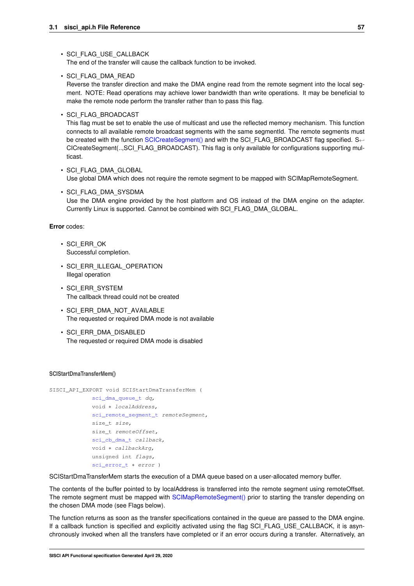#### • SCI\_FLAG\_USE\_CALLBACK

The end of the transfer will cause the callback function to be invoked.

• SCI\_FLAG\_DMA\_READ

Reverse the transfer direction and make the DMA engine read from the remote segment into the local segment. NOTE: Read operations may achieve lower bandwidth than write operations. It may be beneficial to make the remote node perform the transfer rather than to pass this flag.

• SCI\_FLAG\_BROADCAST

This flag must be set to enable the use of multicast and use the reflected memory mechanism. This function connects to all available remote broadcast segments with the same segmentId. The remote segments must be created with the function [SCICreateSegment\(\)](#page-29-0) and with the SCI\_FLAG\_BROADCAST flag specified. S← CICreateSegment(..,SCI\_FLAG\_BROADCAST). This flag is only available for configurations supporting multicast.

- SCI\_FLAG\_DMA\_GLOBAL Use global DMA which does not require the remote segment to be mapped with SCIMapRemoteSegment.
- SCI\_FLAG\_DMA\_SYSDMA Use the DMA engine provided by the host platform and OS instead of the DMA engine on the adapter. Currently Linux is supported. Cannot be combined with SCI\_FLAG\_DMA\_GLOBAL.

### **Error** codes:

- SCI\_ERR\_OK Successful completion.
- SCI ERR\_ILLEGAL\_OPERATION Illegal operation
- SCI\_ERR\_SYSTEM The callback thread could not be created
- SCI ERR DMA\_NOT\_AVAILABLE The requested or required DMA mode is not available
- SCI\_ERR\_DMA\_DISABLED The requested or required DMA mode is disabled

#### <span id="page-60-0"></span>**SCIStartDmaTransferMem()**

```
SISCI_API_EXPORT void SCIStartDmaTransferMem (
             sci_dma_queue_t dq,
             void ∗ localAddress,
             sci_remote_segment_t remoteSegment,
             size_t size,
             size t remoteOffset,
             sci cb dma t callback,
             void ∗ callbackArg,
             unsigned int flags,
             sci_error_t * error )
```
SCIStartDmaTransferMem starts the execution of a DMA queue based on a user-allocated memory buffer.

The contents of the buffer pointed to by localAddress is transferred into the remote segment using remoteOffset. The remote segment must be mapped with [SCIMapRemoteSegment\(\)](#page-27-0) prior to starting the transfer depending on the chosen DMA mode (see Flags below).

The function returns as soon as the transfer specifications contained in the queue are passed to the DMA engine. If a callback function is specified and explicitly activated using the flag SCI\_FLAG\_USE\_CALLBACK, it is asynchronously invoked when all the transfers have completed or if an error occurs during a transfer. Alternatively, an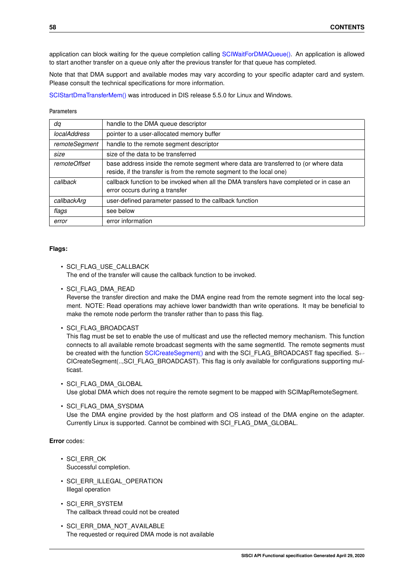application can block waiting for the queue completion calling [SCIWaitForDMAQueue\(\).](#page-46-0) An application is allowed to start another transfer on a queue only after the previous transfer for that queue has completed.

Note that that DMA support and available modes may vary according to your specific adapter card and system. Please consult the technical specifications for more information.

[SCIStartDmaTransferMem\(\)](#page-60-0) was introduced in DIS release 5.5.0 for Linux and Windows.

### **Parameters**

| da                  | handle to the DMA queue descriptor                                                                                                                          |
|---------------------|-------------------------------------------------------------------------------------------------------------------------------------------------------------|
| <i>localAddress</i> | pointer to a user-allocated memory buffer                                                                                                                   |
| remoteSegment       | handle to the remote segment descriptor                                                                                                                     |
| size                | size of the data to be transferred                                                                                                                          |
| <i>remoteOffset</i> | base address inside the remote segment where data are transferred to (or where data<br>reside, if the transfer is from the remote segment to the local one) |
| callback            | callback function to be invoked when all the DMA transfers have completed or in case an<br>error occurs during a transfer                                   |
| callbackArg         | user-defined parameter passed to the callback function                                                                                                      |
| flags               | see below                                                                                                                                                   |
| error               | error information                                                                                                                                           |

# **Flags:**

• SCI\_FLAG\_USE\_CALLBACK

The end of the transfer will cause the callback function to be invoked.

• SCI\_FLAG\_DMA\_READ

Reverse the transfer direction and make the DMA engine read from the remote segment into the local segment. NOTE: Read operations may achieve lower bandwidth than write operations. It may be beneficial to make the remote node perform the transfer rather than to pass this flag.

• SCI\_FLAG\_BROADCAST

This flag must be set to enable the use of multicast and use the reflected memory mechanism. This function connects to all available remote broadcast segments with the same segmentId. The remote segments must be created with the function [SCICreateSegment\(\)](#page-29-0) and with the SCI\_FLAG\_BROADCAST flag specified. S← CICreateSegment(..,SCI\_FLAG\_BROADCAST). This flag is only available for configurations supporting multicast.

#### • SCI\_FLAG\_DMA\_GLOBAL

Use global DMA which does not require the remote segment to be mapped with SCIMapRemoteSegment.

Use the DMA engine provided by the host platform and OS instead of the DMA engine on the adapter. Currently Linux is supported. Cannot be combined with SCI\_FLAG\_DMA\_GLOBAL.

- SCI\_ERR\_OK Successful completion.
- SCI\_ERR\_ILLEGAL\_OPERATION Illegal operation
- SCI\_ERR\_SYSTEM The callback thread could not be created
- SCI\_ERR\_DMA\_NOT\_AVAILABLE The requested or required DMA mode is not available

<sup>•</sup> SCI\_FLAG\_DMA\_SYSDMA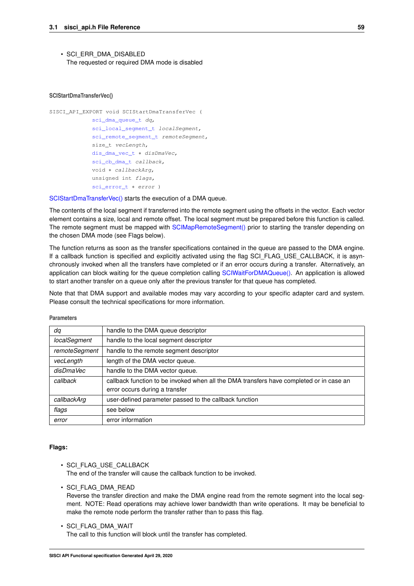• SCI\_ERR\_DMA\_DISABLED The requested or required DMA mode is disabled

### <span id="page-62-0"></span>**SCIStartDmaTransferVec()**

```
SISCI_API_EXPORT void SCIStartDmaTransferVec (
             sci_dma_queue_t dq,
             sci_local_segment_t localSegment,
             sci_remote_segment_t remoteSegment,
             size t vecLength,
             dis_dma_vec_t ∗ disDmaVec,
             sci_cb_dma_t callback,
             void ∗ callbackArg,
             unsigned int flags,
             sci_error_t ∗ error )
```
[SCIStartDmaTransferVec\(\)](#page-62-0) starts the execution of a DMA queue.

The contents of the local segment if transferred into the remote segment using the offsets in the vector. Each vector element contains a size, local and remote offset. The local segment must be prepared before this function is called. The remote segment must be mapped with [SCIMapRemoteSegment\(\)](#page-27-0) prior to starting the transfer depending on the chosen DMA mode (see Flags below).

The function returns as soon as the transfer specifications contained in the queue are passed to the DMA engine. If a callback function is specified and explicitly activated using the flag SCI\_FLAG\_USE\_CALLBACK, it is asynchronously invoked when all the transfers have completed or if an error occurs during a transfer. Alternatively, an application can block waiting for the queue completion calling [SCIWaitForDMAQueue\(\).](#page-46-0) An application is allowed to start another transfer on a queue only after the previous transfer for that queue has completed.

Note that that DMA support and available modes may vary according to your specific adapter card and system. Please consult the technical specifications for more information.

| dq            | handle to the DMA queue descriptor                                                                                        |  |
|---------------|---------------------------------------------------------------------------------------------------------------------------|--|
| localSegment  | handle to the local segment descriptor                                                                                    |  |
| remoteSegment | handle to the remote segment descriptor                                                                                   |  |
| vecLength     | length of the DMA vector queue.                                                                                           |  |
| disDmaVec     | handle to the DMA vector queue.                                                                                           |  |
| callback      | callback function to be invoked when all the DMA transfers have completed or in case an<br>error occurs during a transfer |  |
| callbackArg   | user-defined parameter passed to the callback function                                                                    |  |
| flags         | see below                                                                                                                 |  |
| error         | error information                                                                                                         |  |

**Parameters**

# **Flags:**

- SCI\_FLAG\_USE\_CALLBACK The end of the transfer will cause the callback function to be invoked.
- SCI\_FLAG\_DMA\_READ

Reverse the transfer direction and make the DMA engine read from the remote segment into the local segment. NOTE: Read operations may achieve lower bandwidth than write operations. It may be beneficial to make the remote node perform the transfer rather than to pass this flag.

• SCI\_FLAG\_DMA\_WAIT The call to this function will block until the transfer has completed.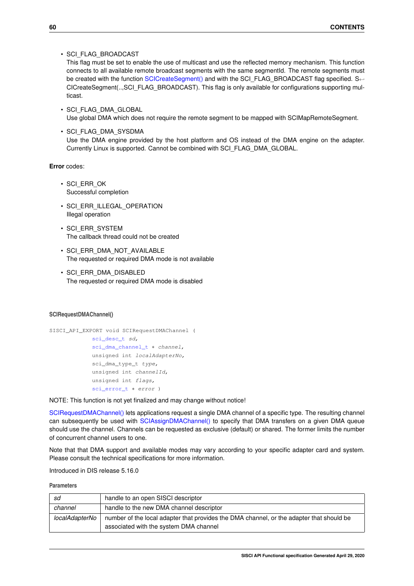• SCI\_FLAG\_BROADCAST

This flag must be set to enable the use of multicast and use the reflected memory mechanism. This function connects to all available remote broadcast segments with the same segmentId. The remote segments must be created with the function [SCICreateSegment\(\)](#page-29-0) and with the SCI\_FLAG\_BROADCAST flag specified. S←-CICreateSegment(..,SCI\_FLAG\_BROADCAST). This flag is only available for configurations supporting multicast.

- SCI\_FLAG\_DMA\_GLOBAL Use global DMA which does not require the remote segment to be mapped with SCIMapRemoteSegment.
- SCI\_FLAG\_DMA\_SYSDMA Use the DMA engine provided by the host platform and OS instead of the DMA engine on the adapter. Currently Linux is supported. Cannot be combined with SCI\_FLAG\_DMA\_GLOBAL.

### **Error** codes:

- SCI\_ERR\_OK Successful completion
- SCI ERR ILLEGAL OPERATION Illegal operation
- SCI\_ERR\_SYSTEM The callback thread could not be created
- SCI ERR\_DMA\_NOT\_AVAILABLE The requested or required DMA mode is not available
- SCI\_ERR\_DMA\_DISABLED The requested or required DMA mode is disabled

#### <span id="page-63-0"></span>**SCIRequestDMAChannel()**

```
SISCI_API_EXPORT void SCIRequestDMAChannel (
             sci_desc_t sd,
             sci_dma_channel_t * channel,
             unsigned int localAdapterNo,
             sci dma type t type,
            unsigned int channelId,
             unsigned int flags,
             sci_error_t * error )
```
NOTE: This function is not yet finalized and may change without notice!

[SCIRequestDMAChannel\(\)](#page-63-0) lets applications request a single DMA channel of a specific type. The resulting channel can subsequently be used with [SCIAssignDMAChannel\(\)](#page-65-0) to specify that DMA transfers on a given DMA queue should use the channel. Channels can be requested as exclusive (default) or shared. The former limits the number of concurrent channel users to one.

Note that that DMA support and available modes may vary according to your specific adapter card and system. Please consult the technical specifications for more information.

Introduced in DIS release 5.16.0

| sd             | handle to an open SISCI descriptor                                                                                                 |  |
|----------------|------------------------------------------------------------------------------------------------------------------------------------|--|
| channel        | handle to the new DMA channel descriptor                                                                                           |  |
| localAdapterNo | number of the local adapter that provides the DMA channel, or the adapter that should be<br>associated with the system DMA channel |  |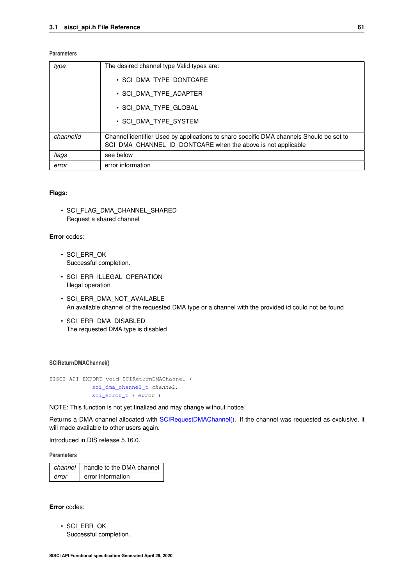### **Parameters**

| type      | The desired channel type Valid types are:                                                                                                               |
|-----------|---------------------------------------------------------------------------------------------------------------------------------------------------------|
|           | • SCI DMA TYPE DONTCARE                                                                                                                                 |
|           | • SCI DMA TYPE ADAPTER                                                                                                                                  |
|           | • SCI DMA TYPE GLOBAL                                                                                                                                   |
|           | • SCI DMA TYPE SYSTEM                                                                                                                                   |
| channelld | Channel identifier Used by applications to share specific DMA channels Should be set to<br>SCI DMA CHANNEL ID DONTCARE when the above is not applicable |
| flags     | see below                                                                                                                                               |
| error     | error information                                                                                                                                       |

### **Flags:**

• SCI FLAG DMA CHANNEL SHARED Request a shared channel

## **Error** codes:

- SCI\_ERR\_OK Successful completion.
- SCI\_ERR\_ILLEGAL\_OPERATION Illegal operation
- SCI ERR DMA\_NOT\_AVAILABLE An available channel of the requested DMA type or a channel with the provided id could not be found
- SCI\_ERR\_DMA\_DISABLED The requested DMA type is disabled

### **SCIReturnDMAChannel()**

SISCI\_API\_EXPORT void SCIReturnDMAChannel ( [sci\\_dma\\_channel\\_t](#page-86-6) channel, [sci\\_error\\_t](#page-83-0) ∗ error )

NOTE: This function is not yet finalized and may change without notice!

Returns a DMA channel allocated with [SCIRequestDMAChannel\(\).](#page-63-0) If the channel was requested as exclusive, it will made available to other users again.

Introduced in DIS release 5.16.0.

### **Parameters**

|       | channel   handle to the DMA channel |
|-------|-------------------------------------|
| error | error information                   |

**Error** codes:

• SCI\_ERR\_OK Successful completion.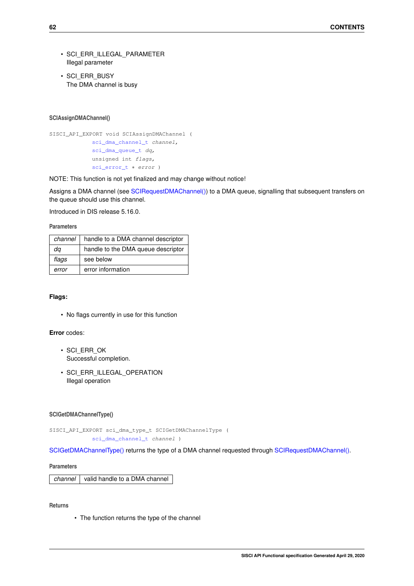- SCI\_ERR\_ILLEGAL\_PARAMETER Illegal parameter
- SCI\_ERR\_BUSY The DMA channel is busy

### <span id="page-65-0"></span>**SCIAssignDMAChannel()**

```
SISCI_API_EXPORT void SCIAssignDMAChannel (
             sci_dma_channel_t channel,
             sci_dma_queue_t dq,
             unsigned int flags,
             sci_error_t ∗ error )
```
NOTE: This function is not yet finalized and may change without notice!

Assigns a DMA channel (see [SCIRequestDMAChannel\(\)\)](#page-63-0) to a DMA queue, signalling that subsequent transfers on the queue should use this channel.

Introduced in DIS release 5.16.0.

### **Parameters**

| channel | handle to a DMA channel descriptor |
|---------|------------------------------------|
| da      | handle to the DMA queue descriptor |
| flags   | see below                          |
| error   | error information                  |

## **Flags:**

• No flags currently in use for this function

# **Error** codes:

- SCI\_ERR\_OK Successful completion.
- SCI ERR ILLEGAL OPERATION Illegal operation

## <span id="page-65-1"></span>**SCIGetDMAChannelType()**

```
SISCI_API_EXPORT sci_dma_type_t SCIGetDMAChannelType (
             sci_dma_channel_t channel )
```
[SCIGetDMAChannelType\(\)](#page-65-1) returns the type of a DMA channel requested through [SCIRequestDMAChannel\(\).](#page-63-0)

#### **Parameters**

*channel* valid handle to a DMA channel

<span id="page-65-2"></span>**Returns**

• The function returns the type of the channel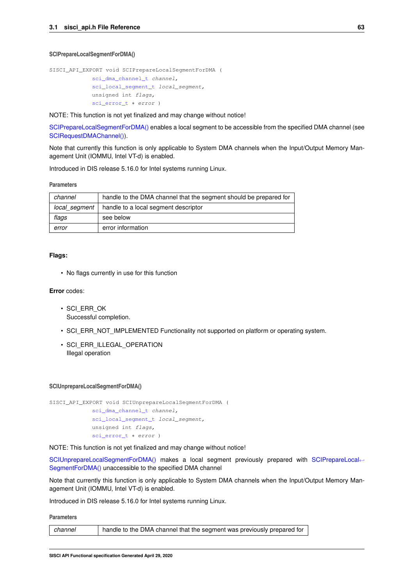#### **SCIPrepareLocalSegmentForDMA()**

```
SISCI_API_EXPORT void SCIPrepareLocalSegmentForDMA (
            sci_dma_channel_t channel,
             sci_local_segment_t local_segment,
            unsigned int flags,
             sci_error_t * error )
```
NOTE: This function is not yet finalized and may change without notice!

[SCIPrepareLocalSegmentForDMA\(\)](#page-65-2) enables a local segment to be accessible from the specified DMA channel (see [SCIRequestDMAChannel\(\)\)](#page-63-0).

Note that currently this function is only applicable to System DMA channels when the Input/Output Memory Management Unit (IOMMU, Intel VT-d) is enabled.

Introduced in DIS release 5.16.0 for Intel systems running Linux.

#### **Parameters**

| channel            | handle to the DMA channel that the segment should be prepared for |  |
|--------------------|-------------------------------------------------------------------|--|
| local segment      | handle to a local segment descriptor                              |  |
| see below<br>flags |                                                                   |  |
| error              | error information                                                 |  |

## **Flags:**

• No flags currently in use for this function

### **Error** codes:

- SCI\_ERR\_OK Successful completion.
- SCI\_ERR\_NOT\_IMPLEMENTED Functionality not supported on platform or operating system.
- SCI ERR ILLEGAL OPERATION Illegal operation

#### <span id="page-66-0"></span>**SCIUnprepareLocalSegmentForDMA()**

```
SISCI_API_EXPORT void SCIUnprepareLocalSegmentForDMA (
            sci_dma_channel_t channel,
            sci_local_segment_t local_segment,
            unsigned int flags,
            sci_error_t * error )
```
NOTE: This function is not yet finalized and may change without notice!

[SCIUnprepareLocalSegmentForDMA\(\)](#page-66-0) makes a local segment previously prepared with [SCIPrepareLocal](#page-65-2)← [SegmentForDMA\(\)](#page-65-2) unaccessible to the specified DMA channel

Note that currently this function is only applicable to System DMA channels when the Input/Output Memory Management Unit (IOMMU, Intel VT-d) is enabled.

Introduced in DIS release 5.16.0 for Intel systems running Linux.

| channel | handle to the DMA channel that the segment was previously prepared for |
|---------|------------------------------------------------------------------------|
|---------|------------------------------------------------------------------------|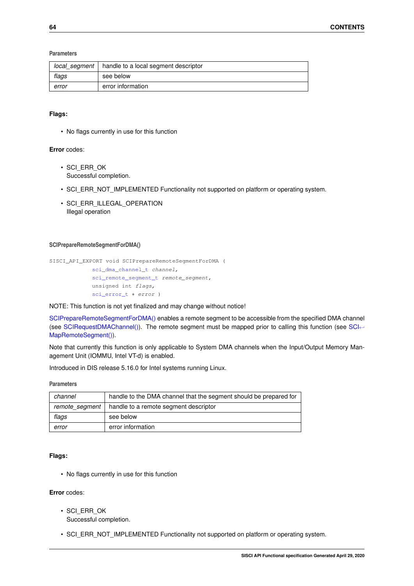### **Parameters**

| local_segment | handle to a local segment descriptor |  |
|---------------|--------------------------------------|--|
| flags         | see below                            |  |
| error         | error information                    |  |

# **Flags:**

• No flags currently in use for this function

## **Error** codes:

- SCI\_ERR\_OK Successful completion.
- SCI\_ERR\_NOT\_IMPLEMENTED Functionality not supported on platform or operating system.
- SCI ERR ILLEGAL OPERATION Illegal operation

### <span id="page-67-0"></span>**SCIPrepareRemoteSegmentForDMA()**

```
SISCI_API_EXPORT void SCIPrepareRemoteSegmentForDMA (
            sci_dma_channel_t channel,
            sci_remote_segment_t remote_segment,
            unsigned int flags,
            sci_error_t ∗ error )
```
#### NOTE: This function is not yet finalized and may change without notice!

[SCIPrepareRemoteSegmentForDMA\(\)](#page-67-0) enables a remote segment to be accessible from the specified DMA channel (see [SCIRequestDMAChannel\(\)\)](#page-63-0). The remote segment must be mapped prior to calling this function (see [SCI](#page-27-0)← [MapRemoteSegment\(\)\)](#page-27-0).

Note that currently this function is only applicable to System DMA channels when the Input/Output Memory Management Unit (IOMMU, Intel VT-d) is enabled.

Introduced in DIS release 5.16.0 for Intel systems running Linux.

### **Parameters**

| channel | handle to the DMA channel that the segment should be prepared for |
|---------|-------------------------------------------------------------------|
|         | remote segment   handle to a remote segment descriptor            |
| flags   | see below                                                         |
| error   | error information                                                 |

## **Flags:**

• No flags currently in use for this function

- SCI\_ERR\_OK Successful completion.
- SCI\_ERR\_NOT\_IMPLEMENTED Functionality not supported on platform or operating system.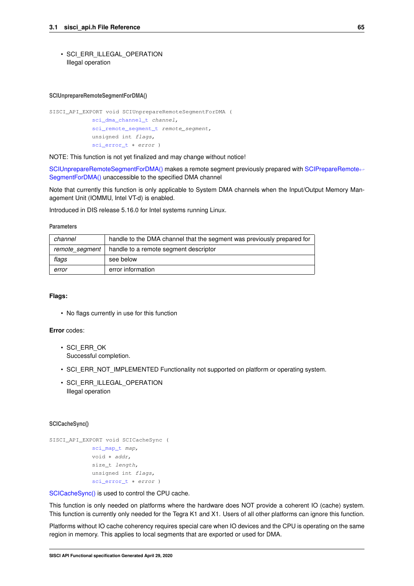• SCI\_ERR\_ILLEGAL\_OPERATION Illegal operation

#### <span id="page-68-0"></span>**SCIUnprepareRemoteSegmentForDMA()**

```
SISCI_API_EXPORT void SCIUnprepareRemoteSegmentForDMA (
            sci_dma_channel_t channel,
             sci_remote_segment_t remote_segment,
             unsigned int flags,
             sci_error_t * error )
```
NOTE: This function is not yet finalized and may change without notice!

[SCIUnprepareRemoteSegmentForDMA\(\)](#page-68-0) makes a remote segment previously prepared with [SCIPrepareRemote](#page-67-0)← [SegmentForDMA\(\)](#page-67-0) unaccessible to the specified DMA channel

Note that currently this function is only applicable to System DMA channels when the Input/Output Memory Management Unit (IOMMU, Intel VT-d) is enabled.

Introduced in DIS release 5.16.0 for Intel systems running Linux.

#### **Parameters**

| channel        | handle to the DMA channel that the segment was previously prepared for |  |
|----------------|------------------------------------------------------------------------|--|
| remote segment | handle to a remote segment descriptor                                  |  |
| flags          | see below                                                              |  |
| error          | error information                                                      |  |

### **Flags:**

• No flags currently in use for this function

## **Error** codes:

- SCI\_ERR\_OK Successful completion.
- SCI\_ERR\_NOT\_IMPLEMENTED Functionality not supported on platform or operating system.
- SCI ERR ILLEGAL OPERATION Illegal operation

### <span id="page-68-1"></span>**SCICacheSync()**

```
SISCI_API_EXPORT void SCICacheSync (
            sci_map_t map,
             void ∗ addr,
             size_t length,
             unsigned int flags,
             sci_error_t ∗ error )
```
[SCICacheSync\(\)](#page-68-1) is used to control the CPU cache.

This function is only needed on platforms where the hardware does NOT provide a coherent IO (cache) system. This function is currently only needed for the Tegra K1 and X1. Users of all other platforms can ignore this function.

Platforms without IO cache coherency requires special care when IO devices and the CPU is operating on the same region in memory. This applies to local segments that are exported or used for DMA.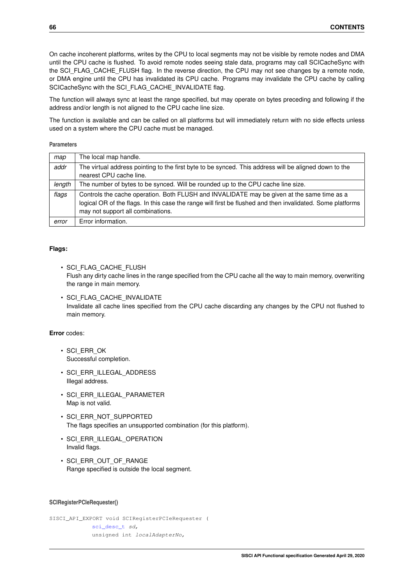On cache incoherent platforms, writes by the CPU to local segments may not be visible by remote nodes and DMA until the CPU cache is flushed. To avoid remote nodes seeing stale data, programs may call SCICacheSync with the SCI\_FLAG\_CACHE\_FLUSH flag. In the reverse direction, the CPU may not see changes by a remote node, or DMA engine until the CPU has invalidated its CPU cache. Programs may invalidate the CPU cache by calling SCICacheSync with the SCI\_FLAG\_CACHE\_INVALIDATE flag.

The function will always sync at least the range specified, but may operate on bytes preceding and following if the address and/or length is not aligned to the CPU cache line size.

The function is available and can be called on all platforms but will immediately return with no side effects unless used on a system where the CPU cache must be managed.

### **Parameters**

| map    | The local map handle.                                                                                                                                                                                                                         |
|--------|-----------------------------------------------------------------------------------------------------------------------------------------------------------------------------------------------------------------------------------------------|
| addr   | The virtual address pointing to the first byte to be synced. This address will be aligned down to the<br>nearest CPU cache line.                                                                                                              |
| length | The number of bytes to be synced. Will be rounded up to the CPU cache line size.                                                                                                                                                              |
| flags  | Controls the cache operation. Both FLUSH and INVALIDATE may be given at the same time as a<br>logical OR of the flags. In this case the range will first be flushed and then invalidated. Some platforms<br>may not support all combinations. |
| error  | Error information.                                                                                                                                                                                                                            |

## **Flags:**

- SCI\_FLAG\_CACHE\_FLUSH Flush any dirty cache lines in the range specified from the CPU cache all the way to main memory, overwriting the range in main memory.
- SCI FLAG CACHE\_INVALIDATE Invalidate all cache lines specified from the CPU cache discarding any changes by the CPU not flushed to main memory.

# **Error** codes:

- SCI\_ERR\_OK Successful completion.
- SCI\_ERR\_ILLEGAL\_ADDRESS Illegal address.
- SCI\_ERR\_ILLEGAL\_PARAMETER Map is not valid.
- SCI\_ERR\_NOT\_SUPPORTED The flags specifies an unsupported combination (for this platform).
- SCI ERR ILLEGAL OPERATION Invalid flags.
- SCI\_ERR\_OUT\_OF\_RANGE Range specified is outside the local segment.

### <span id="page-69-0"></span>**SCIRegisterPCIeRequester()**

SISCI\_API\_EXPORT void SCIRegisterPCIeRequester ( [sci\\_desc\\_t](#page-86-1) sd, unsigned int localAdapterNo,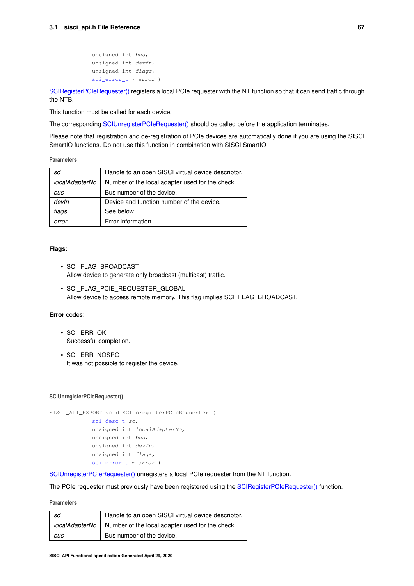```
unsigned int bus,
unsigned int devfn,
unsigned int flags,
sci_error_t ∗ error )
```
[SCIRegisterPCIeRequester\(\)](#page-69-0) registers a local PCIe requester with the NT function so that it can send traffic through the NTB.

This function must be called for each device.

The corresponding [SCIUnregisterPCIeRequester\(\)](#page-70-0) should be called before the application terminates.

Please note that registration and de-registration of PCIe devices are automatically done if you are using the SISCI SmartIO functions. Do not use this function in combination with SISCI SmartIO.

**Parameters**

| sd             | Handle to an open SISCI virtual device descriptor. |
|----------------|----------------------------------------------------|
| localAdapterNo | Number of the local adapter used for the check.    |
| bus            | Bus number of the device.                          |
| devfn          | Device and function number of the device.          |
| flags          | See below.                                         |
| error          | Error information.                                 |

# **Flags:**

- SCI\_FLAG\_BROADCAST Allow device to generate only broadcast (multicast) traffic.
- SCI FLAG PCIE REQUESTER GLOBAL Allow device to access remote memory. This flag implies SCI\_FLAG\_BROADCAST.

## **Error** codes:

- SCI\_ERR\_OK Successful completion.
- SCI\_ERR\_NOSPC It was not possible to register the device.

#### <span id="page-70-0"></span>**SCIUnregisterPCIeRequester()**

```
SISCI_API_EXPORT void SCIUnregisterPCIeRequester (
             sci_desc_t sd,
             unsigned int localAdapterNo,
             unsigned int bus,
             unsigned int devfn,
             unsigned int flags,
             sci_error_t * error )
```
[SCIUnregisterPCIeRequester\(\)](#page-70-0) unregisters a local PCIe requester from the NT function.

The PCIe requester must previously have been registered using the [SCIRegisterPCIeRequester\(\)](#page-69-0) function.

| sd  | Handle to an open SISCI virtual device descriptor.               |
|-----|------------------------------------------------------------------|
|     | localAdapterNo   Number of the local adapter used for the check. |
| bus | Bus number of the device.                                        |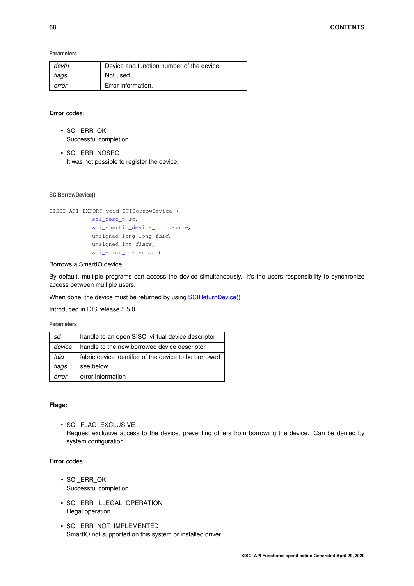**Parameters**

| devfn | Device and function number of the device. |
|-------|-------------------------------------------|
| flags | Not used.                                 |
| error | Error information.                        |

## **Error** codes:

- SCI\_ERR\_OK Successful completion.
- SCI\_ERR\_NOSPC It was not possible to register the device.

## **SCIBorrowDevice()**

```
SISCI_API_EXPORT void SCIBorrowDevice (
             sci_desc_t sd,
             sci_smartio_device_t * device,
             unsigned long long fdid,
             unsigned int flags,
             sci_error_t * error )
```
### Borrows a SmartIO device.

By default, multiple programs can access the device simultaneously. It's the users responsibility to synchronize access between multiple users.

When done, the device must be returned by using [SCIReturnDevice\(\)](#page-72-0)

Introduced in DIS release 5.5.0.

### **Parameters**

| sd     | handle to an open SISCI virtual device descriptor     |
|--------|-------------------------------------------------------|
| device | handle to the new borrowed device descriptor          |
| fdid   | fabric device identifier of the device to be borrowed |
| flags  | see below                                             |
| error  | error information                                     |

## **Flags:**

• SCI\_FLAG\_EXCLUSIVE Request exclusive access to the device, preventing others from borrowing the device. Can be denied by system configuration.

- SCI\_ERR\_OK Successful completion.
- SCI\_ERR\_ILLEGAL\_OPERATION Illegal operation
- SCI\_ERR\_NOT\_IMPLEMENTED SmartIO not supported on this system or installed driver.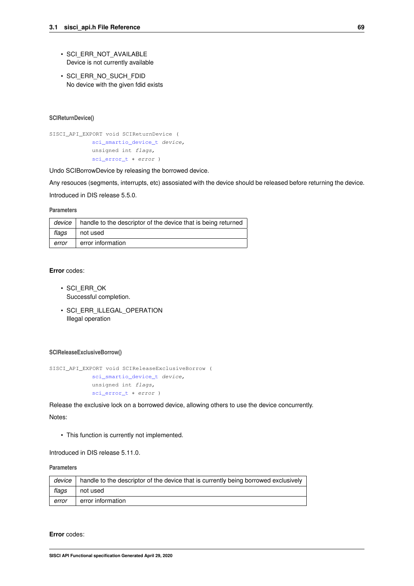- <span id="page-72-1"></span>• SCI\_ERR\_NOT\_AVAILABLE Device is not currently available
- SCI ERR\_NO\_SUCH\_FDID No device with the given fdid exists

# <span id="page-72-0"></span>**SCIReturnDevice()**

```
SISCI_API_EXPORT void SCIReturnDevice (
             sci_smartio_device_t device,
             unsigned int flags,
             sci_error_t ∗ error )
```
Undo SCIBorrowDevice by releasing the borrowed device.

Any resouces (segments, interrupts, etc) assosiated with the device should be released before returning the device.

Introduced in DIS release 5.5.0.

# **Parameters**

|       | <i>device</i>   handle to the descriptor of the device that is being returned |  |
|-------|-------------------------------------------------------------------------------|--|
| flags | not used                                                                      |  |
| error | error information                                                             |  |

# **Error** codes:

- SCI\_ERR\_OK Successful completion.
- SCI ERR ILLEGAL OPERATION Illegal operation

#### **SCIReleaseExclusiveBorrow()**

```
SISCI_API_EXPORT void SCIReleaseExclusiveBorrow (
            sci_smartio_device_t device,
             unsigned int flags,
             sci_error_t * error )
```
Release the exclusive lock on a borrowed device, allowing others to use the device concurrently.

Notes:

• This function is currently not implemented.

Introduced in DIS release 5.11.0.

# **Parameters**

| device | handle to the descriptor of the device that is currently being borrowed exclusively |
|--------|-------------------------------------------------------------------------------------|
| flags  | not used                                                                            |
| error  | error information                                                                   |

**Error** codes: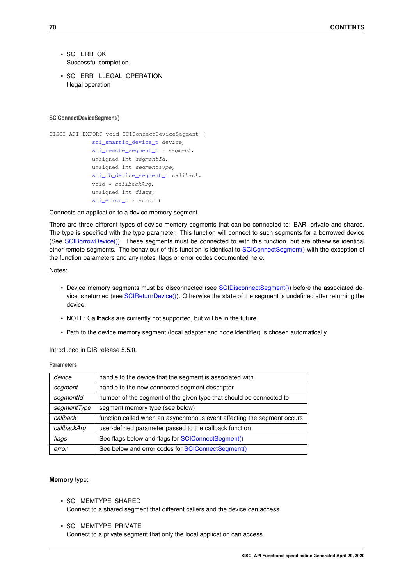- <span id="page-73-1"></span>• SCI\_ERR\_OK Successful completion.
- SCI ERR\_ILLEGAL\_OPERATION Illegal operation

#### <span id="page-73-0"></span>**SCIConnectDeviceSegment()**

```
SISCI_API_EXPORT void SCIConnectDeviceSegment (
             sci_smartio_device_t device,
             sci_remote_segment_t * segment,
             unsigned int segmentId,
             unsigned int segmentType,
             sci_cb_device_segment_t callback,
             void ∗ callbackArg,
             unsigned int flags,
             sci_error_t ∗ error )
```
#### Connects an application to a device memory segment.

There are three different types of device memory segments that can be connected to: BAR, private and shared. The type is specified with the type parameter. This function will connect to such segments for a borrowed device (See [SCIBorrowDevice\(\)\)](#page-71-0). These segments must be connected to with this function, but are otherwise identical other remote segments. The behaviour of this function is identical to [SCIConnectSegment\(\)](#page-23-0) with the exception of the function parameters and any notes, flags or error codes documented here.

# Notes:

- Device memory segments must be disconnected (see [SCIDisconnectSegment\(\)\)](#page-24-0) before the associated device is returned (see [SCIReturnDevice\(\)\)](#page-72-0). Otherwise the state of the segment is undefined after returning the device.
- NOTE: Callbacks are currently not supported, but will be in the future.
- Path to the device memory segment (local adapter and node identifier) is chosen automatically.

# Introduced in DIS release 5.5.0.

## **Parameters**

| device      | handle to the device that the segment is associated with                |  |
|-------------|-------------------------------------------------------------------------|--|
| segment     | handle to the new connected segment descriptor                          |  |
| segmentId   | number of the segment of the given type that should be connected to     |  |
| segmentType | segment memory type (see below)                                         |  |
| callback    | function called when an asynchronous event affecting the segment occurs |  |
| callbackArg | user-defined parameter passed to the callback function                  |  |
| flags       | See flags below and flags for SCIConnectSegment()                       |  |
| error       | See below and error codes for SCIConnectSegment()                       |  |

#### **Memory** type:

- SCI\_MEMTYPE\_SHARED Connect to a shared segment that different callers and the device can access.
- SCI\_MEMTYPE\_PRIVATE Connect to a private segment that only the local application can access.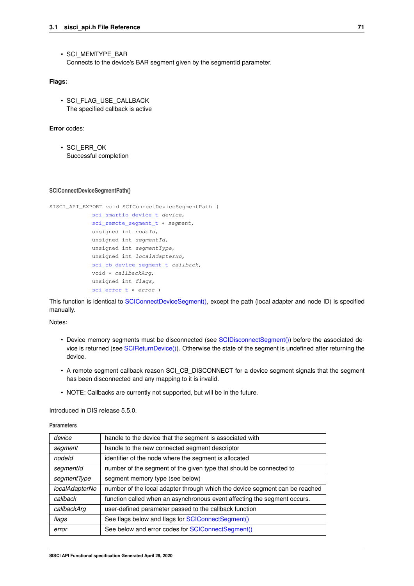<span id="page-74-0"></span>• SCI\_MEMTYPE\_BAR Connects to the device's BAR segment given by the segmentId parameter.

# **Flags:**

• SCI\_FLAG\_USE\_CALLBACK The specified callback is active

# **Error** codes:

• SCI\_ERR\_OK Successful completion

## **SCIConnectDeviceSegmentPath()**

```
SISCI_API_EXPORT void SCIConnectDeviceSegmentPath (
             sci_smartio_device_t device,
            sci_remote_segment_t * segment,
            unsigned int nodeId,
             unsigned int segmentId,
             unsigned int segmentType,
             unsigned int localAdapterNo,
             sci_cb_device_segment_t callback,
             void ∗ callbackArg,
             unsigned int flags,
```
[sci\\_error\\_t](#page-83-0) ∗ error )

This function is identical to [SCIConnectDeviceSegment\(\),](#page-73-0) except the path (local adapter and node ID) is specified manually.

Notes:

- Device memory segments must be disconnected (see [SCIDisconnectSegment\(\)\)](#page-24-0) before the associated device is returned (see [SCIReturnDevice\(\)\)](#page-72-0). Otherwise the state of the segment is undefined after returning the device.
- A remote segment callback reason SCI\_CB\_DISCONNECT for a device segment signals that the segment has been disconnected and any mapping to it is invalid.
- NOTE: Callbacks are currently not supported, but will be in the future.

Introduced in DIS release 5.5.0.

#### **Parameters**

| device         | handle to the device that the segment is associated with                    |  |
|----------------|-----------------------------------------------------------------------------|--|
| segment        | handle to the new connected segment descriptor                              |  |
| nodeld         | identifier of the node where the segment is allocated                       |  |
| segmentId      | number of the segment of the given type that should be connected to         |  |
| segmentType    | segment memory type (see below)                                             |  |
| localAdapterNo | number of the local adapter through which the device segment can be reached |  |
| callback       | function called when an asynchronous event affecting the segment occurs.    |  |
| callbackArg    | user-defined parameter passed to the callback function                      |  |
| flags          | See flags below and flags for SCIConnectSegment()                           |  |
| error          | See below and error codes for SCIConnectSegment()                           |  |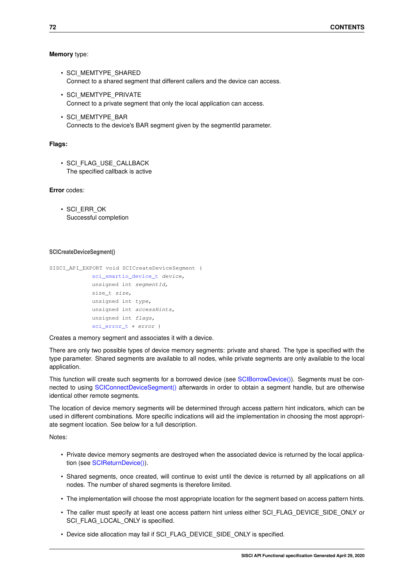## <span id="page-75-0"></span>**Memory** type:

- SCI\_MEMTYPE\_SHARED Connect to a shared segment that different callers and the device can access.
- SCI\_MEMTYPE\_PRIVATE Connect to a private segment that only the local application can access.
- SCI\_MEMTYPE\_BAR Connects to the device's BAR segment given by the segmentId parameter.

# **Flags:**

• SCI\_FLAG\_USE\_CALLBACK The specified callback is active

#### **Error** codes:

• SCI\_ERR\_OK Successful completion

#### **SCICreateDeviceSegment()**

```
SISCI_API_EXPORT_void_SCICreateDeviceSegment (
             sci_smartio_device_t device,
             unsigned int segmentId,
             size_t size,
             unsigned int type,
             unsigned int accessHints,
             unsigned int flags,
             sci_error_t * error )
```
## Creates a memory segment and associates it with a device.

There are only two possible types of device memory segments: private and shared. The type is specified with the type parameter. Shared segments are available to all nodes, while private segments are only available to the local application.

This function will create such segments for a borrowed device (see [SCIBorrowDevice\(\)\)](#page-71-0). Segments must be connected to using [SCIConnectDeviceSegment\(\)](#page-73-0) afterwards in order to obtain a segment handle, but are otherwise identical other remote segments.

The location of device memory segments will be determined through access pattern hint indicators, which can be used in different combinations. More specific indications will aid the implementation in choosing the most appropriate segment location. See below for a full description.

Notes:

- Private device memory segments are destroyed when the associated device is returned by the local application (see [SCIReturnDevice\(\)\)](#page-72-0).
- Shared segments, once created, will continue to exist until the device is returned by all applications on all nodes. The number of shared segments is therefore limited.
- The implementation will choose the most appropriate location for the segment based on access pattern hints.
- The caller must specify at least one access pattern hint unless either SCI\_FLAG\_DEVICE\_SIDE\_ONLY or SCI\_FLAG\_LOCAL\_ONLY is specified.
- Device side allocation may fail if SCI\_FLAG\_DEVICE\_SIDE\_ONLY is specified.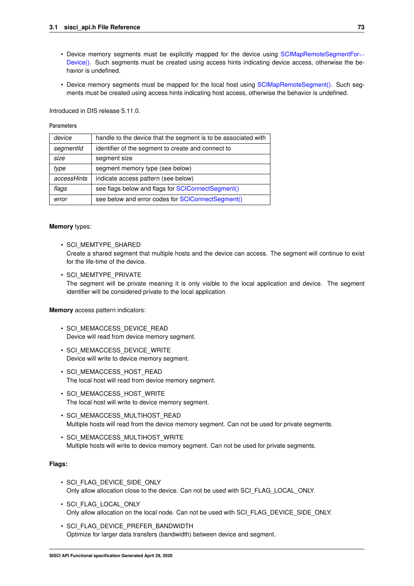- Device memory segments must be explicitly mapped for the device using [SCIMapRemoteSegmentFor](#page-79-0)← [Device\(\).](#page-79-0) Such segments must be created using access hints indicating device access, otherwise the behavior is undefined.
- Device memory segments must be mapped for the local host using [SCIMapRemoteSegment\(\).](#page-27-0) Such segments must be created using access hints indicating host access, otherwise the behavior is undefined.

Introduced in DIS release 5.11.0.

# **Parameters**

| device      | handle to the device that the segment is to be associated with |  |
|-------------|----------------------------------------------------------------|--|
| segmentId   | identifier of the segment to create and connect to             |  |
| size        | segment size                                                   |  |
| type        | segment memory type (see below)                                |  |
| accessHints | indicate access pattern (see below)                            |  |
| flags       | see flags below and flags for SCIConnectSegment()              |  |
| error       | see below and error codes for SCIConnectSegment()              |  |

# **Memory** types:

• SCI\_MEMTYPE\_SHARED

Create a shared segment that multiple hosts and the device can access. The segment will continue to exist for the life-time of the device.

• SCI\_MEMTYPE\_PRIVATE

The segment will be private meaning it is only visible to the local application and device. The segment identifier will be considered private to the local application.

**Memory** access pattern indicators:

- SCI\_MEMACCESS\_DEVICE\_READ Device will read from device memory segment.
- SCI\_MEMACCESS\_DEVICE\_WRITE Device will write to device memory segment.
- SCI\_MEMACCESS\_HOST\_READ The local host will read from device memory segment.
- SCI\_MEMACCESS\_HOST\_WRITE The local host will write to device memory segment.
- SCI\_MEMACCESS\_MULTIHOST\_READ Multiple hosts will read from the device memory segment. Can not be used for private segments.
- SCI\_MEMACCESS\_MULTIHOST\_WRITE Multiple hosts will write to device memory segment. Can not be used for private segments.

# **Flags:**

- SCI\_FLAG\_DEVICE\_SIDE\_ONLY Only allow allocation close to the device. Can not be used with SCI\_FLAG\_LOCAL\_ONLY.
- SCI\_FLAG\_LOCAL\_ONLY Only allow allocation on the local node. Can not be used with SCI\_FLAG\_DEVICE\_SIDE\_ONLY.
- SCI\_FLAG\_DEVICE\_PREFER\_BANDWIDTH Optimize for larger data transfers (bandwidth) between device and segment.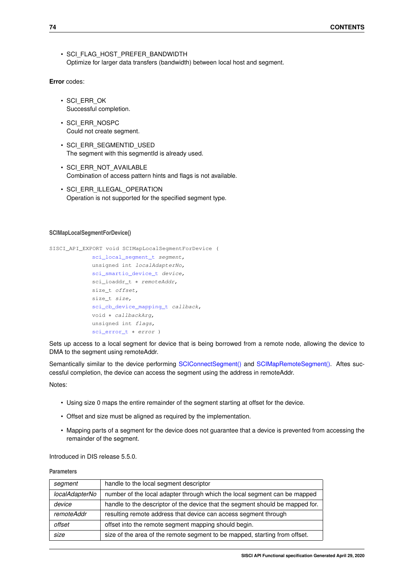```
• SCI_FLAG_HOST_PREFER_BANDWIDTH
 Optimize for larger data transfers (bandwidth) between local host and segment.
```
**Error** codes:

- SCI\_ERR\_OK Successful completion.
- SCI\_ERR\_NOSPC Could not create segment.
- SCI\_ERR\_SEGMENTID\_USED The segment with this segmentId is already used.
- SCI\_ERR\_NOT\_AVAILABLE Combination of access pattern hints and flags is not available.
- SCI ERR\_ILLEGAL\_OPERATION Operation is not supported for the specified segment type.

# <span id="page-77-0"></span>**SCIMapLocalSegmentForDevice()**

```
SISCI_API_EXPORT void SCIMapLocalSegmentForDevice (
             sci_local_segment_t segment,
             unsigned int localAdapterNo,
             sci_smartio_device_t device,
             sci_ioaddr_t ∗ remoteAddr,
             size_t offset,
             size_t size,
             sci_cb_device_mapping_t callback,
             void ∗ callbackArg,
             unsigned int flags,
             sci_error_t ∗ error )
```
Sets up access to a local segment for device that is being borrowed from a remote node, allowing the device to DMA to the segment using remoteAddr.

Semantically similar to the device performing [SCIConnectSegment\(\)](#page-23-0) and [SCIMapRemoteSegment\(\).](#page-27-0) Aftes successful completion, the device can access the segment using the address in remoteAddr.

Notes:

- Using size 0 maps the entire remainder of the segment starting at offset for the device.
- Offset and size must be aligned as required by the implementation.
- Mapping parts of a segment for the device does not guarantee that a device is prevented from accessing the remainder of the segment.

Introduced in DIS release 5.5.0.

**Parameters**

| segment        | handle to the local segment descriptor                                        |  |
|----------------|-------------------------------------------------------------------------------|--|
| localAdapterNo | number of the local adapter through which the local segment can be mapped     |  |
| device         | handle to the descriptor of the device that the segment should be mapped for. |  |
| remoteAddr     | resulting remote address that device can access segment through               |  |
| offset         | offset into the remote segment mapping should begin.                          |  |
| size           | size of the area of the remote segment to be mapped, starting from offset.    |  |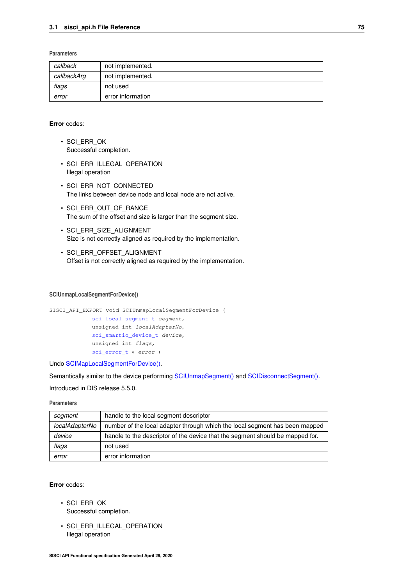## <span id="page-78-0"></span>**Parameters**

| callback    | not implemented.  |
|-------------|-------------------|
| callbackArg | not implemented.  |
| flags       | not used          |
| error       | error information |

# **Error** codes:

- SCI\_ERR\_OK Successful completion.
- SCI ERR ILLEGAL OPERATION Illegal operation
- SCI\_ERR\_NOT\_CONNECTED The links between device node and local node are not active.
- SCI\_ERR\_OUT\_OF\_RANGE The sum of the offset and size is larger than the segment size.
- SCI\_ERR\_SIZE\_ALIGNMENT Size is not correctly aligned as required by the implementation.
- SCI\_ERR\_OFFSET\_ALIGNMENT Offset is not correctly aligned as required by the implementation.

#### **SCIUnmapLocalSegmentForDevice()**

```
SISCI_API_EXPORT void SCIUnmapLocalSegmentForDevice (
            sci local segment t segment,
            unsigned int localAdapterNo,
             sci_smartio_device_t device,
             unsigned int flags,
             sci_error_t ∗ error )
```
Undo [SCIMapLocalSegmentForDevice\(\).](#page-77-0)

Semantically similar to the device performing [SCIUnmapSegment\(\)](#page-29-0) and [SCIDisconnectSegment\(\).](#page-24-0)

Introduced in DIS release 5.5.0.

# **Parameters**

| segment        | handle to the local segment descriptor                                        |  |
|----------------|-------------------------------------------------------------------------------|--|
| localAdapterNo | number of the local adapter through which the local segment has been mapped   |  |
| device         | handle to the descriptor of the device that the segment should be mapped for. |  |
| flags          | not used                                                                      |  |
| error          | error information                                                             |  |

# **Error** codes:

- SCI\_ERR\_OK Successful completion.
- SCI\_ERR\_ILLEGAL\_OPERATION Illegal operation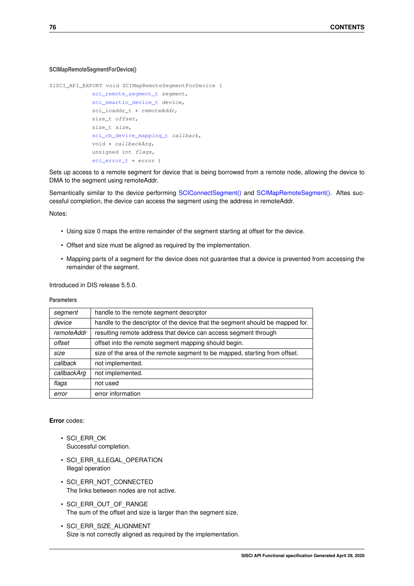## <span id="page-79-1"></span><span id="page-79-0"></span>**SCIMapRemoteSegmentForDevice()**

```
SISCI_API_EXPORT void SCIMapRemoteSegmentForDevice (
             sci_remote_segment_t segment,
             sci_smartio_device_t device,
             sci_ioaddr_t * remoteAddr,
             size_t offset,
             size t size,
             sci_cb_device_mapping_t callback,
             void ∗ callbackArg,
             unsigned int flags,
             sci_error_t * error )
```
Sets up access to a remote segment for device that is being borrowed from a remote node, allowing the device to DMA to the segment using remoteAddr.

Semantically similar to the device performing [SCIConnectSegment\(\)](#page-23-0) and [SCIMapRemoteSegment\(\).](#page-27-0) Aftes successful completion, the device can access the segment using the address in remoteAddr.

Notes:

- Using size 0 maps the entire remainder of the segment starting at offset for the device.
- Offset and size must be aligned as required by the implementation.
- Mapping parts of a segment for the device does not guarantee that a device is prevented from accessing the remainder of the segment.

Introduced in DIS release 5.5.0.

# **Parameters**

| segment           | handle to the remote segment descriptor                                       |  |
|-------------------|-------------------------------------------------------------------------------|--|
| device            | handle to the descriptor of the device that the segment should be mapped for. |  |
| <i>remoteAddr</i> | resulting remote address that device can access segment through               |  |
| offset            | offset into the remote segment mapping should begin.                          |  |
| size              | size of the area of the remote segment to be mapped, starting from offset.    |  |
| callback          | not implemented.                                                              |  |
| callbackArg       | not implemented.                                                              |  |
| flags             | not used                                                                      |  |
| error             | error information                                                             |  |

# **Error** codes:

- SCI\_ERR\_OK Successful completion.
- SCI\_ERR\_ILLEGAL\_OPERATION Illegal operation
- SCI\_ERR\_NOT\_CONNECTED The links between nodes are not active.
- SCI\_ERR\_OUT\_OF\_RANGE The sum of the offset and size is larger than the segment size.
- SCI\_ERR\_SIZE\_ALIGNMENT Size is not correctly aligned as required by the implementation.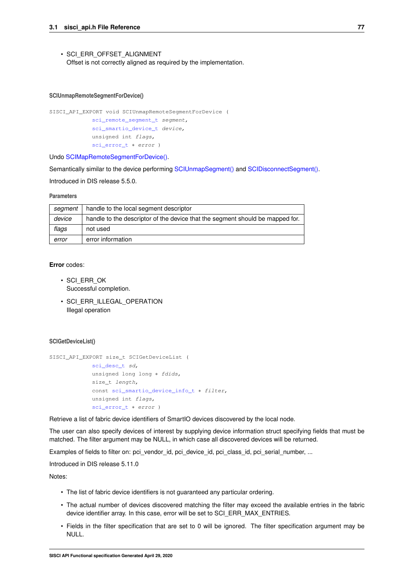<span id="page-80-0"></span>• SCI\_ERR\_OFFSET\_ALIGNMENT Offset is not correctly aligned as required by the implementation.

#### **SCIUnmapRemoteSegmentForDevice()**

```
SISCI_API_EXPORT void SCIUnmapRemoteSegmentForDevice (
            sci_remote_segment_t segment,
             sci_smartio_device_t device,
             unsigned int flags,
            sci_error_t * error )
```
Undo [SCIMapRemoteSegmentForDevice\(\).](#page-79-0)

Semantically similar to the device performing [SCIUnmapSegment\(\)](#page-29-0) and [SCIDisconnectSegment\(\).](#page-24-0)

Introduced in DIS release 5.5.0.

# **Parameters**

| segment | handle to the local segment descriptor                                        |  |
|---------|-------------------------------------------------------------------------------|--|
| device  | handle to the descriptor of the device that the segment should be mapped for. |  |
| flags   | not used                                                                      |  |
| error   | error information                                                             |  |

# **Error** codes:

- SCI\_ERR\_OK Successful completion.
- SCI ERR\_ILLEGAL\_OPERATION Illegal operation

#### **SCIGetDeviceList()**

```
SISCI_API_EXPORT size_t SCIGetDeviceList (
            sci_desc_t sd,
            unsigned long long * fdids,
             size_t length,
             const sci_smartio_device_info_t ∗ filter,
             unsigned int flags,
             sci_error_t ∗ error )
```
Retrieve a list of fabric device identifiers of SmartIO devices discovered by the local node.

The user can also specify devices of interest by supplying device information struct specifying fields that must be matched. The filter argument may be NULL, in which case all discovered devices will be returned.

Examples of fields to filter on: pci\_vendor\_id, pci\_device\_id, pci\_class\_id, pci\_serial\_number, ...

Introduced in DIS release 5.11.0

Notes:

- The list of fabric device identifiers is not quaranteed any particular ordering.
- The actual number of devices discovered matching the filter may exceed the available entries in the fabric device identifier array. In this case, error will be set to SCI\_ERR\_MAX\_ENTRIES.
- Fields in the filter specification that are set to 0 will be ignored. The filter specification argument may be NULL.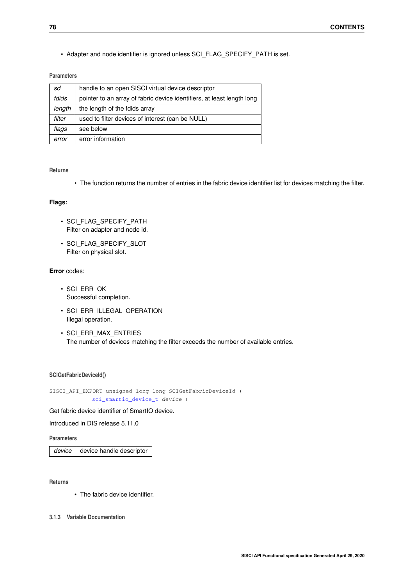<span id="page-81-0"></span>• Adapter and node identifier is ignored unless SCI\_FLAG\_SPECIFY\_PATH is set.

# **Parameters**

| sd     | handle to an open SISCI virtual device descriptor                      |  |
|--------|------------------------------------------------------------------------|--|
| fdids  | pointer to an array of fabric device identifiers, at least length long |  |
| length | the length of the fdids array                                          |  |
| filter | used to filter devices of interest (can be NULL)                       |  |
| flags  | see below                                                              |  |
| error  | error information                                                      |  |

# **Returns**

• The function returns the number of entries in the fabric device identifier list for devices matching the filter.

# **Flags:**

- SCI FLAG SPECIFY PATH Filter on adapter and node id.
- SCI FLAG SPECIFY SLOT Filter on physical slot.

# **Error** codes:

- SCI\_ERR\_OK Successful completion.
- SCI ERR ILLEGAL OPERATION Illegal operation.
- SCI\_ERR\_MAX\_ENTRIES The number of devices matching the filter exceeds the number of available entries.

# **SCIGetFabricDeviceId()**

SISCI\_API\_EXPORT unsigned long long SCIGetFabricDeviceId ( [sci\\_smartio\\_device\\_t](#page-87-0) device )

Get fabric device identifier of SmartIO device.

Introduced in DIS release 5.11.0

# **Parameters**

*device* device handle descriptor

**Returns**

- The fabric device identifier.
- **3.1.3 Variable Documentation**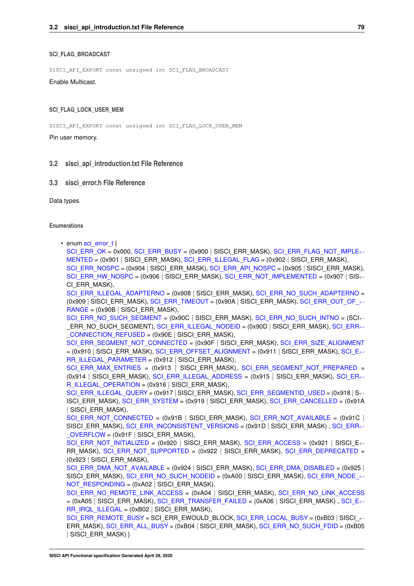#### <span id="page-82-0"></span>**SCI\_FLAG\_BROADCAST**

SISCI\_API\_EXPORT const unsigned int SCI\_FLAG\_BROADCAST

Enable Multicast.

#### **SCI\_FLAG\_LOCK\_USER\_MEM**

SISCI\_API\_EXPORT const unsigned int SCI\_FLAG\_LOCK\_USER\_MEM

Pin user memory.

# **3.2 sisci\_api\_introduction.txt File Reference**

### **3.3 sisci\_error.h File Reference**

Data types.

## **Enumerations**

• enum [sci\\_error\\_t](#page-83-0) {

[SCI\\_ERR\\_OK](#page-83-1) = 0x000, [SCI\\_ERR\\_BUSY](#page-83-2) = (0x900 | SISCI\_ERR\_MASK), [SCI\\_ERR\\_FLAG\\_NOT\\_IMPLE](#page-83-3)←  $MENTED = (0x901 | SISCI ERR MASK)$  $MENTED = (0x901 | SISCI ERR MASK)$ , SCIERR ILLEGAL FLAG = (0x902 | SISCI ERR MASK), [SCI\\_ERR\\_NOSPC](#page-83-5) = (0x904 | SISCI\_ERR\_MASK), [SCI\\_ERR\\_API\\_NOSPC](#page-83-6) = (0x905 | SISCI\_ERR\_MASK), [SCI\\_ERR\\_HW\\_NOSPC](#page-83-7) =  $(0x906$  | SISCI\_ERR\_MASK), [SCI\\_ERR\\_NOT\\_IMPLEMENTED](#page-83-8) =  $(0x907)$  SIS $\leftrightarrow$ CI\_ERR\_MASK),

[SCI\\_ERR\\_ILLEGAL\\_ADAPTERNO](#page-83-9) = (0x908 | SISCI\_ERR\_MASK), [SCI\\_ERR\\_NO\\_SUCH\\_ADAPTERNO](#page-83-10) = (0x909 | SISCI\_ERR\_MASK), [SCI\\_ERR\\_TIMEOUT](#page-83-11) = (0x90A | SISCI\_ERR\_MASK), SCI\_ERR\_OUT\_OF ←  $RANGE = (0x90B | SISCI ERR MASK),$  $RANGE = (0x90B | SISCI ERR MASK),$ 

[SCI\\_ERR\\_NO\\_SUCH\\_SEGMENT](#page-83-13) = (0x90C | SISCI\_ERR\_MASK), [SCI\\_ERR\\_NO\\_SUCH\\_INTNO](#page-83-14) =  $(SCI \leftarrow$ ERR\_NO\_SUCH\_SEGMENT), [SCI\\_ERR\\_ILLEGAL\\_NODEID](#page-83-15) = (0x90D | SI[SCI\\_ERR](#page-83-16)\_MASK), SCI\_ERR←-[\\_CONNECTION\\_REFUSED](#page-83-16) = (0x90E | SISCI\_ERR\_MASK),

[SCI\\_ERR\\_SEGMENT\\_NOT\\_CONNECTED](#page-83-17) = (0x90F | SISCI\_ERR\_MASK), [SCI\\_ERR\\_SIZE\\_ALIGNMENT](#page-83-18)  $= (0x910 |$  SISCI\_ERR\_MASK), [SCI\\_ERR\\_OFFSET\\_ALIGNMENT](#page-83-19) =  $(0x911 |$  SI[SCI\\_E](#page-83-20)RR\_MASK), SCI\_E← [RR\\_ILLEGAL\\_PARAMETER](#page-83-20) = (0x912 | SISCI\_ERR\_MASK),

[SCI\\_ERR\\_MAX\\_ENTRIES](#page-83-21) = (0x913 | SISCI\_ERR\_MASK), [SCI\\_ERR\\_SEGMENT\\_NOT\\_PREPARED](#page-83-22) =  $(0x914$  | SISCI\_ERR\_MASK), [SCI\\_ERR\\_ILLEGAL\\_ADDRESS](#page-83-23) =  $(0x915$  | SI[SCI\\_ER](#page-83-24)R\_MASK), SCI\_ER $\leftrightarrow$ [R\\_ILLEGAL\\_OPERATION](#page-83-24) =  $(0x916 |$  SISCI\_ERR\_MASK),

[SCI\\_ERR\\_ILLEGAL\\_QUERY](#page-83-25) = (0x917 | SISCI\_ERR\_MASK), [SCI\\_ERR\\_SEGMENTID\\_USED](#page-83-26) = (0x918 | S←-ISCI\_ERR\_MASK), [SCI\\_ERR\\_SYSTEM](#page-83-27) = (0x919 | SISCI\_ERR\_MASK), [SCI\\_ERR\\_CANCELLED](#page-84-0) = (0x91A | SISCI\_ERR\_MASK),

SCI ERR\_NOT\_CONNECTED =  $(0x91B |$  SISCI\_ERR\_MASK), [SCI\\_ERR\\_NOT\\_AVAILABLE](#page-84-2) =  $(0x91C |$ SISCI ERR MASK), SCI ERR\_INCONSISTENT\_VERSIONS =  $(0x91D |$  SISCI ERR MASK), [SCI\\_ERR](#page-84-4)←  $OVERFLOW = (0x91F | SISCI ERR MASK),$ 

 $\text{SCI}$  ERR\_NOT\_INITIALIZED = (0x920 | SISCI\_ERR\_MASK), [SCI\\_ERR\\_ACCESS](#page-84-6) = (0x921 | SISCI\_E $\leftrightarrow$ RR MASK), SCI ERR\_NOT\_SUPPORTED =  $(0x922$  | SISCI\_ERR\_MASK), [SCI\\_ERR\\_DEPRECATED](#page-84-8) = (0x923 | SISCI\_ERR\_MASK),

SCI ERR\_DMA\_NOT\_AVAILABLE =  $(0x924 |$  SISCI\_ERR\_MASK), [SCI\\_ERR\\_DMA\\_DISABLED](#page-84-10) =  $(0x925 |$ SISCI ERR\_MASK), [SCI\\_ERR\\_NO\\_SUCH\\_NODEID](#page-84-11) = (0xA00 | SISCI\_ERR\_MASK), SCI\_ERR\_NODE ← [NOT\\_RESPONDING](#page-84-12) =  $(0xA02 |$  SISCI\_ERR\_MASK),

[SCI\\_ERR\\_NO\\_REMOTE\\_LINK\\_ACCESS](#page-84-13) = (0xA04 | SISCI\_ERR\_MASK), [SCI\\_ERR\\_NO\\_LINK\\_ACCESS](#page-84-14)  $=$  (0xA05 | SISCI\_ERR\_MASK), [SCI\\_ERR\\_TRANSFER\\_FAILED](#page-84-15) = (0xA06 | SI[SCI\\_E](#page-84-16)RR\_MASK) , SCI\_E $\leftrightarrow$  $RR$  IRQL\_ILLEGAL = (0xB02 | SISCI\_ERR\_MASK),

[SCI\\_ERR\\_REMOTE\\_BUSY](#page-84-17) = SCI\_ERR\_EWOULD\_BLOCK, [SCI\\_ERR\\_LOCAL\\_BUSY](#page-84-18) = (0xB03 | SISCI\_←- ERR\_MASK), [SCI\\_ERR\\_ALL\\_BUSY](#page-84-19) = (0xB04 | SISCI\_ERR\_MASK), [SCI\\_ERR\\_NO\\_SUCH\\_FDID](#page-84-20) = (0xB05 | SISCI\_ERR\_MASK) }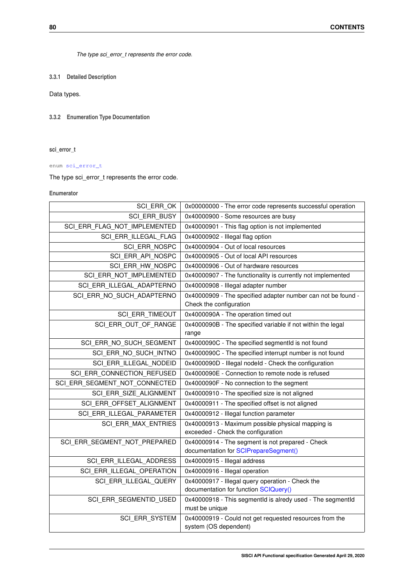<span id="page-83-28"></span>*The type sci\_error\_t represents the error code.*

**3.3.1 Detailed Description**

Data types.

<span id="page-83-0"></span>**3.3.2 Enumeration Type Documentation**

**sci\_error\_t**

enum [sci\\_error\\_t](#page-83-0)

The type sci\_error\_t represents the error code.

**Enumerator**

<span id="page-83-27"></span><span id="page-83-26"></span><span id="page-83-25"></span><span id="page-83-24"></span><span id="page-83-23"></span><span id="page-83-22"></span><span id="page-83-21"></span><span id="page-83-20"></span><span id="page-83-19"></span><span id="page-83-18"></span><span id="page-83-17"></span><span id="page-83-16"></span><span id="page-83-15"></span><span id="page-83-14"></span><span id="page-83-13"></span><span id="page-83-12"></span><span id="page-83-11"></span><span id="page-83-10"></span><span id="page-83-9"></span><span id="page-83-8"></span><span id="page-83-7"></span><span id="page-83-6"></span><span id="page-83-5"></span><span id="page-83-4"></span><span id="page-83-3"></span><span id="page-83-2"></span><span id="page-83-1"></span>

| SCI ERR OK                    | 0x00000000 - The error code represents successful operation                               |
|-------------------------------|-------------------------------------------------------------------------------------------|
| SCI ERR BUSY                  | 0x40000900 - Some resources are busy                                                      |
| SCI ERR FLAG NOT IMPLEMENTED  | 0x40000901 - This flag option is not implemented                                          |
| SCI ERR ILLEGAL FLAG          | 0x40000902 - Illegal flag option                                                          |
| SCI ERR NOSPC                 | 0x40000904 - Out of local resources                                                       |
| SCI ERR API NOSPC             | 0x40000905 - Out of local API resources                                                   |
| SCI_ERR_HW_NOSPC              | 0x40000906 - Out of hardware resources                                                    |
| SCI_ERR_NOT_IMPLEMENTED       | 0x40000907 - The functionality is currently not implemented                               |
| SCI ERR ILLEGAL ADAPTERNO     | 0x40000908 - Illegal adapter number                                                       |
| SCI ERR NO SUCH ADAPTERNO     | 0x40000909 - The specified adapter number can not be found -<br>Check the configuration   |
| SCI ERR TIMEOUT               | 0x4000090A - The operation timed out                                                      |
| SCI ERR OUT OF RANGE          | 0x4000090B - The specified variable if not within the legal<br>range                      |
| SCI ERR NO SUCH SEGMENT       | 0x4000090C - The specified segmentId is not found                                         |
| SCI_ERR_NO_SUCH_INTNO         | 0x4000090C - The specified interrupt number is not found                                  |
| SCI ERR ILLEGAL NODEID        | 0x4000090D - Illegal nodeld - Check the configuration                                     |
| SCI ERR CONNECTION REFUSED    | 0x4000090E - Connection to remote node is refused                                         |
| SCI ERR SEGMENT NOT CONNECTED | 0x4000090F - No connection to the segment                                                 |
| SCI_ERR_SIZE_ALIGNMENT        | 0x40000910 - The specified size is not aligned                                            |
| SCI_ERR_OFFSET_ALIGNMENT      | 0x40000911 - The specified offset is not aligned                                          |
| SCI_ERR_ILLEGAL_PARAMETER     | 0x40000912 - Illegal function parameter                                                   |
| SCI ERR MAX ENTRIES           | 0x40000913 - Maximum possible physical mapping is<br>exceeded - Check the configuration   |
| SCI ERR SEGMENT NOT PREPARED  | 0x40000914 - The segment is not prepared - Check<br>documentation for SCIPrepareSegment() |
| SCI_ERR_ILLEGAL_ADDRESS       | 0x40000915 - Illegal address                                                              |
| SCI ERR ILLEGAL OPERATION     | 0x40000916 - Illegal operation                                                            |
| SCI_ERR_ILLEGAL_QUERY         | 0x40000917 - Illegal query operation - Check the<br>documentation for function SCIQuery() |
| SCI ERR SEGMENTID USED        | 0x40000918 - This segmentId is alredy used - The segmentId<br>must be unique              |
| SCI_ERR_SYSTEM                | 0x40000919 - Could not get requested resources from the<br>system (OS dependent)          |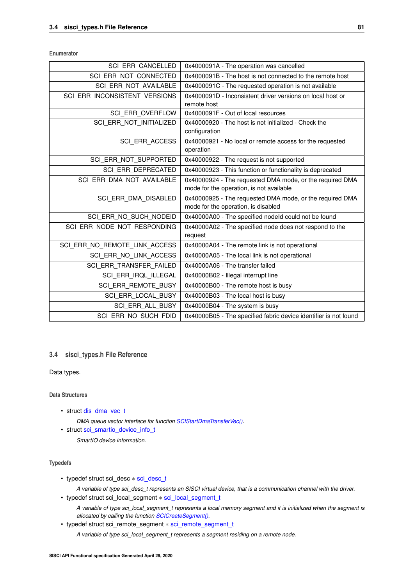<span id="page-84-21"></span>**Enumerator**

<span id="page-84-10"></span><span id="page-84-9"></span><span id="page-84-8"></span><span id="page-84-7"></span><span id="page-84-6"></span><span id="page-84-5"></span><span id="page-84-4"></span><span id="page-84-3"></span><span id="page-84-2"></span><span id="page-84-1"></span><span id="page-84-0"></span>

| SCI ERR CANCELLED             | 0x4000091A - The operation was cancelled                         |
|-------------------------------|------------------------------------------------------------------|
| SCI ERR NOT CONNECTED         | 0x4000091B - The host is not connected to the remote host        |
| SCI_ERR_NOT_AVAILABLE         | 0x4000091C - The requested operation is not available            |
| SCI ERR INCONSISTENT VERSIONS | 0x4000091D - Inconsistent driver versions on local host or       |
|                               | remote host                                                      |
| SCI ERR OVERFLOW              | 0x4000091F - Out of local resources                              |
| SCI ERR NOT INITIALIZED       | 0x40000920 - The host is not initialized - Check the             |
|                               | configuration                                                    |
| <b>SCI ERR ACCESS</b>         | 0x40000921 - No local or remote access for the requested         |
|                               | operation                                                        |
| SCI ERR NOT SUPPORTED         | 0x40000922 - The request is not supported                        |
| SCI ERR DEPRECATED            | 0x40000923 - This function or functionality is deprecated        |
| SCI ERR DMA NOT AVAILABLE     | 0x40000924 - The requested DMA mode, or the required DMA         |
|                               | mode for the operation, is not available                         |
| SCI ERR DMA DISABLED          | 0x40000925 - The requested DMA mode, or the required DMA         |
|                               | mode for the operation, is disabled                              |
| SCI ERR NO SUCH NODEID        | 0x40000A00 - The specified nodeld could not be found             |
| SCI ERR NODE NOT RESPONDING   | 0x40000A02 - The specified node does not respond to the          |
|                               | request                                                          |
| SCI ERR NO REMOTE LINK ACCESS | 0x40000A04 - The remote link is not operational                  |
| SCI ERR NO LINK ACCESS        | 0x40000A05 - The local link is not operational                   |
| SCI ERR TRANSFER FAILED       | 0x40000A06 - The transfer failed                                 |
| SCI_ERR_IRQL_ILLEGAL          | 0x40000B02 - Illegal interrupt line                              |
| SCI ERR REMOTE BUSY           | 0x40000B00 - The remote host is busy                             |
| SCI ERR LOCAL BUSY            | 0x40000B03 - The local host is busy                              |
| SCI ERR ALL BUSY              | 0x40000B04 - The system is busy                                  |
| SCI ERR NO SUCH FDID          | 0x40000B05 - The specified fabric device identifier is not found |

# <span id="page-84-20"></span><span id="page-84-19"></span><span id="page-84-18"></span><span id="page-84-17"></span><span id="page-84-16"></span><span id="page-84-15"></span><span id="page-84-14"></span><span id="page-84-13"></span><span id="page-84-12"></span><span id="page-84-11"></span>**3.4 sisci\_types.h File Reference**

Data types.

**Data Structures**

• struct [dis\\_dma\\_vec\\_t](#page-14-0)

*DMA queue vector interface for function [SCIStartDmaTransferVec\(\).](#page-62-0)*

• struct [sci\\_smartio\\_device\\_info\\_t](#page-15-0) *SmartIO device information.*

# **Typedefs**

- typedef struct sci\_desc ∗ [sci\\_desc\\_t](#page-86-2)
	- *A variable of type sci\_desc\_t represents an SISCI virtual device, that is a communication channel with the driver.*
- typedef struct sci\_local\_segment ∗ [sci\\_local\\_segment\\_t](#page-86-1)
	- *A variable of type sci\_local\_segment\_t represents a local memory segment and it is initialized when the segment is allocated by calling the function [SCICreateSegment\(\).](#page-29-1)*
- typedef struct sci\_remote\_segment ∗ [sci\\_remote\\_segment\\_t](#page-86-0)

*A variable of type sci\_local\_segment\_t represents a segment residing on a remote node.*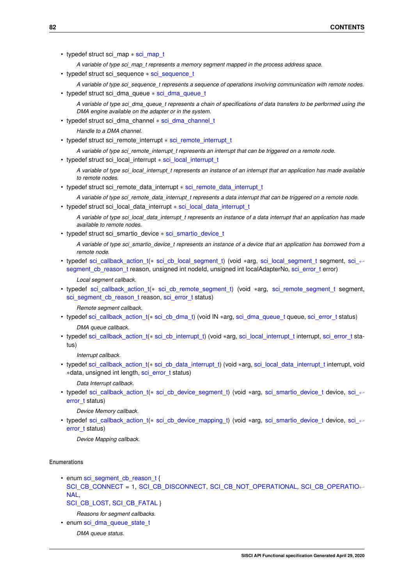• typedef struct sci\_map ∗ [sci\\_map\\_t](#page-86-3)

*A variable of type sci\_map\_t represents a memory segment mapped in the process address space.*

- typedef struct sci\_sequence ∗ [sci\\_sequence\\_t](#page-86-4)
- *A variable of type sci\_sequence\_t represents a sequence of operations involving communication with remote nodes.*
- typedef struct sci\_dma\_queue ∗ [sci\\_dma\\_queue\\_t](#page-86-5)

*A variable of type sci\_dma\_queue\_t represents a chain of specifications of data transfers to be performed using the DMA engine available on the adapter or in the system.*

- typedef struct sci\_dma\_channel ∗ [sci\\_dma\\_channel\\_t](#page-86-6)
	- *Handle to a DMA channel.*
- typedef struct sci\_remote\_interrupt ∗ [sci\\_remote\\_interrupt\\_t](#page-87-1)

*A variable of type sci\_remote\_interrupt\_t represents an interrupt that can be triggered on a remote node.*

• typedef struct sci\_local\_interrupt \* [sci\\_local\\_interrupt\\_t](#page-87-2)

*A variable of type sci\_local\_interrupt\_t represents an instance of an interrupt that an application has made available to remote nodes.*

• typedef struct sci\_remote\_data\_interrupt \* [sci\\_remote\\_data\\_interrupt\\_t](#page-87-3)

*A variable of type sci\_remote\_data\_interrupt\_t represents a data interrupt that can be triggered on a remote node.*

- typedef struct sci\_local\_data\_interrupt \* [sci\\_local\\_data\\_interrupt\\_t](#page-87-4)
	- *A variable of type sci\_local\_data\_interrupt\_t represents an instance of a data interrupt that an application has made available to remote nodes.*
- typedef struct sci\_smartio\_device ∗ [sci\\_smartio\\_device\\_t](#page-87-0)
	- *A variable of type sci\_smartio\_device\_t represents an instance of a device that an application has borrowed from a remote node.*
- typedef [sci\\_callback\\_action\\_t\(](#page-91-0)\* [sci\\_cb\\_local\\_segment\\_t\)](#page-87-5) (void \*arg, [sci\\_local\\_segment\\_t](#page-86-1) segment, sci ← segment cb\_reason\_t reason, unsigned int nodeId, unsigned int localAdapterNo, sci\_error t error)

*Local segment callback.*

• typedef [sci\\_callback\\_action\\_t\(](#page-91-0)∗ [sci\\_cb\\_remote\\_segment\\_t\)](#page-88-0) (void ∗arg, [sci\\_remote\\_segment\\_t](#page-86-0) segment, [sci\\_segment\\_cb\\_reason\\_t](#page-90-1) reason, [sci\\_error\\_t](#page-83-0) status)

*Remote segment callback.*

- typedef [sci\\_callback\\_action\\_t\(](#page-91-0)\* [sci\\_cb\\_dma\\_t\)](#page-88-1) (void IN \*arg, [sci\\_dma\\_queue\\_t](#page-86-5) queue, [sci\\_error\\_t](#page-83-0) status) *DMA queue callback.*
- typedef [sci\\_callback\\_action\\_t\(](#page-91-0)∗ [sci\\_cb\\_interrupt\\_t\)](#page-89-1) (void ∗arg, [sci\\_local\\_interrupt\\_t](#page-87-2) interrupt, [sci\\_error\\_t](#page-83-0) status)

*Interrupt callback.*

• typedef [sci\\_callback\\_action\\_t\(](#page-91-0)\* [sci\\_cb\\_data\\_interrupt\\_t\)](#page-89-2) (void \*arg, [sci\\_local\\_data\\_interrupt\\_t](#page-87-4) interrupt, void ∗data, unsigned int length, [sci\\_error\\_t](#page-83-0) status)

*Data Interrupt callback.*

• typedef [sci\\_callback\\_action\\_t\(](#page-91-0)\* [sci\\_cb\\_device\\_segment\\_t\)](#page-89-0) (void ∗arg, [sci\\_smartio\\_device\\_t](#page-87-0) device, [sci\\_](#page-83-0)← [error\\_t](#page-83-0) status)

*Device Memory callback.*

• typedef [sci\\_callback\\_action\\_t\(](#page-91-0)\* [sci\\_cb\\_device\\_mapping\\_t\)](#page-90-0) (void ∗arg, [sci\\_smartio\\_device\\_t](#page-87-0) device, [sci\\_](#page-83-0)← [error\\_t](#page-83-0) status)

*Device Mapping callback.*

## **Enumerations**

- enum sci segment cb reason t { [SCI\\_CB\\_CONNECT](#page-90-2) = 1, [SCI\\_CB\\_DISCONNECT,](#page-90-3) [SCI\\_CB\\_NOT\\_OPERATIONAL,](#page-90-4) [SCI\\_CB\\_OPERATIO](#page-90-5)←- [NAL,](#page-90-5) [SCI\\_CB\\_LOST,](#page-91-1) [SCI\\_CB\\_FATAL](#page-91-2) }
	- *Reasons for segment callbacks.*
- enum [sci\\_dma\\_queue\\_state\\_t](#page-91-3)

*DMA queue status.*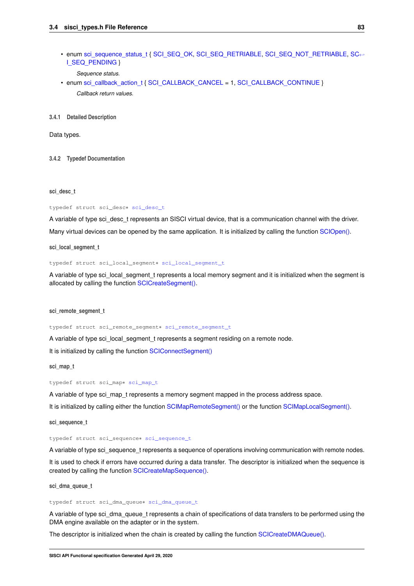<span id="page-86-7"></span>• enum [sci\\_sequence\\_status\\_t](#page-91-4) { [SCI\\_SEQ\\_OK,](#page-91-5) [SCI\\_SEQ\\_RETRIABLE,](#page-91-6) [SCI\\_SEQ\\_NOT\\_RETRIABLE,](#page-91-7) [SC](#page-91-8)← [I\\_SEQ\\_PENDING](#page-91-8) }

*Sequence status.*

• enum [sci\\_callback\\_action\\_t](#page-91-0) { [SCI\\_CALLBACK\\_CANCEL](#page-91-9) = 1, [SCI\\_CALLBACK\\_CONTINUE](#page-91-10) } *Callback return values.*

**3.4.1 Detailed Description**

Data types.

<span id="page-86-2"></span>**3.4.2 Typedef Documentation**

#### **sci\_desc\_t**

typedef struct sci\_desc∗ [sci\\_desc\\_t](#page-86-2)

<span id="page-86-1"></span>A variable of type sci\_desc\_t represents an SISCI virtual device, that is a communication channel with the driver. Many virtual devices can be opened by the same application. It is initialized by calling the function [SCIOpen\(\).](#page-22-0)

**sci\_local\_segment\_t**

typedef struct sci\_local\_segment∗ [sci\\_local\\_segment\\_t](#page-86-1)

<span id="page-86-0"></span>A variable of type sci local segment t represents a local memory segment and it is initialized when the segment is allocated by calling the function [SCICreateSegment\(\).](#page-29-1)

**sci\_remote\_segment\_t**

typedef struct sci\_remote\_segment∗ [sci\\_remote\\_segment\\_t](#page-86-0)

A variable of type sci\_local\_segment\_t represents a segment residing on a remote node.

<span id="page-86-3"></span>It is initialized by calling the function [SCIConnectSegment\(\)](#page-23-0)

**sci\_map\_t**

typedef struct sci\_map∗ [sci\\_map\\_t](#page-86-3)

<span id="page-86-4"></span>A variable of type sci\_map\_t represents a memory segment mapped in the process address space. It is initialized by calling either the function [SCIMapRemoteSegment\(\)](#page-27-0) or the function [SCIMapLocalSegment\(\).](#page-28-0)

**sci\_sequence\_t**

typedef struct sci\_sequence∗ [sci\\_sequence\\_t](#page-86-4)

A variable of type sci\_sequence\_t represents a sequence of operations involving communication with remote nodes.

<span id="page-86-5"></span>It is used to check if errors have occurred during a data transfer. The descriptor is initialized when the sequence is created by calling the function [SCICreateMapSequence\(\).](#page-35-0)

**sci\_dma\_queue\_t**

typedef struct sci\_dma\_queue∗ [sci\\_dma\\_queue\\_t](#page-86-5)

A variable of type sci\_dma\_queue\_t represents a chain of specifications of data transfers to be performed using the DMA engine available on the adapter or in the system.

<span id="page-86-6"></span>The descriptor is initialized when the chain is created by calling the function [SCICreateDMAQueue\(\).](#page-44-0)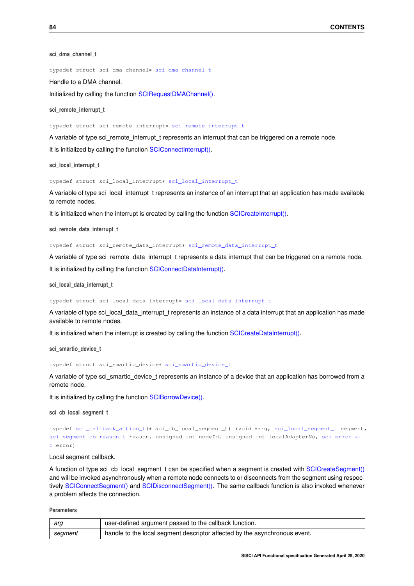<span id="page-87-6"></span>**sci\_dma\_channel\_t**

typedef struct sci\_dma\_channel∗ [sci\\_dma\\_channel\\_t](#page-86-6)

Handle to a DMA channel.

<span id="page-87-1"></span>Initialized by calling the function [SCIRequestDMAChannel\(\).](#page-63-0)

**sci\_remote\_interrupt\_t**

typedef struct sci\_remote\_interrupt∗ [sci\\_remote\\_interrupt\\_t](#page-87-1)

A variable of type sci\_remote\_interrupt\_t represents an interrupt that can be triggered on a remote node.

<span id="page-87-2"></span>It is initialized by calling the function [SCIConnectInterrupt\(\).](#page-48-0)

**sci\_local\_interrupt\_t**

typedef struct sci\_local\_interrupt∗ [sci\\_local\\_interrupt\\_t](#page-87-2)

A variable of type sci\_local\_interrupt\_t represents an instance of an interrupt that an application has made available to remote nodes.

<span id="page-87-3"></span>It is initialized when the interrupt is created by calling the function [SCICreateInterrupt\(\).](#page-46-0)

**sci\_remote\_data\_interrupt\_t**

typedef struct sci\_remote\_data\_interrupt∗ [sci\\_remote\\_data\\_interrupt\\_t](#page-87-3)

A variable of type sci\_remote\_data\_interrupt\_t represents a data interrupt that can be triggered on a remote node.

<span id="page-87-4"></span>It is initialized by calling the function [SCIConnectDataInterrupt\(\).](#page-52-0)

**sci\_local\_data\_interrupt\_t**

typedef struct sci\_local\_data\_interrupt∗ [sci\\_local\\_data\\_interrupt\\_t](#page-87-4)

A variable of type sci\_local\_data\_interrupt\_t represents an instance of a data interrupt that an application has made available to remote nodes.

<span id="page-87-0"></span>It is initialized when the interrupt is created by calling the function [SCICreateDataInterrupt\(\).](#page-50-0)

**sci\_smartio\_device\_t**

typedef struct sci\_smartio\_device∗ [sci\\_smartio\\_device\\_t](#page-87-0)

A variable of type sci\_smartio\_device\_t represents an instance of a device that an application has borrowed from a remote node.

<span id="page-87-5"></span>It is initialized by calling the function [SCIBorrowDevice\(\).](#page-71-0)

**sci\_cb\_local\_segment\_t**

typedef [sci\\_callback\\_action\\_t\(](#page-91-0)∗ sci\_cb\_local\_segment\_t) (void ∗arg, [sci\\_local\\_segment\\_t](#page-86-1) segment, [sci\\_segment\\_cb\\_reason\\_t](#page-90-1) reason, unsigned int nodeId, unsigned int localAdapterNo, [sci\\_error\\_](#page-83-0)← [t](#page-83-0) error)

#### Local segment callback.

A function of type sci\_cb\_local\_segment\_t can be specified when a segment is created with [SCICreateSegment\(\)](#page-29-1) and will be invoked asynchronously when a remote node connects to or disconnects from the segment using respectively [SCIConnectSegment\(\)](#page-23-0) and [SCIDisconnectSegment\(\).](#page-24-0) The same callback function is also invoked whenever a problem affects the connection.

**Parameters**

| arq     | user-defined argument passed to the callback function.                     |
|---------|----------------------------------------------------------------------------|
| segment | handle to the local segment descriptor affected by the asynchronous event. |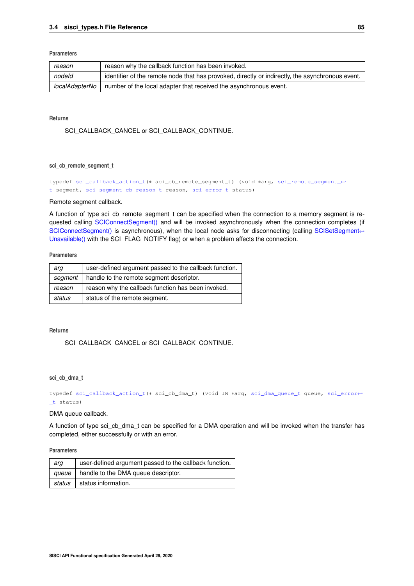# <span id="page-88-2"></span>**Parameters**

| reason         | reason why the callback function has been invoked.                                               |
|----------------|--------------------------------------------------------------------------------------------------|
| nodeld         | identifier of the remote node that has provoked, directly or indirectly, the asynchronous event. |
| localAdapterNo | number of the local adapter that received the asynchronous event.                                |

# **Returns**

SCI\_CALLBACK\_CANCEL or SCI\_CALLBACK\_CONTINUE.

# <span id="page-88-0"></span>**sci\_cb\_remote\_segment\_t**

typedef [sci\\_callback\\_action\\_t\(](#page-91-0)∗ sci\_cb\_remote\_segment\_t) (void ∗arg, [sci\\_remote\\_segment\\_](#page-86-0)← [t](#page-86-0) segment, [sci\\_segment\\_cb\\_reason\\_t](#page-90-1) reason, [sci\\_error\\_t](#page-83-0) status)

#### Remote segment callback.

A function of type sci\_cb\_remote\_segment\_t can be specified when the connection to a memory segment is requested calling [SCIConnectSegment\(\)](#page-23-0) and will be invoked asynchronously when the connection completes (if [SCIConnectSegment\(\)](#page-23-0) is asynchronous), when the local node asks for disconnecting (calling [SCISetSegment](#page-34-0)← [Unavailable\(\)](#page-34-0) with the SCI\_FLAG\_NOTIFY flag) or when a problem affects the connection.

# **Parameters**

| arq     | user-defined argument passed to the callback function. |
|---------|--------------------------------------------------------|
| seament | handle to the remote segment descriptor.               |
| reason  | reason why the callback function has been invoked.     |
| status  | status of the remote segment.                          |

# **Returns**

SCI\_CALLBACK\_CANCEL or SCI\_CALLBACK\_CONTINUE.

# <span id="page-88-1"></span>**sci\_cb\_dma\_t**

typedef [sci\\_callback\\_action\\_t\(](#page-91-0)∗ sci\_cb\_dma\_t) (void IN ∗arg, [sci\\_dma\\_queue\\_t](#page-86-5) queue, [sci\\_error](#page-83-0)←- [\\_t](#page-83-0) status)

# DMA queue callback.

A function of type sci\_cb\_dma\_t can be specified for a DMA operation and will be invoked when the transfer has completed, either successfully or with an error.

**Parameters**

| arq | user-defined argument passed to the callback function. |
|-----|--------------------------------------------------------|
|     | queue   handle to the DMA queue descriptor.            |
|     | status   status information.                           |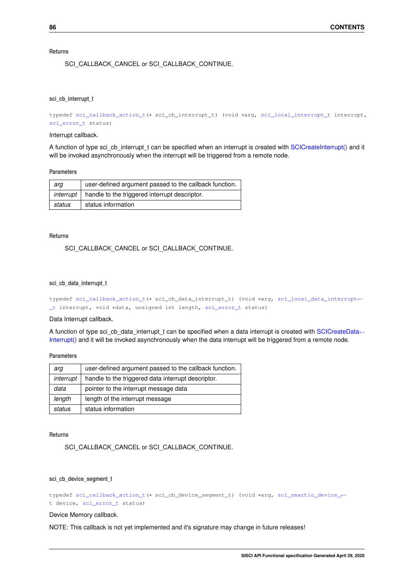# <span id="page-89-3"></span>**Returns**

SCI\_CALLBACK\_CANCEL or SCI\_CALLBACK\_CONTINUE.

#### <span id="page-89-1"></span>**sci\_cb\_interrupt\_t**

```
typedef sci_callback_action_t(∗ sci_cb_interrupt_t) (void ∗arg, sci_local_interrupt_t interrupt,
sci_error_t status)
```
## Interrupt callback.

A function of type sci\_cb\_interrupt\_t can be specified when an interrupt is created with [SCICreateInterrupt\(\)](#page-46-0) and it will be invoked asynchronously when the interrupt will be triggered from a remote node.

## **Parameters**

| arq    | user-defined argument passed to the callback function.      |
|--------|-------------------------------------------------------------|
|        | $interrupt$   handle to the triggered interrupt descriptor. |
| status | status information                                          |

#### **Returns**

# SCI\_CALLBACK\_CANCEL or SCI\_CALLBACK\_CONTINUE.

## <span id="page-89-2"></span>**sci\_cb\_data\_interrupt\_t**

```
typedef sci_callback_action_t(∗ sci_cb_data_interrupt_t) (void ∗arg, sci_local_data_interrupt←-
_t interrupt, void ∗data, unsigned int length, sci_error_t status)
```
### Data Interrupt callback.

A function of type sci\_cb\_data\_interrupt\_t can be specified when a data interrupt is created with [SCICreateData](#page-50-0)← [Interrupt\(\)](#page-50-0) and it will be invoked asynchronously when the data interrupt will be triggered from a remote node.

# **Parameters**

| arg       | user-defined argument passed to the callback function. |
|-----------|--------------------------------------------------------|
| interrupt | handle to the triggered data interrupt descriptor.     |
| data      | pointer to the interrupt message data                  |
| length    | length of the interrupt message                        |
| status    | status information                                     |

**Returns**

SCI\_CALLBACK\_CANCEL or SCI\_CALLBACK\_CONTINUE.

#### <span id="page-89-0"></span>**sci\_cb\_device\_segment\_t**

```
typedef sci_callback_action_t(∗ sci_cb_device_segment_t) (void ∗arg, sci_smartio_device_←-
t device, sci_error_t status)
```
# Device Memory callback.

NOTE: This callback is not yet implemented and it's signature may change in future releases!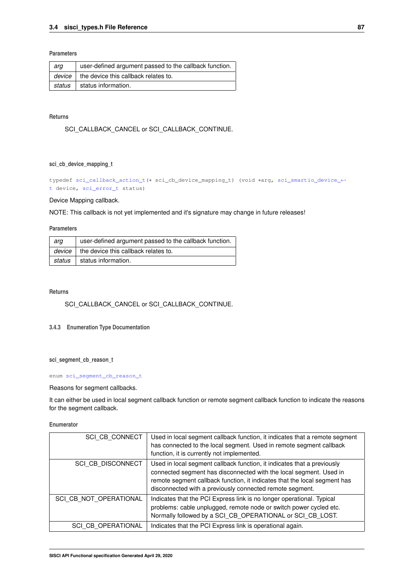# <span id="page-90-6"></span>**Parameters**

| arq    | user-defined argument passed to the callback function. |
|--------|--------------------------------------------------------|
| device | the device this callback relates to.                   |
| status | status information.                                    |

# **Returns**

SCI\_CALLBACK\_CANCEL or SCI\_CALLBACK\_CONTINUE.

# <span id="page-90-0"></span>**sci\_cb\_device\_mapping\_t**

typedef [sci\\_callback\\_action\\_t\(](#page-91-0)∗ sci\_cb\_device\_mapping\_t) (void ∗arg, [sci\\_smartio\\_device\\_](#page-87-0)← [t](#page-87-0) device, [sci\\_error\\_t](#page-83-0) status)

# Device Mapping callback.

NOTE: This callback is not yet implemented and it's signature may change in future releases!

#### **Parameters**

| arq    | user-defined argument passed to the callback function. |
|--------|--------------------------------------------------------|
|        | $\frac{d}{dx}$ the device this callback relates to.    |
| status | status information.                                    |

# **Returns**

SCI\_CALLBACK\_CANCEL or SCI\_CALLBACK\_CONTINUE.

# <span id="page-90-1"></span>**3.4.3 Enumeration Type Documentation**

# **sci\_segment\_cb\_reason\_t**

## enum [sci\\_segment\\_cb\\_reason\\_t](#page-90-1)

# Reasons for segment callbacks.

It can either be used in local segment callback function or remote segment callback function to indicate the reasons for the segment callback.

# **Enumerator**

<span id="page-90-5"></span><span id="page-90-4"></span><span id="page-90-3"></span><span id="page-90-2"></span>

| <b>SCI CB CONNECT</b>    | Used in local segment callback function, it indicates that a remote segment<br>has connected to the local segment. Used in remote segment callback<br>function, it is currently not implemented.                                                                                       |
|--------------------------|----------------------------------------------------------------------------------------------------------------------------------------------------------------------------------------------------------------------------------------------------------------------------------------|
| <b>SCI CB DISCONNECT</b> | Used in local segment callback function, it indicates that a previously<br>connected segment has disconnected with the local segment. Used in<br>remote segment callback function, it indicates that the local segment has<br>disconnected with a previously connected remote segment. |
| SCI CB NOT OPERATIONAL   | Indicates that the PCI Express link is no longer operational. Typical<br>problems: cable unplugged, remote node or switch power cycled etc.<br>Normally followed by a SCI_CB_OPERATIONAL or SCI_CB_LOST.                                                                               |
| SCI CB OPERATIONAL       | Indicates that the PCI Express link is operational again.                                                                                                                                                                                                                              |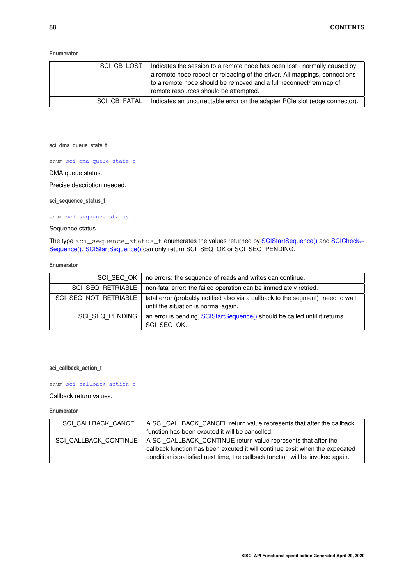<span id="page-91-11"></span>**Enumerator**

<span id="page-91-2"></span><span id="page-91-1"></span>

| SCI CB LOST         | Indicates the session to a remote node has been lost - normally caused by<br>a remote node reboot or reloading of the driver. All mappings, connections<br>to a remote node should be removed and a full reconnect/remmap of<br>remote resources should be attempted. |
|---------------------|-----------------------------------------------------------------------------------------------------------------------------------------------------------------------------------------------------------------------------------------------------------------------|
| <b>SCI CB FATAL</b> | Indicates an uncorrectable error on the adapter PCIe slot (edge connector).                                                                                                                                                                                           |

<span id="page-91-3"></span>**sci\_dma\_queue\_state\_t**

enum [sci\\_dma\\_queue\\_state\\_t](#page-91-3)

# DMA queue status.

<span id="page-91-4"></span>Precise description needed.

# **sci\_sequence\_status\_t**

enum [sci\\_sequence\\_status\\_t](#page-91-4)

# Sequence status.

The type sci\_sequence\_status\_t enumerates the values returned by [SCIStartSequence\(\)](#page-36-0) and [SCICheck](#page-36-1)← [Sequence\(\).](#page-36-1) [SCIStartSequence\(\)](#page-36-0) can only return SCI\_SEQ\_OK or SCI\_SEQ\_PENDING.

# **Enumerator**

<span id="page-91-8"></span><span id="page-91-7"></span><span id="page-91-6"></span><span id="page-91-5"></span>

| SCI SEQ OK               | no errors: the sequence of reads and writes can continue.                                                                |
|--------------------------|--------------------------------------------------------------------------------------------------------------------------|
| <b>SCI SEQ RETRIABLE</b> | non-fatal error: the failed operation can be immediately retried.                                                        |
| SCI SEQ NOT RETRIABLE    | fatal error (probably notified also via a callback to the segment): need to wait<br>until the situation is normal again. |
| SCI SEQ PENDING          | an error is pending, SCIStartSequence() should be called until it returns<br>SCI SEQ OK.                                 |

# <span id="page-91-0"></span>**sci\_callback\_action\_t**

# enum [sci\\_callback\\_action\\_t](#page-91-0)

# Callback return values.

# **Enumerator**

<span id="page-91-10"></span><span id="page-91-9"></span>

| SCI CALLBACK CANCEL   A SCI CALLBACK CANCEL return value represents that after the callback |
|---------------------------------------------------------------------------------------------|
| function has been excuted it will be cancelled.                                             |
|                                                                                             |
| SCI CALLBACK CONTINUE   A SCI CALLBACK CONTINUE return value represents that after the      |
| callback function has been excuted it will continue exsit, when the expecated               |
| condition is satisfied next time, the callback function will be invoked again.              |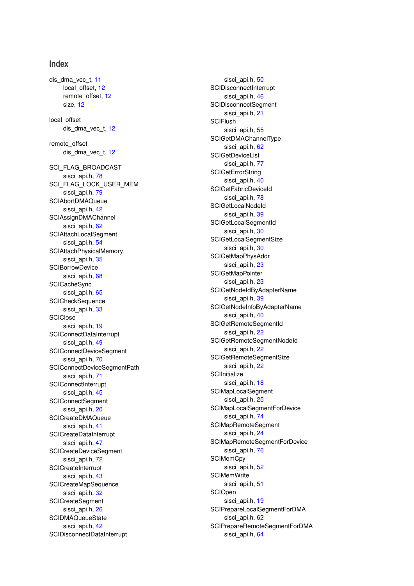# **Index**

dis\_dma\_vec\_t, [11](#page-14-1)

local offset, [12](#page-15-1) remote\_offset, [12](#page-15-1) size, [12](#page-15-1) local\_offset dis dma\_vec\_t, [12](#page-15-1) remote\_offset dis dma\_vec\_t, [12](#page-15-1) SCI FLAG BROADCAST sisci\_api.h, [78](#page-81-0) SCI\_FLAG\_LOCK\_USER\_MEM sisci api.h, [79](#page-82-0) SCIAbortDMAQueue sisci\_api.h, [42](#page-45-0) **SCIAssignDMAChannel** sisci api.h, [62](#page-65-0) SCIAttachLocalSegment sisci\_api.h, [54](#page-57-0) SCIAttachPhysicalMemory sisci api.h, [35](#page-38-0) **SCIBorrowDevice** sisci api.h, [68](#page-71-1) **SCICacheSync** sisci api.h, [65](#page-68-0) **SCICheckSequence** sisci\_api.h, [33](#page-36-2) **SCIClose** sisci api.h, [19](#page-22-1) SCIConnectDataInterrupt sisci api.h, [49](#page-52-1) SCIConnectDeviceSegment sisci api.h, [70](#page-73-1) SCIConnectDeviceSegmentPath sisci api.h, [71](#page-74-0) **SCIConnectInterrupt** sisci api.h, [45](#page-48-1) **SCIConnectSegment** sisci api.h, [20](#page-23-1) SCICreateDMAQueue sisci api.h, [41](#page-44-1) SCICreateDataInterrupt sisci\_api.h, [47](#page-50-1) SCICreateDeviceSegment sisci\_api.h, [72](#page-75-0) **SCICreateInterrupt** sisci api.h, [43](#page-46-1) SCICreateMapSequence sisci\_api.h, [32](#page-35-1) **SCICreateSegment** sisci api.h, [26](#page-29-2) **SCIDMAQueueState** sisci\_api.h, [42](#page-45-0) SCIDisconnectDataInterrupt

sisci\_api.h, [50](#page-53-0) SCIDisconnectInterrupt sisci api.h, [46](#page-49-0) SCIDisconnectSegment sisci api.h, [21](#page-24-1) **SCIFlush** sisci api.h, [55](#page-58-0) SCIGetDMAChannelType sisci\_api.h, [62](#page-65-0) **SCIGetDeviceList** sisci api.h, [77](#page-80-0) **SCIGetErrorString** sisci\_api.h, [40](#page-43-0) SCIGetFabricDeviceId sisci\_api.h, [78](#page-81-0) **SCIGetLocalNodeId** sisci\_api.h, [39](#page-42-0) SCIGetLocalSegmentId sisci api.h, [30](#page-33-0) SCIGetLocalSegmentSize sisci api.h, [30](#page-33-0) SCIGetMapPhysAddr sisci api.h, [23](#page-26-0) **SCIGetMapPointer** sisci api.h, [23](#page-26-0) SCIGetNodeIdByAdapterName sisci api.h, [39](#page-42-0) SCIGetNodeInfoByAdapterName sisci\_api.h, [40](#page-43-0) SCIGetRemoteSegmentId sisci api.h, [22](#page-25-0) SCIGetRemoteSegmentNodeId sisci api.h, [22](#page-25-0) SCIGetRemoteSegmentSize sisci\_api.h, [22](#page-25-0) **SCIInitialize** sisci api.h, [18](#page-21-0) SCIMapLocalSegment sisci\_api.h, [25](#page-28-1) SCIMapLocalSegmentForDevice sisci\_api.h, [74](#page-77-1) SCIMapRemoteSegment sisci api.h, [24](#page-27-1) SCIMapRemoteSegmentForDevice sisci api.h, [76](#page-79-1) **SCIMemCpy** sisci\_api.h, [52](#page-55-0) **SCIMemWrite** sisci api.h, [51](#page-54-0) **SCIOpen** sisci api.h, [19](#page-22-1) SCIPrepareLocalSegmentForDMA sisci api.h, [62](#page-65-0) SCIPrepareRemoteSegmentForDMA sisci api.h, [64](#page-67-0)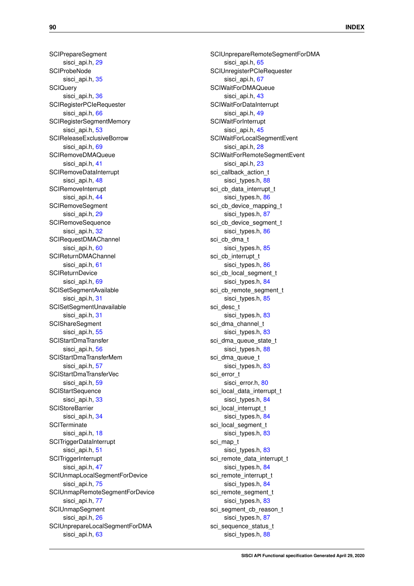**SCIPrepareSegment** sisci api.h, [29](#page-32-1) **SCIProbeNode** sisci api.h, [35](#page-38-0) **SCIQuery** sisci api.h, [36](#page-39-1) SCIRegisterPCIeRequester sisci api.h, [66](#page-69-0) SCIRegisterSegmentMemory sisci api.h, [53](#page-56-0) SCIReleaseExclusiveBorrow sisci api.h, [69](#page-72-1) SCIRemoveDMAQueue sisci api.h, [41](#page-44-1) SCIRemoveDataInterrupt sisci\_api.h, [48](#page-51-0) **SCIRemoveInterrupt** sisci\_api.h, [44](#page-47-0) SCIRemoveSegment sisci\_api.h, [29](#page-32-1) **SCIRemoveSequence** sisci api.h, [32](#page-35-1) SCIRequestDMAChannel sisci api.h, [60](#page-63-1) SCIReturnDMAChannel sisci api.h, [61](#page-64-0) **SCIReturnDevice** sisci api.h, [69](#page-72-1) SCISetSegmentAvailable sisci\_api.h, [31](#page-34-1) SCISetSegmentUnavailable sisci\_api.h, [31](#page-34-1) **SCIShareSegment** sisci api.h, [55](#page-58-0) SCIStartDmaTransfer sisci api.h, [56](#page-59-0) SCIStartDmaTransferMem sisci api.h, [57](#page-60-0) SCIStartDmaTransferVec sisci api.h, [59](#page-62-1) **SCIStartSequence** sisci\_api.h, [33](#page-36-2) **SCIStoreBarrier** sisci\_api.h, [34](#page-37-0) **SCITerminate** sisci api.h, [18](#page-21-0) **SCITriggerDataInterrupt** sisci api.h, [51](#page-54-0) **SCITriggerInterrupt** sisci api.h, [47](#page-50-1) SCIUnmapLocalSegmentForDevice sisci api.h, [75](#page-78-0) SCIUnmapRemoteSegmentForDevice sisci api.h, [77](#page-80-0) SCIUnmapSegment sisci api.h, [26](#page-29-2) SCIUnprepareLocalSegmentForDMA sisci api.h, [63](#page-66-0)

SCIUnprepareRemoteSegmentForDMA sisci api.h, [65](#page-68-0) SCIUnregisterPCIeRequester sisci api.h, [67](#page-70-0) SCIWaitForDMAQueue sisci\_api.h, [43](#page-46-1) SCIWaitForDataInterrupt sisci api.h, [49](#page-52-1) **SCIWaitForInterrupt** sisci api.h, [45](#page-48-1) SCIWaitForLocalSegmentEvent sisci api.h, [28](#page-31-0) SCIWaitForRemoteSegmentEvent sisci api.h, [23](#page-26-0) sci\_callback\_action\_t sisci types.h, [88](#page-91-11) sci cb data interrupt t sisci\_types.h, [86](#page-89-3) sci\_cb\_device\_mapping\_t sisci\_types.h, [87](#page-90-6) sci cb device segment t sisci\_types.h, [86](#page-89-3) sci\_cb\_dma\_t sisci types.h, [85](#page-88-2) sci\_cb\_interrupt\_t sisci\_types.h, [86](#page-89-3) sci\_cb\_local\_segment\_t sisci types.h, [84](#page-87-6) sci cb\_remote\_segment\_t sisci\_types.h, [85](#page-88-2) sci\_desc\_t sisci\_types.h, [83](#page-86-7) sci\_dma\_channel\_t sisci\_types.h, [83](#page-86-7) sci dma queue state t sisci types.h, [88](#page-91-11) sci dma queue t sisci\_types.h, [83](#page-86-7) sci\_error\_t sisci\_error.h, [80](#page-83-28) sci\_local\_data\_interrupt\_t sisci\_types.h, [84](#page-87-6) sci\_local\_interrupt\_t sisci\_types.h, [84](#page-87-6) sci\_local\_segment\_t sisci\_types.h, [83](#page-86-7) sci map t sisci types.h, [83](#page-86-7) sci remote data interrupt t sisci types.h, [84](#page-87-6) sci\_remote\_interrupt\_t sisci\_types.h, [84](#page-87-6) sci\_remote\_segment\_t sisci types.h, [83](#page-86-7) sci\_segment\_cb\_reason\_t sisci\_types.h, [87](#page-90-6) sci sequence status t sisci\_types.h, [88](#page-91-11)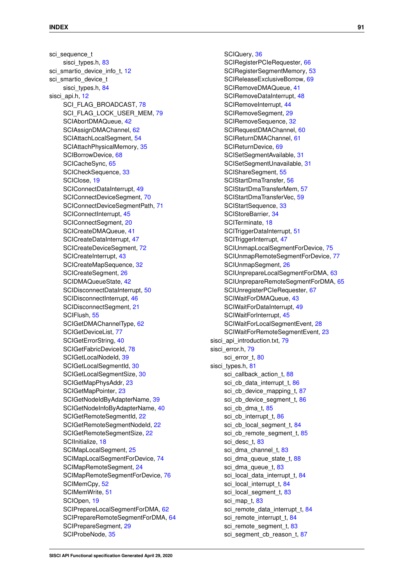sci\_sequence\_t sisci\_types.h, [83](#page-86-7) sci\_smartio\_device\_info\_t, [12](#page-15-1) sci\_smartio\_device\_t sisci types.h, [84](#page-87-6) sisci\_api.h, [12](#page-15-1) SCI\_FLAG\_BROADCAST, [78](#page-81-0) SCI FLAG LOCK USER MEM, [79](#page-82-0) SCIAbortDMAQueue, [42](#page-45-0) SCIAssignDMAChannel, [62](#page-65-0) SCIAttachLocalSegment, [54](#page-57-0) SCIAttachPhysicalMemory, [35](#page-38-0) SCIBorrowDevice, [68](#page-71-1) SCICacheSync, [65](#page-68-0) SCICheckSequence, [33](#page-36-2) SCIClose, [19](#page-22-1) SCIConnectDataInterrupt, [49](#page-52-1) SCIConnectDeviceSegment, [70](#page-73-1) SCIConnectDeviceSegmentPath, [71](#page-74-0) SCIConnectInterrupt, [45](#page-48-1) SCIConnectSegment, [20](#page-23-1) SCICreateDMAQueue, [41](#page-44-1) SCICreateDataInterrupt, [47](#page-50-1) SCICreateDeviceSegment, [72](#page-75-0) SCICreateInterrupt, [43](#page-46-1) SCICreateMapSequence, [32](#page-35-1) SCICreateSegment, [26](#page-29-2) SCIDMAQueueState, [42](#page-45-0) SCIDisconnectDataInterrupt, [50](#page-53-0) SCIDisconnectInterrupt, [46](#page-49-0) SCIDisconnectSegment, [21](#page-24-1) SCIFlush, [55](#page-58-0) SCIGetDMAChannelType, [62](#page-65-0) SCIGetDeviceList, [77](#page-80-0) SCIGetErrorString, [40](#page-43-0) SCIGetFabricDeviceId, [78](#page-81-0) SCIGetLocalNodeId, [39](#page-42-0) SCIGetLocalSegmentId, [30](#page-33-0) SCIGetLocalSegmentSize, [30](#page-33-0) SCIGetMapPhysAddr, [23](#page-26-0) SCIGetMapPointer, [23](#page-26-0) SCIGetNodeIdByAdapterName, [39](#page-42-0) SCIGetNodeInfoByAdapterName, [40](#page-43-0) SCIGetRemoteSegmentId, [22](#page-25-0) SCIGetRemoteSegmentNodeId, [22](#page-25-0) SCIGetRemoteSegmentSize, [22](#page-25-0) SCIInitialize, [18](#page-21-0) SCIMapLocalSegment, [25](#page-28-1) SCIMapLocalSegmentForDevice, [74](#page-77-1) SCIMapRemoteSegment, [24](#page-27-1) SCIMapRemoteSegmentForDevice, [76](#page-79-1) SCIMemCpy, [52](#page-55-0) SCIMemWrite, [51](#page-54-0) SCIOpen, [19](#page-22-1) SCIPrepareLocalSegmentForDMA, [62](#page-65-0) SCIPrepareRemoteSegmentForDMA, [64](#page-67-0) SCIPrepareSegment, [29](#page-32-1) SCIProbeNode, [35](#page-38-0)

# SCIQuery, [36](#page-39-1)